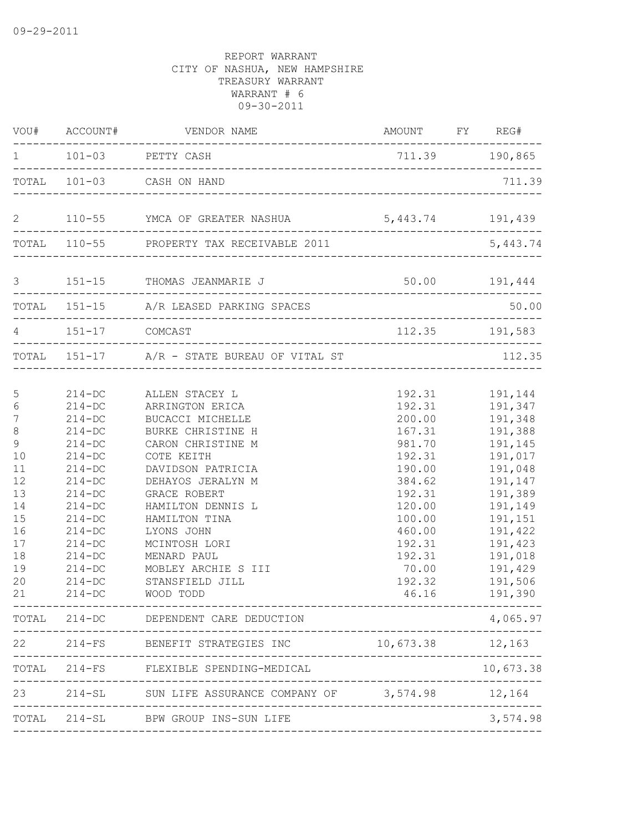|                                                                                                                        | VOU# ACCOUNT#                                                                                                                                                                                                                              | VENDOR NAME                                                                                                                                                                                                                                                                                                        | AMOUNT FY REG#                                                                                                                                             |                                                                                                                                                                                                |
|------------------------------------------------------------------------------------------------------------------------|--------------------------------------------------------------------------------------------------------------------------------------------------------------------------------------------------------------------------------------------|--------------------------------------------------------------------------------------------------------------------------------------------------------------------------------------------------------------------------------------------------------------------------------------------------------------------|------------------------------------------------------------------------------------------------------------------------------------------------------------|------------------------------------------------------------------------------------------------------------------------------------------------------------------------------------------------|
|                                                                                                                        |                                                                                                                                                                                                                                            | 1 101-03 PETTY CASH                                                                                                                                                                                                                                                                                                | 711.39 190,865                                                                                                                                             |                                                                                                                                                                                                |
|                                                                                                                        |                                                                                                                                                                                                                                            | TOTAL 101-03 CASH ON HAND                                                                                                                                                                                                                                                                                          |                                                                                                                                                            | 711.39                                                                                                                                                                                         |
| $\mathbf{2}$                                                                                                           |                                                                                                                                                                                                                                            | 110-55 YMCA OF GREATER NASHUA 5,443.74 191,439                                                                                                                                                                                                                                                                     |                                                                                                                                                            |                                                                                                                                                                                                |
|                                                                                                                        |                                                                                                                                                                                                                                            | TOTAL 110-55 PROPERTY TAX RECEIVABLE 2011                                                                                                                                                                                                                                                                          |                                                                                                                                                            | 5,443.74                                                                                                                                                                                       |
| 3                                                                                                                      |                                                                                                                                                                                                                                            | 151-15 THOMAS JEANMARIE J 50.00 191,444                                                                                                                                                                                                                                                                            |                                                                                                                                                            |                                                                                                                                                                                                |
|                                                                                                                        |                                                                                                                                                                                                                                            | TOTAL 151-15 A/R LEASED PARKING SPACES                                                                                                                                                                                                                                                                             |                                                                                                                                                            | 50.00                                                                                                                                                                                          |
| 4                                                                                                                      | 151-17 COMCAST                                                                                                                                                                                                                             |                                                                                                                                                                                                                                                                                                                    | 112.35 191,583                                                                                                                                             |                                                                                                                                                                                                |
|                                                                                                                        |                                                                                                                                                                                                                                            | TOTAL 151-17 A/R - STATE BUREAU OF VITAL ST                                                                                                                                                                                                                                                                        |                                                                                                                                                            | 112.35                                                                                                                                                                                         |
| 5<br>$\epsilon$<br>7<br>$\,8\,$<br>$\mathsf 9$<br>10<br>11<br>12<br>13<br>14<br>15<br>16<br>17<br>18<br>19<br>20<br>21 | $214 - DC$<br>$214 - DC$<br>$214 - DC$<br>$214 - DC$<br>$214 - DC$<br>$214 - DC$<br>$214 - DC$<br>$214 - DC$<br>$214 - DC$<br>$214 - DC$<br>$214 - DC$<br>$214 - DC$<br>$214 - DC$<br>$214 - DC$<br>$214 - DC$<br>$214 - DC$<br>$214 - DC$ | ALLEN STACEY L<br>ARRINGTON ERICA<br>BUCACCI MICHELLE<br>BURKE CHRISTINE H<br>CARON CHRISTINE M<br>COTE KEITH<br>DAVIDSON PATRICIA<br>DEHAYOS JERALYN M<br>GRACE ROBERT<br>HAMILTON DENNIS L<br>HAMILTON TINA<br>LYONS JOHN<br>MCINTOSH LORI<br>MENARD PAUL<br>MOBLEY ARCHIE S III<br>STANSFIELD JILL<br>WOOD TODD | 192.31<br>200.00<br>167.31<br>981.70<br>192.31<br>190.00<br>384.62<br>192.31<br>120.00<br>100.00<br>460.00<br>192.31<br>192.31<br>70.00<br>192.32<br>46.16 | 192.31 191,144<br>191,347<br>191,348<br>191,388<br>191,145<br>191,017<br>191,048<br>191,147<br>191,389<br>191,149<br>191,151<br>191,422<br>191,423<br>191,018<br>191,429<br>191,506<br>191,390 |
|                                                                                                                        |                                                                                                                                                                                                                                            | TOTAL 214-DC DEPENDENT CARE DEDUCTION                                                                                                                                                                                                                                                                              |                                                                                                                                                            | 4,065.97                                                                                                                                                                                       |
|                                                                                                                        | 22 214-FS                                                                                                                                                                                                                                  | BENEFIT STRATEGIES INC                                                                                                                                                                                                                                                                                             | 10,673.38                                                                                                                                                  | 12,163                                                                                                                                                                                         |
|                                                                                                                        |                                                                                                                                                                                                                                            | TOTAL 214-FS FLEXIBLE SPENDING-MEDICAL                                                                                                                                                                                                                                                                             |                                                                                                                                                            | 10,673.38                                                                                                                                                                                      |
|                                                                                                                        |                                                                                                                                                                                                                                            | 23 214-SL SUN LIFE ASSURANCE COMPANY OF 3,574.98                                                                                                                                                                                                                                                                   |                                                                                                                                                            | 12,164                                                                                                                                                                                         |
|                                                                                                                        |                                                                                                                                                                                                                                            | TOTAL 214-SL BPW GROUP INS-SUN LIFE                                                                                                                                                                                                                                                                                |                                                                                                                                                            | 3,574.98                                                                                                                                                                                       |
|                                                                                                                        |                                                                                                                                                                                                                                            |                                                                                                                                                                                                                                                                                                                    |                                                                                                                                                            |                                                                                                                                                                                                |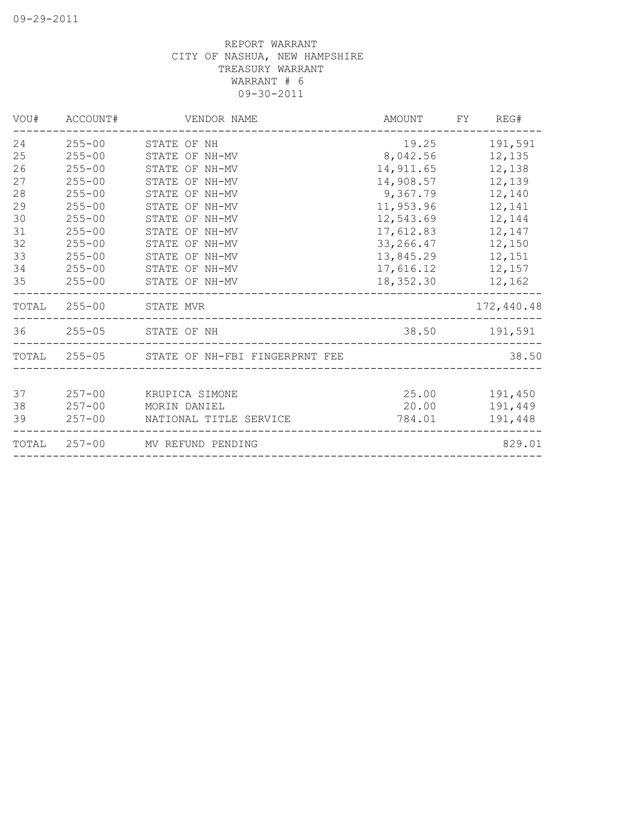| VOU# | ACCOUNT#   | VENDOR NAME                                 | AMOUNT           | FY REG#       |
|------|------------|---------------------------------------------|------------------|---------------|
| 24   | $255 - 00$ | STATE OF NH                                 | 19.25            | 191,591       |
| 25   | $255 - 00$ | STATE OF NH-MV                              | 8,042.56         | 12,135        |
| 26   | $255 - 00$ | STATE OF NH-MV                              | 14,911.65        | 12,138        |
| 27   | $255 - 00$ | STATE OF NH-MV                              | 14,908.57        | 12,139        |
| 28   | $255 - 00$ | STATE OF NH-MV                              | 9,367.79         | 12,140        |
| 29   | $255 - 00$ | STATE OF NH-MV                              | 11,953.96        | 12,141        |
| 30   | $255 - 00$ | STATE OF NH-MV                              | 12,543.69        | 12,144        |
| 31   | $255 - 00$ | STATE OF NH-MV                              | 17,612.83        | 12,147        |
| 32   | $255 - 00$ | STATE OF NH-MV                              | 33,266.47        | 12,150        |
| 33   | $255 - 00$ | STATE OF NH-MV                              | 13,845.29        | 12,151        |
| 34   | $255 - 00$ | STATE OF NH-MV                              | 17,616.12 12,157 |               |
| 35   | $255 - 00$ | STATE OF NH-MV                              | 18,352.30        | 12,162        |
|      |            | TOTAL 255-00 STATE MVR                      |                  | 172,440.48    |
|      |            | 36 255-05 STATE OF NH                       |                  | 38.50 191,591 |
|      |            | TOTAL 255-05 STATE OF NH-FBI FINGERPRNT FEE |                  | 38.50         |
|      |            |                                             |                  |               |
| 37   | $257 - 00$ | KRUPICA SIMONE                              | 25.00            | 191,450       |
| 38   | $257 - 00$ | MORIN DANIEL                                | 20.00            | 191,449       |
| 39   | $257 - 00$ | NATIONAL TITLE SERVICE                      | 784.01           | 191,448       |
|      |            | TOTAL 257-00 MV REFUND PENDING              |                  | 829.01        |
|      |            |                                             |                  |               |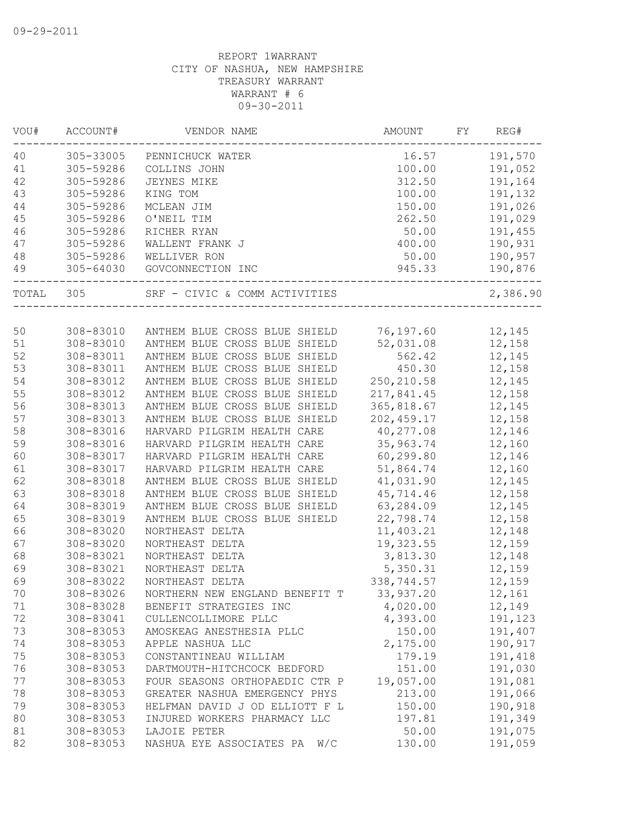| VOU#     | ACCOUNT#               | VENDOR NAME                                                    | <b>AMOUNT</b>             | FY | REG#             |
|----------|------------------------|----------------------------------------------------------------|---------------------------|----|------------------|
| 40       | 305-33005              | PENNICHUCK WATER                                               | 16.57                     |    | 191,570          |
| 41       | 305-59286              | COLLINS JOHN                                                   | 100.00                    |    | 191,052          |
| 42       | 305-59286              | JEYNES MIKE                                                    | 312.50                    |    | 191,164          |
| 43       | 305-59286              | KING TOM                                                       | 100.00                    |    | 191,132          |
| 44       | 305-59286              | MCLEAN JIM                                                     | 150.00                    |    | 191,026          |
| 45       | 305-59286              | O'NEIL TIM                                                     | 262.50                    |    | 191,029          |
| 46       | 305-59286              | RICHER RYAN                                                    | 50.00                     |    | 191,455          |
| 47       | 305-59286              | WALLENT FRANK J                                                | 400.00                    |    | 190,931          |
| 48       | 305-59286              | WELLIVER RON                                                   | 50.00                     |    | 190,957          |
| 49       |                        | 305-64030 GOVCONNECTION INC                                    | 945.33                    |    | 190,876          |
| TOTAL    | 305                    | SRF - CIVIC & COMM ACTIVITIES                                  |                           |    | 2,386.90         |
|          |                        |                                                                |                           |    |                  |
| 50<br>51 | 308-83010              | ANTHEM BLUE CROSS BLUE SHIELD 76,197.60                        |                           |    | 12,145           |
|          | 308-83010<br>308-83011 | ANTHEM BLUE CROSS BLUE SHIELD<br>ANTHEM BLUE CROSS BLUE SHIELD | 52,031.08<br>562.42       |    | 12,158           |
| 52       | 308-83011              | ANTHEM BLUE CROSS BLUE SHIELD                                  | 450.30                    |    | 12,145           |
| 53       | 308-83012              | ANTHEM BLUE CROSS BLUE SHIELD                                  |                           |    | 12,158           |
| 54<br>55 | 308-83012              | ANTHEM BLUE CROSS BLUE SHIELD                                  | 250, 210.58<br>217,841.45 |    | 12,145<br>12,158 |
| 56       | 308-83013              | ANTHEM BLUE CROSS BLUE SHIELD                                  | 365,818.67                |    | 12,145           |
|          | 308-83013              | ANTHEM BLUE CROSS BLUE SHIELD                                  | 202, 459.17               |    | 12,158           |
| 57<br>58 | 308-83016              | HARVARD PILGRIM HEALTH CARE                                    | 40,277.08                 |    | 12,146           |
| 59       | 308-83016              | HARVARD PILGRIM HEALTH CARE                                    | 35,963.74                 |    | 12,160           |
| 60       | 308-83017              | HARVARD PILGRIM HEALTH CARE                                    | 60,299.80                 |    | 12,146           |
| 61       | 308-83017              | HARVARD PILGRIM HEALTH CARE                                    | 51,864.74                 |    | 12,160           |
| 62       | 308-83018              | ANTHEM BLUE CROSS BLUE SHIELD                                  | 41,031.90                 |    | 12,145           |
| 63       | 308-83018              | ANTHEM BLUE CROSS BLUE SHIELD                                  | 45,714.46                 |    | 12,158           |
| 64       | 308-83019              | ANTHEM BLUE CROSS BLUE SHIELD                                  | 63,284.09                 |    | 12,145           |
| 65       | 308-83019              | ANTHEM BLUE CROSS BLUE SHIELD                                  | 22,798.74                 |    | 12,158           |
| 66       | 308-83020              | NORTHEAST DELTA                                                | 11,403.21                 |    | 12,148           |
| 67       | $308 - 83020$          | NORTHEAST DELTA                                                | 19,323.55                 |    | 12,159           |
| 68       | 308-83021              | NORTHEAST DELTA                                                | 3,813.30                  |    | 12,148           |
| 69       | 308-83021              | NORTHEAST DELTA                                                | 5,350.31                  |    | 12,159           |
| 69       | 308-83022              | NORTHEAST DELTA                                                | 338,744.57                |    | 12,159           |
| 70       | 308-83026              | NORTHERN NEW ENGLAND BENEFIT T                                 | 33,937.20                 |    | 12,161           |
| $71$     | 308-83028              | BENEFIT STRATEGIES INC                                         | 4,020.00                  |    | 12,149           |
| 72       | 308-83041              | CULLENCOLLIMORE PLLC                                           | 4,393.00                  |    | 191,123          |
| 73       | 308-83053              | AMOSKEAG ANESTHESIA PLLC                                       | 150.00                    |    | 191,407          |
| 74       | 308-83053              | APPLE NASHUA LLC                                               | 2,175.00                  |    | 190,917          |
| 75       | 308-83053              | CONSTANTINEAU WILLIAM                                          | 179.19                    |    | 191,418          |
| 76       | 308-83053              | DARTMOUTH-HITCHCOCK BEDFORD                                    | 151.00                    |    | 191,030          |
| 77       | 308-83053              | FOUR SEASONS ORTHOPAEDIC CTR P                                 | 19,057.00                 |    | 191,081          |
| 78       | 308-83053              | GREATER NASHUA EMERGENCY PHYS                                  | 213.00                    |    | 191,066          |
| 79       | 308-83053              | HELFMAN DAVID J OD ELLIOTT F L                                 | 150.00                    |    | 190,918          |
| 80       | 308-83053              | INJURED WORKERS PHARMACY LLC                                   | 197.81                    |    | 191,349          |
| 81       | 308-83053              | LAJOIE PETER                                                   | 50.00                     |    | 191,075          |
| 82       | 308-83053              | NASHUA EYE ASSOCIATES PA<br>W/C                                | 130.00                    |    | 191,059          |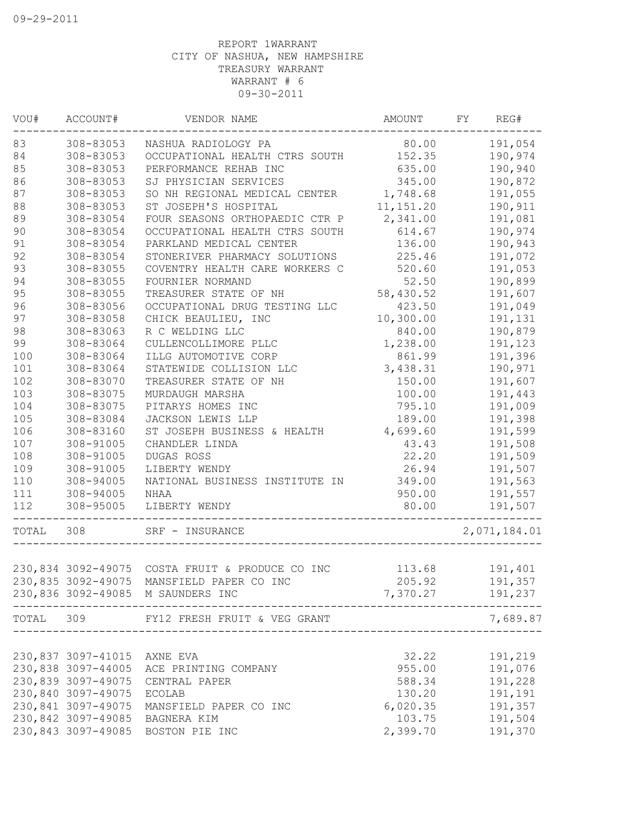| VOU#  | ACCOUNT#           | VENDOR NAME                                     | AMOUNT     | FY | REG#         |
|-------|--------------------|-------------------------------------------------|------------|----|--------------|
| 83    | 308-83053          | NASHUA RADIOLOGY PA                             | 80.00      |    | 191,054      |
| 84    | 308-83053          | OCCUPATIONAL HEALTH CTRS SOUTH                  | 152.35     |    | 190,974      |
| 85    | 308-83053          | PERFORMANCE REHAB INC                           | 635.00     |    | 190,940      |
| 86    | 308-83053          | SJ PHYSICIAN SERVICES                           | 345.00     |    | 190,872      |
| 87    | 308-83053          | SO NH REGIONAL MEDICAL CENTER                   | 1,748.68   |    | 191,055      |
| 88    | 308-83053          | ST JOSEPH'S HOSPITAL                            | 11, 151.20 |    | 190,911      |
| 89    | 308-83054          | FOUR SEASONS ORTHOPAEDIC CTR P                  | 2,341.00   |    | 191,081      |
| 90    | 308-83054          | OCCUPATIONAL HEALTH CTRS SOUTH                  | 614.67     |    | 190,974      |
| 91    | 308-83054          | PARKLAND MEDICAL CENTER                         | 136.00     |    | 190,943      |
| 92    | 308-83054          | STONERIVER PHARMACY SOLUTIONS                   | 225.46     |    | 191,072      |
| 93    | 308-83055          | COVENTRY HEALTH CARE WORKERS C                  | 520.60     |    | 191,053      |
| 94    | 308-83055          | FOURNIER NORMAND                                | 52.50      |    | 190,899      |
| 95    | 308-83055          | TREASURER STATE OF NH                           | 58,430.52  |    | 191,607      |
| 96    | 308-83056          | OCCUPATIONAL DRUG TESTING LLC                   | 423.50     |    | 191,049      |
| 97    | 308-83058          | CHICK BEAULIEU, INC                             | 10,300.00  |    | 191,131      |
| 98    | 308-83063          | R C WELDING LLC                                 | 840.00     |    | 190,879      |
| 99    | 308-83064          | CULLENCOLLIMORE PLLC                            | 1,238.00   |    | 191,123      |
| 100   | 308-83064          | ILLG AUTOMOTIVE CORP                            | 861.99     |    | 191,396      |
| 101   | 308-83064          | STATEWIDE COLLISION LLC                         | 3,438.31   |    | 190,971      |
| 102   | 308-83070          | TREASURER STATE OF NH                           | 150.00     |    | 191,607      |
| 103   | 308-83075          | MURDAUGH MARSHA                                 | 100.00     |    | 191,443      |
| 104   | 308-83075          | PITARYS HOMES INC                               | 795.10     |    | 191,009      |
| 105   | 308-83084          | JACKSON LEWIS LLP                               | 189.00     |    | 191,398      |
| 106   | 308-83160          | ST JOSEPH BUSINESS & HEALTH                     | 4,699.60   |    | 191,599      |
| 107   | 308-91005          | CHANDLER LINDA                                  | 43.43      |    | 191,508      |
| 108   | 308-91005          | DUGAS ROSS                                      | 22.20      |    | 191,509      |
| 109   | 308-91005          | LIBERTY WENDY                                   | 26.94      |    | 191,507      |
| 110   | 308-94005          | NATIONAL BUSINESS INSTITUTE IN                  | 349.00     |    | 191,563      |
| 111   | 308-94005          | NHAA                                            | 950.00     |    | 191,557      |
| 112   | 308-95005          | LIBERTY WENDY                                   | 80.00      |    | 191,507      |
| TOTAL | 308                | SRF - INSURANCE                                 |            |    | 2,071,184.01 |
|       |                    |                                                 |            |    |              |
|       |                    | 230,834 3092-49075 COSTA FRUIT & PRODUCE CO INC | 113.68     |    | 191,401      |
|       | 230,835 3092-49075 | MANSFIELD PAPER CO INC                          | 205.92     |    | 191,357      |
|       |                    | 230,836 3092-49085 M SAUNDERS INC               | 7,370.27   |    | 191,237      |
| TOTAL | 309                | FY12 FRESH FRUIT & VEG GRANT                    |            |    | 7,689.87     |
|       | 230,837 3097-41015 | AXNE EVA                                        | 32.22      |    | 191,219      |
|       | 230,838 3097-44005 | ACE PRINTING COMPANY                            | 955.00     |    | 191,076      |
|       | 230,839 3097-49075 | CENTRAL PAPER                                   | 588.34     |    | 191,228      |
|       | 230,840 3097-49075 | ECOLAB                                          | 130.20     |    | 191,191      |
|       | 230,841 3097-49075 | MANSFIELD PAPER CO INC                          | 6,020.35   |    | 191,357      |
|       | 230,842 3097-49085 | BAGNERA KIM                                     | 103.75     |    | 191,504      |
|       |                    | 230,843 3097-49085 BOSTON PIE INC               | 2,399.70   |    | 191,370      |
|       |                    |                                                 |            |    |              |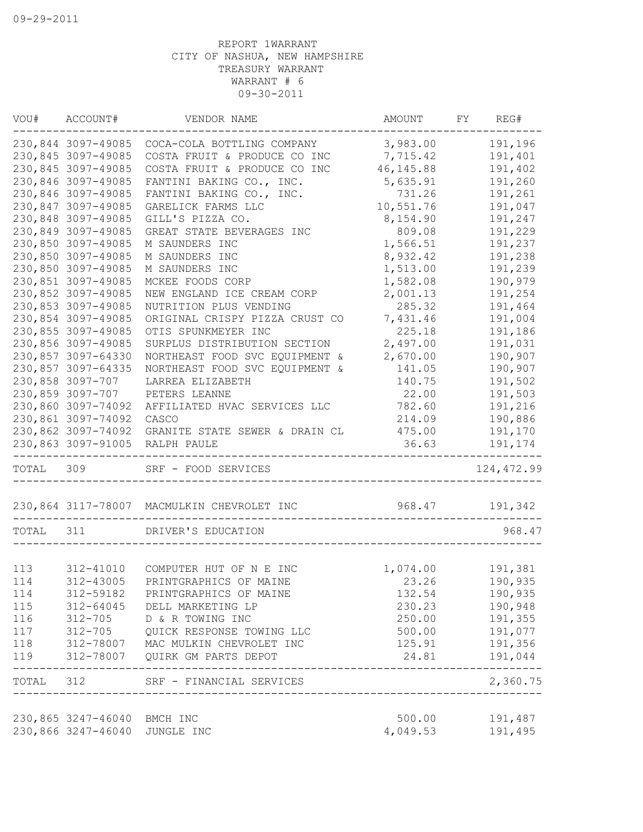|           | VOU# ACCOUNT#                 | VENDOR NAME                                | AMOUNT     | FY | REG#              |
|-----------|-------------------------------|--------------------------------------------|------------|----|-------------------|
|           | 230,844 3097-49085            | COCA-COLA BOTTLING COMPANY                 | 3,983.00   |    | 191,196           |
|           | 230,845 3097-49085            | COSTA FRUIT & PRODUCE CO INC               | 7,715.42   |    | 191,401           |
|           | 230,845 3097-49085            | COSTA FRUIT & PRODUCE CO INC               | 46, 145.88 |    | 191,402           |
|           | 230,846 3097-49085            | FANTINI BAKING CO., INC.                   | 5,635.91   |    | 191,260           |
|           | 230,846 3097-49085            | FANTINI BAKING CO., INC.                   | 731.26     |    | 191,261           |
|           | 230,847 3097-49085            | GARELICK FARMS LLC                         | 10,551.76  |    | 191,047           |
|           | 230,848 3097-49085            | GILL'S PIZZA CO.                           | 8,154.90   |    | 191,247           |
|           | 230,849 3097-49085            | GREAT STATE BEVERAGES INC                  | 809.08     |    | 191,229           |
|           | 230,850 3097-49085            | M SAUNDERS INC                             | 1,566.51   |    | 191,237           |
|           | 230,850 3097-49085            | M SAUNDERS INC                             | 8,932.42   |    | 191,238           |
|           | 230,850 3097-49085            | M SAUNDERS INC                             | 1,513.00   |    | 191,239           |
|           | 230,851 3097-49085            | MCKEE FOODS CORP                           | 1,582.08   |    | 190,979           |
|           | 230,852 3097-49085            | NEW ENGLAND ICE CREAM CORP                 | 2,001.13   |    | 191,254           |
|           | 230,853 3097-49085            | NUTRITION PLUS VENDING                     | 285.32     |    | 191,464           |
|           | 230,854 3097-49085            | ORIGINAL CRISPY PIZZA CRUST CO             | 7,431.46   |    | 191,004           |
|           | 230,855 3097-49085            | OTIS SPUNKMEYER INC                        | 225.18     |    | 191,186           |
|           | 230,856 3097-49085            | SURPLUS DISTRIBUTION SECTION               | 2,497.00   |    | 191,031           |
|           | 230,857 3097-64330            | NORTHEAST FOOD SVC EQUIPMENT &             | 2,670.00   |    | 190,907           |
|           | 230,857 3097-64335            | NORTHEAST FOOD SVC EQUIPMENT &             | 141.05     |    | 190,907           |
|           | 230,858 3097-707              | LARREA ELIZABETH                           | 140.75     |    | 191,502           |
|           | 230,859 3097-707              | PETERS LEANNE                              | 22.00      |    | 191,503           |
|           | 230,860 3097-74092            | AFFILIATED HVAC SERVICES LLC               | 782.60     |    | 191,216           |
|           | 230,861 3097-74092            | CASCO                                      | 214.09     |    | 190,886           |
|           | 230,862 3097-74092            | GRANITE STATE SEWER & DRAIN CL             | 475.00     |    | 191,170           |
|           | 230,863 3097-91005            | RALPH PAULE                                | 36.63      |    | 191,174           |
| TOTAL 309 |                               | SRF - FOOD SERVICES                        |            |    | 124, 472.99       |
|           |                               | 230,864 3117-78007 MACMULKIN CHEVROLET INC | 968.47     |    | 191,342           |
| TOTAL     | 311                           | DRIVER'S EDUCATION                         |            |    | 968.47            |
|           |                               |                                            |            |    |                   |
| 113       | 312-41010                     | COMPUTER HUT OF N E INC                    | 1,074.00   |    | 191,381           |
| 114       | 312-43005                     | PRINTGRAPHICS OF MAINE                     | 23.26      |    | 190,935           |
| 114       | 312-59182                     | PRINTGRAPHICS OF MAINE                     | 132.54     |    | 190,935           |
| 115       | 312-64045                     | DELL MARKETING LP                          | 230.23     |    | 190,948           |
| 116       | 312-705                       | D & R TOWING INC                           | 250.00     |    | 191,355           |
| 117       | $312 - 705$                   | QUICK RESPONSE TOWING LLC                  | 500.00     |    | 191,077           |
| 118       |                               | 312-78007 MAC MULKIN CHEVROLET INC         | 125.91     |    | 191,356           |
| 119       |                               | 312-78007 QUIRK GM PARTS DEPOT             | 24.81      |    | 191,044           |
| TOTAL 312 |                               | SRF - FINANCIAL SERVICES                   |            |    | -----<br>2,360.75 |
|           | 230,865 3247-46040 BMCH INC   |                                            | 500.00     |    | 191,487           |
|           | 230,866 3247-46040 JUNGLE INC |                                            | 4,049.53   |    | 191,495           |
|           |                               |                                            |            |    |                   |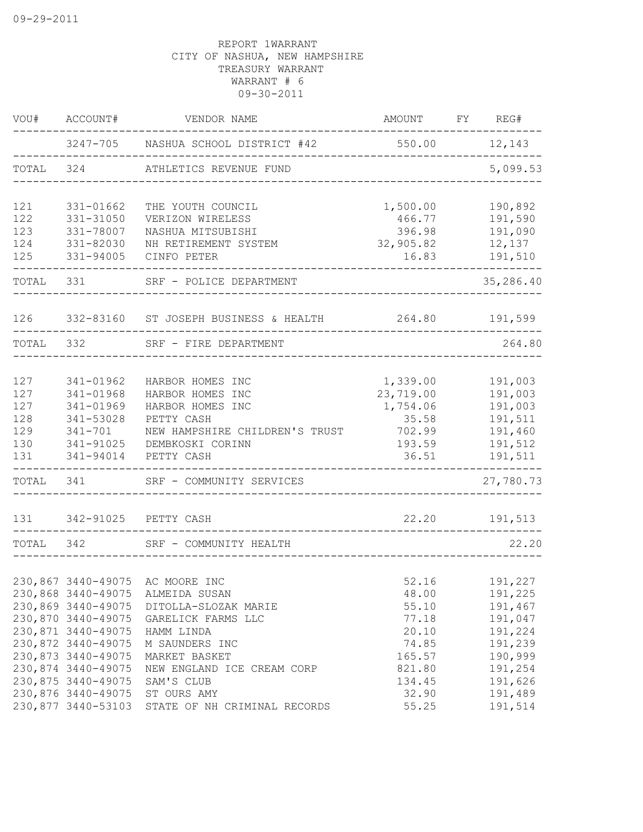| WOU#       | ACCOUNT#                                 | VENDOR NAME                                          | AMOUNT FY REG#                 |                      |
|------------|------------------------------------------|------------------------------------------------------|--------------------------------|----------------------|
|            |                                          | 3247-705 NASHUA SCHOOL DISTRICT #42                  | 550.00 12,143                  |                      |
| TOTAL 324  |                                          | ATHLETICS REVENUE FUND                               |                                | 5,099.53             |
| 121        | 331-01662                                | THE YOUTH COUNCIL                                    | 1,500.00                       | 190,892              |
| 122        | 331-31050                                | VERIZON WIRELESS                                     | 466.77                         | 191,590              |
| 123        | 331-78007                                | NASHUA MITSUBISHI                                    | 396.98                         | 191,090              |
| 124<br>125 | 331-82030<br>331-94005                   | NH RETIREMENT SYSTEM<br>CINFO PETER                  | 32,905.82<br>16.83             | 12,137<br>191,510    |
| TOTAL 331  |                                          | SRF - POLICE DEPARTMENT                              |                                | 35,286.40            |
| 126        |                                          | 332-83160 ST JOSEPH BUSINESS & HEALTH 264.80 191,599 |                                |                      |
| TOTAL      | 332                                      | SRF - FIRE DEPARTMENT                                |                                | 264.80               |
|            |                                          |                                                      |                                |                      |
| 127        | 341-01962                                | HARBOR HOMES INC                                     | 1,339.00                       | 191,003              |
| 127        | 341-01968                                | HARBOR HOMES INC                                     | 23,719.00                      | 191,003              |
| 127<br>128 | 341-01969<br>341-53028                   | HARBOR HOMES INC<br>PETTY CASH                       | 1,754.06<br>35.58              | 191,003<br>191,511   |
| 129        | $341 - 701$                              | NEW HAMPSHIRE CHILDREN'S TRUST                       | 702.99                         | 191,460              |
| 130        | 341-91025                                | DEMBKOSKI CORINN                                     | 193.59                         | 191,512              |
| 131        | 341-94014                                | PETTY CASH                                           | 36.51                          | 191,511              |
| TOTAL      | 341                                      | SRF - COMMUNITY SERVICES                             | <u> Liberal Liberal Libera</u> | -------<br>27,780.73 |
| 131        |                                          | 342-91025 PETTY CASH                                 | 22.20                          | 191,513              |
| TOTAL 342  |                                          | SRF - COMMUNITY HEALTH                               |                                | 22.20                |
|            |                                          |                                                      |                                |                      |
|            |                                          | 230,867 3440-49075 AC MOORE INC                      | 52.16                          | 191,227              |
|            | 230,868 3440-49075                       | ALMEIDA SUSAN                                        | 48.00                          | 191,225              |
|            | 230,869 3440-49075<br>230,870 3440-49075 | DITOLLA-SLOZAK MARIE<br>GARELICK FARMS LLC           | 55.10<br>77.18                 | 191,467<br>191,047   |
|            | 230,871 3440-49075                       | HAMM LINDA                                           | 20.10                          | 191,224              |
|            | 230,872 3440-49075                       | M SAUNDERS INC                                       | 74.85                          | 191,239              |
|            | 230,873 3440-49075                       | MARKET BASKET                                        | 165.57                         | 190,999              |
|            | 230,874 3440-49075                       | NEW ENGLAND ICE CREAM CORP                           | 821.80                         | 191,254              |
|            | 230,875 3440-49075                       | SAM'S CLUB                                           | 134.45                         | 191,626              |
|            | 230,876 3440-49075                       | ST OURS AMY                                          | 32.90                          | 191,489              |
|            | 230,877 3440-53103                       | STATE OF NH CRIMINAL RECORDS                         | 55.25                          | 191,514              |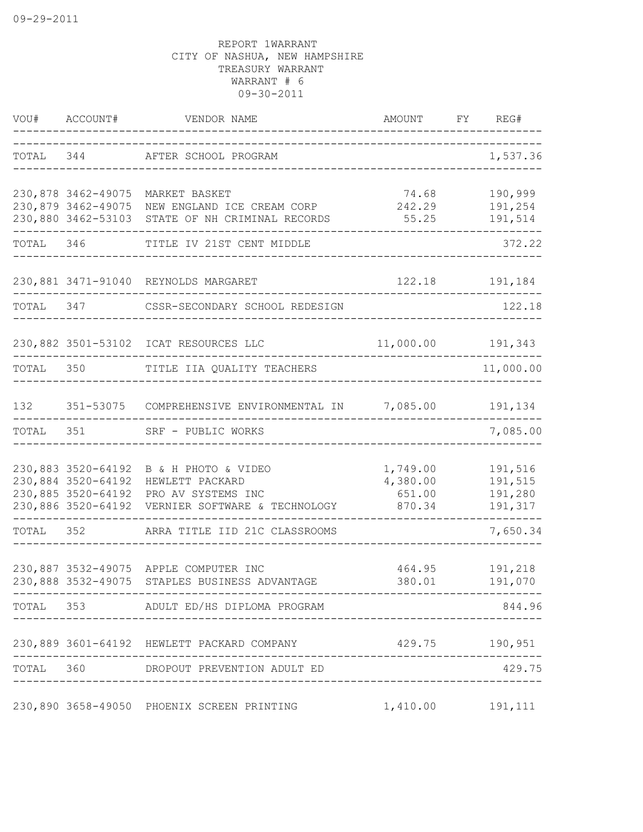|       |                                          | VOU# ACCOUNT# VENDOR NAME                                                                                                                  | AMOUNT FY REG#                   |                                          |
|-------|------------------------------------------|--------------------------------------------------------------------------------------------------------------------------------------------|----------------------------------|------------------------------------------|
|       |                                          | TOTAL 344 AFTER SCHOOL PROGRAM                                                                                                             |                                  | 1,537.36                                 |
|       |                                          | 230,878 3462-49075 MARKET BASKET<br>230,879 3462-49075 NEW ENGLAND ICE CREAM CORP<br>230,880 3462-53103 STATE OF NH CRIMINAL RECORDS       | 74.68 190,999<br>242.29<br>55.25 | 191,254<br>191,514                       |
|       |                                          | TOTAL 346 TITLE IV 21ST CENT MIDDLE                                                                                                        |                                  | --------------<br>372.22                 |
|       |                                          | 230,881 3471-91040 REYNOLDS MARGARET                                                                                                       |                                  | 122.18 191,184                           |
|       |                                          | TOTAL 347 CSSR-SECONDARY SCHOOL REDESIGN                                                                                                   |                                  | 122.18                                   |
|       |                                          | 230,882 3501-53102 ICAT RESOURCES LLC 11,000.00 191,343                                                                                    |                                  |                                          |
|       |                                          | TOTAL 350 TITLE IIA QUALITY TEACHERS                                                                                                       |                                  | 11,000.00                                |
| 132   |                                          | 351-53075 COMPREHENSIVE ENVIRONMENTAL IN 7,085.00 191,134                                                                                  |                                  | . _ _ _ _ _ _ _ _ _ _ _ _ _              |
| TOTAL |                                          | 351 SRF - PUBLIC WORKS                                                                                                                     |                                  | 7,085.00                                 |
|       | 230,884 3520-64192<br>230,885 3520-64192 | 230,883 3520-64192 B & H PHOTO & VIDEO<br>HEWLETT PACKARD<br>PRO AV SYSTEMS INC<br>230,886 3520-64192 VERNIER SOFTWARE & TECHNOLOGY 870.34 | 1,749.00<br>4,380.00<br>651.00   | 191,516<br>191,515<br>191,280<br>191,317 |
|       |                                          | TOTAL 352 ARRA TITLE IID 21C CLASSROOMS                                                                                                    | -------------------------------- | 7,650.34                                 |
|       |                                          | 230,887 3532-49075 APPLE COMPUTER INC<br>230,888 3532-49075 STAPLES BUSINESS ADVANTAGE                                                     |                                  | 464.95 191,218                           |
|       |                                          | TOTAL 353 ADULT ED/HS DIPLOMA PROGRAM                                                                                                      | ---------------------------      | 844.96                                   |
|       |                                          | 230,889 3601-64192 HEWLETT PACKARD COMPANY 429.75 190,951<br>------------------------------------                                          |                                  |                                          |
|       |                                          | TOTAL 360 DROPOUT PREVENTION ADULT ED                                                                                                      | ____________________________     | 429.75                                   |
|       |                                          | 230,890 3658-49050 PHOENIX SCREEN PRINTING                                                                                                 | 1,410.00 191,111                 |                                          |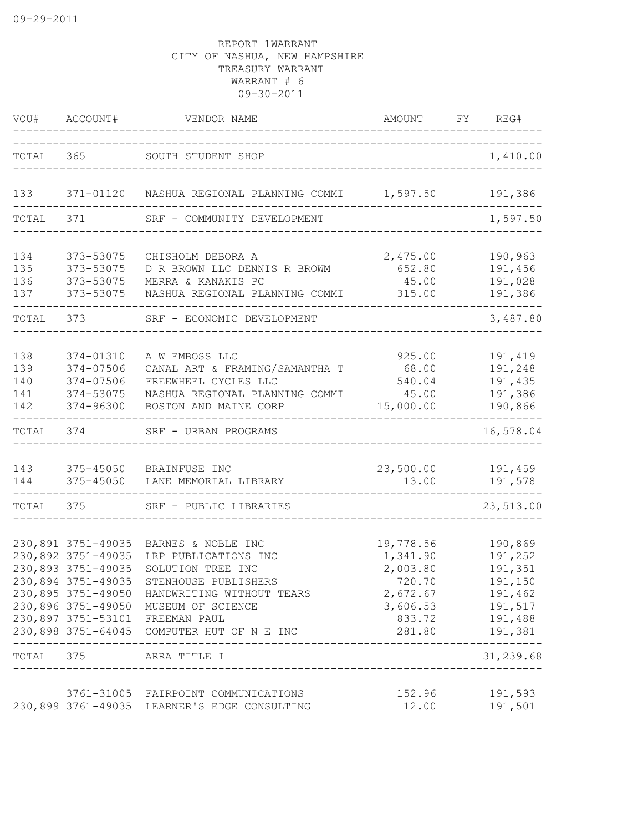|                 |                                          | VOU# ACCOUNT# VENDOR NAME                                                           | AMOUNT FY REG#                   |                           |
|-----------------|------------------------------------------|-------------------------------------------------------------------------------------|----------------------------------|---------------------------|
|                 |                                          | TOTAL 365 SOUTH STUDENT SHOP                                                        |                                  | 1,410.00                  |
|                 |                                          |                                                                                     | -------------------------------- |                           |
| 133             |                                          | 371-01120 NASHUA REGIONAL PLANNING COMMI 1,597.50 191,386                           |                                  |                           |
| TOTAL 371       |                                          | SRF - COMMUNITY DEVELOPMENT                                                         |                                  | 1,597.50                  |
| 134             | 373-53075                                | CHISHOLM DEBORA A                                                                   | 2,475.00                         | 190,963                   |
| 135             | 373-53075                                | D R BROWN LLC DENNIS R BROWM                                                        | 652.80                           | 191,456                   |
| 136<br>137      | 373-53075<br>373-53075                   | MERRA & KANAKIS PC<br>NASHUA REGIONAL PLANNING COMMI                                | 45.00<br>315.00                  | 191,028<br>191,386        |
|                 |                                          |                                                                                     |                                  | $\frac{1}{2}$             |
| TOTAL 373       |                                          | SRF - ECONOMIC DEVELOPMENT                                                          |                                  | 3,487.80                  |
| 138             | 374-01310                                | A W EMBOSS LLC                                                                      | 925.00                           | 191,419                   |
| 139             | 374-07506                                | CANAL ART & FRAMING/SAMANTHA T                                                      | 68.00                            | 191,248                   |
| 140             | 374-07506                                | FREEWHEEL CYCLES LLC                                                                | 540.04                           | 191,435                   |
| 141<br>142      | 374-53075<br>374-96300                   | NASHUA REGIONAL PLANNING COMMI<br>BOSTON AND MAINE CORP                             | 45.00<br>15,000.00               | 191,386<br>190,866        |
| TOTAL           | 374                                      | SRF - URBAN PROGRAMS                                                                |                                  | ------<br>16,578.04       |
| 143             | 375-45050                                | BRAINFUSE INC                                                                       | 23,500.00                        | 191,459                   |
| 144             | 375-45050                                | LANE MEMORIAL LIBRARY                                                               | 13.00                            | 191,578                   |
|                 |                                          | TOTAL 375 SRF - PUBLIC LIBRARIES                                                    | -------------------------------  | 23,513.00                 |
|                 |                                          |                                                                                     |                                  |                           |
|                 | 230,891 3751-49035<br>230,892 3751-49035 | BARNES & NOBLE INC<br>LRP PUBLICATIONS INC                                          | 19,778.56<br>1,341.90            | 190,869<br>191,252        |
|                 | 230,893 3751-49035                       | SOLUTION TREE INC                                                                   | 2,003.80                         | 191,351                   |
|                 | 230,894 3751-49035                       | STENHOUSE PUBLISHERS                                                                | 720.70                           | 191,150                   |
|                 |                                          | 230,895 3751-49050 HANDWRITING WITHOUT TEARS                                        | 2,672.67 191,462                 |                           |
|                 |                                          | 230,896 3751-49050 MUSEUM OF SCIENCE                                                | 3,606.53 191,517                 |                           |
|                 |                                          | 230,897 3751-53101 FREEMAN PAUL<br>230,898 3751-64045 COMPUTER HUT OF N E INC       | 833.72 191,488<br>281.80 191,381 |                           |
| _______________ |                                          | TOTAL 375 ARRA TITLE I                                                              |                                  | ____________<br>31,239.68 |
|                 |                                          |                                                                                     |                                  |                           |
|                 |                                          | 3761-31005 FAIRPOINT COMMUNICATIONS<br>230,899 3761-49035 LEARNER'S EDGE CONSULTING | 152.96<br>12.00                  | 191,593<br>191,501        |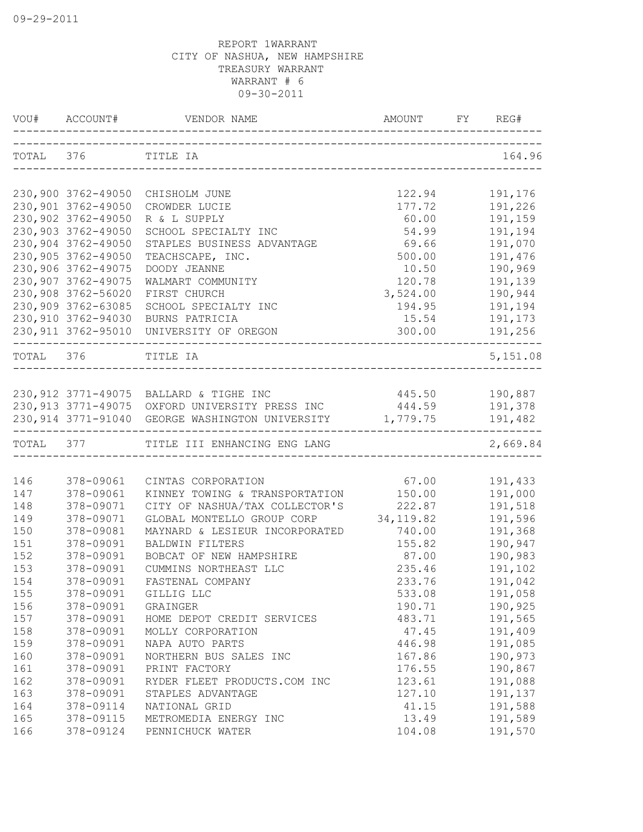| VOU# | ACCOUNT#           | VENDOR NAME                                              | AMOUNT FY REG#              |                                        |
|------|--------------------|----------------------------------------------------------|-----------------------------|----------------------------------------|
|      | TOTAL 376 TITLE IA |                                                          |                             | 164.96                                 |
|      | 230,900 3762-49050 | CHISHOLM JUNE                                            | 122.94                      | 191,176                                |
|      | 230,901 3762-49050 | CROWDER LUCIE                                            | 177.72                      | 191,226                                |
|      | 230,902 3762-49050 | R & L SUPPLY                                             | 60.00                       | 191,159                                |
|      | 230,903 3762-49050 | SCHOOL SPECIALTY INC                                     | 54.99                       | 191,194                                |
|      | 230,904 3762-49050 | STAPLES BUSINESS ADVANTAGE                               | 69.66                       | 191,070                                |
|      | 230,905 3762-49050 | TEACHSCAPE, INC.                                         | 500.00                      | 191,476                                |
|      | 230,906 3762-49075 | DOODY JEANNE                                             | 10.50                       | 190,969                                |
|      | 230,907 3762-49075 | WALMART COMMUNITY                                        | 120.78                      | 191,139                                |
|      | 230,908 3762-56020 | FIRST CHURCH                                             | 3,524.00                    | 190,944                                |
|      | 230,909 3762-63085 | SCHOOL SPECIALTY INC                                     | 194.95                      | 191,194                                |
|      | 230,910 3762-94030 | BURNS PATRICIA                                           | 15.54                       | 191,173                                |
|      |                    | 230,911 3762-95010 UNIVERSITY OF OREGON                  | 300.00                      | 191,256                                |
|      | TOTAL 376 TITLE IA |                                                          | ___________________________ | 5,151.08                               |
|      |                    |                                                          |                             |                                        |
|      |                    | 230,912 3771-49075 BALLARD & TIGHE INC                   | 445.50 190,887              |                                        |
|      |                    | 230,913 3771-49075 OXFORD UNIVERSITY PRESS INC           | 444.59                      | 191,378                                |
|      |                    | 230,914 3771-91040 GEORGE WASHINGTON UNIVERSITY 1,779.75 |                             | 191,482<br>. _ _ _ _ _ _ _ _ _ _ _ _ _ |
|      |                    | TOTAL 377 TITLE III ENHANCING ENG LANG                   |                             | 2,669.84                               |
| 146  | 378-09061          | CINTAS CORPORATION                                       | 67.00                       | 191,433                                |
| 147  | 378-09061          | KINNEY TOWING & TRANSPORTATION 150.00                    |                             | 191,000                                |
| 148  | 378-09071          | CITY OF NASHUA/TAX COLLECTOR'S                           | 222.87                      | 191,518                                |
| 149  | 378-09071          | GLOBAL MONTELLO GROUP CORP                               | 34, 119.82                  | 191,596                                |
| 150  | 378-09081          | MAYNARD & LESIEUR INCORPORATED                           | 740.00                      | 191,368                                |
| 151  | 378-09091          | BALDWIN FILTERS                                          | 155.82                      | 190,947                                |
| 152  | 378-09091          | BOBCAT OF NEW HAMPSHIRE                                  | 87.00                       | 190,983                                |
| 153  | 378-09091          | CUMMINS NORTHEAST LLC                                    | 235.46                      | 191,102                                |
| 154  | 378-09091          | FASTENAL COMPANY                                         | 233.76                      | 191,042                                |
| 155  | 378-09091          | GILLIG LLC                                               | 533.08                      | 191,058                                |
| 156  | 378-09091          | GRAINGER                                                 | 190.71                      | 190,925                                |
| 157  | 378-09091          | HOME DEPOT CREDIT SERVICES                               | 483.71                      | 191,565                                |
| 158  | 378-09091          | MOLLY CORPORATION                                        | 47.45                       | 191,409                                |
| 159  | 378-09091          | NAPA AUTO PARTS                                          | 446.98                      | 191,085                                |
| 160  | 378-09091          | NORTHERN BUS SALES INC                                   | 167.86                      | 190,973                                |
| 161  | 378-09091          | PRINT FACTORY                                            | 176.55                      | 190,867                                |
| 162  | 378-09091          | RYDER FLEET PRODUCTS.COM INC                             | 123.61                      | 191,088                                |
| 163  | 378-09091          | STAPLES ADVANTAGE                                        | 127.10                      | 191,137                                |
| 164  | 378-09114          | NATIONAL GRID                                            | 41.15                       | 191,588                                |
| 165  | 378-09115          | METROMEDIA ENERGY INC                                    | 13.49                       | 191,589                                |
| 166  | 378-09124          | PENNICHUCK WATER                                         | 104.08                      | 191,570                                |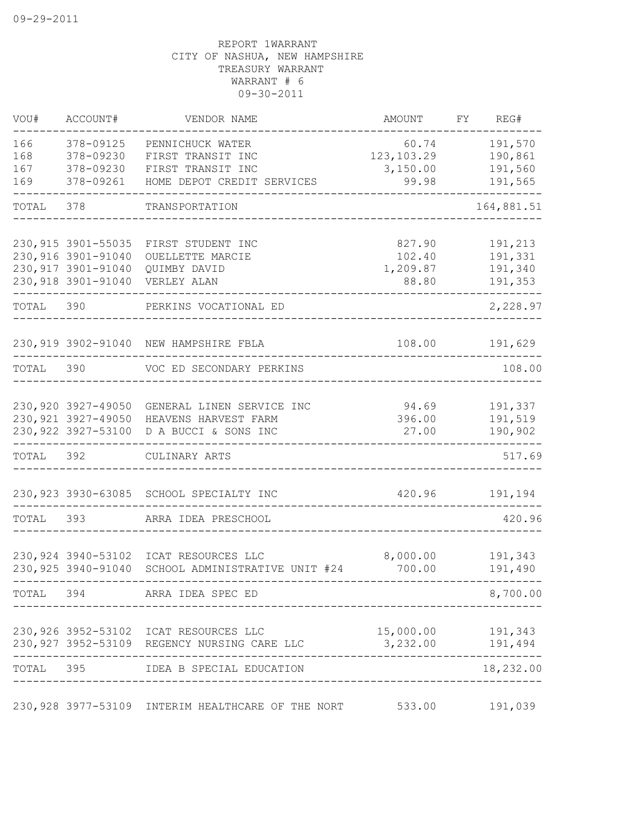| VOU#                     | ACCOUNT#                                                         | VENDOR NAME                                                                              | AMOUNT                                    | FY REG#                                  |
|--------------------------|------------------------------------------------------------------|------------------------------------------------------------------------------------------|-------------------------------------------|------------------------------------------|
| 166<br>168<br>167<br>169 | 378-09125<br>378-09230<br>378-09230<br>378-09261                 | PENNICHUCK WATER<br>FIRST TRANSIT INC<br>FIRST TRANSIT INC<br>HOME DEPOT CREDIT SERVICES | 60.74<br>123, 103.29<br>3,150.00<br>99.98 | 191,570<br>190,861<br>191,560<br>191,565 |
| TOTAL                    | 378                                                              | TRANSPORTATION                                                                           |                                           | 164,881.51                               |
|                          | 230, 915 3901-55035<br>230,916 3901-91040<br>230, 917 3901-91040 | FIRST STUDENT INC<br>OUELLETTE MARCIE<br>QUIMBY DAVID<br>230,918 3901-91040 VERLEY ALAN  | 827.90<br>102.40<br>1,209.87<br>88.80     | 191,213<br>191,331<br>191,340<br>191,353 |
| TOTAL 390                |                                                                  | PERKINS VOCATIONAL ED<br>_________________                                               |                                           | 2,228.97                                 |
|                          |                                                                  | 230,919 3902-91040 NEW HAMPSHIRE FBLA                                                    | 108.00                                    | 191,629                                  |
|                          |                                                                  | TOTAL 390 VOC ED SECONDARY PERKINS                                                       |                                           | 108.00                                   |
|                          | 230,920 3927-49050<br>230, 921 3927-49050<br>230, 922 3927-53100 | GENERAL LINEN SERVICE INC<br>HEAVENS HARVEST FARM<br>D A BUCCI & SONS INC                | 94.69<br>396.00<br>27.00                  | 191,337<br>191,519<br>190,902            |
| TOTAL 392                |                                                                  | CULINARY ARTS                                                                            |                                           | 517.69                                   |
|                          |                                                                  | 230,923 3930-63085 SCHOOL SPECIALTY INC                                                  | 420.96                                    | 191,194                                  |
|                          |                                                                  | TOTAL 393 ARRA IDEA PRESCHOOL                                                            |                                           | 420.96                                   |
|                          | 230,925 3940-91040                                               | 230,924 3940-53102 ICAT RESOURCES LLC<br>SCHOOL ADMINISTRATIVE UNIT #24                  | 8,000.00<br>700.00                        | 191,343<br>191,490                       |
|                          |                                                                  | TOTAL 394 ARRA IDEA SPEC ED                                                              |                                           | 8,700.00                                 |
|                          |                                                                  | 230,926 3952-53102 ICAT RESOURCES LLC<br>230,927 3952-53109 REGENCY NURSING CARE LLC     | 15,000.00 191,343<br>$3,232.00$ 191,494   |                                          |
|                          |                                                                  | TOTAL 395 IDEA B SPECIAL EDUCATION                                                       |                                           | 18,232.00                                |
|                          |                                                                  | 230,928 3977-53109 INTERIM HEALTHCARE OF THE NORT                                        | 533.00                                    | 191,039                                  |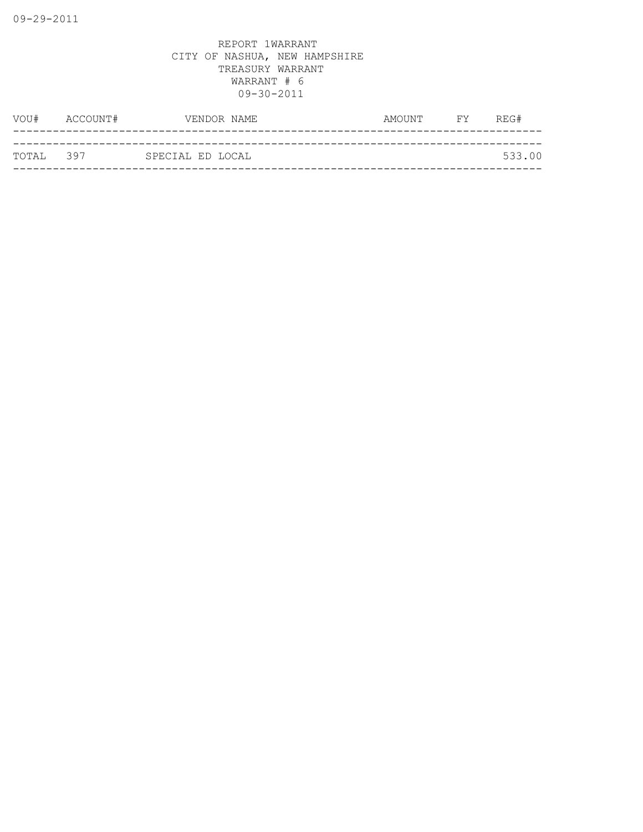| TOTAL 397 |               | SPECIAL ED LOCAL |           | 533.00 |
|-----------|---------------|------------------|-----------|--------|
|           |               |                  |           |        |
|           | VOU# ACCOUNT# | VENDOR NAME      | AMOUNT FY | REG#   |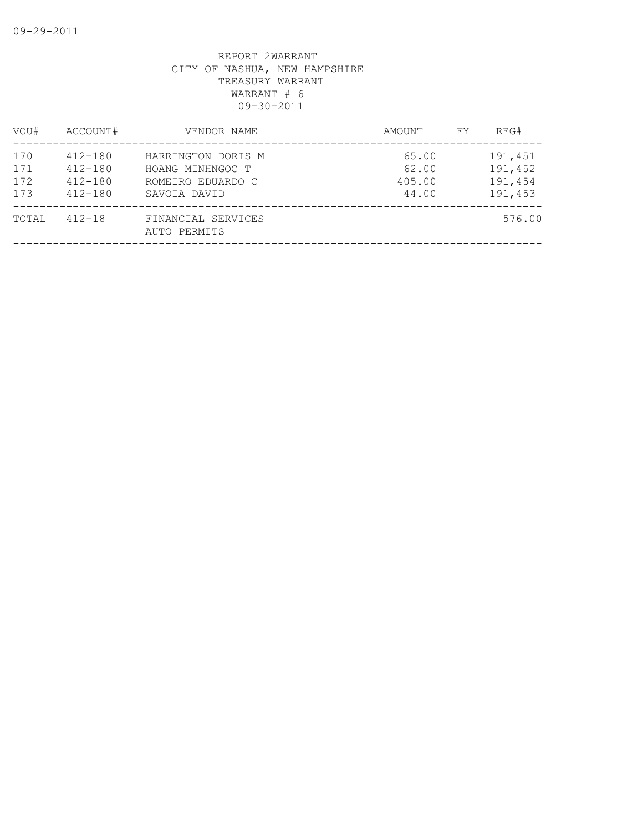| VOU#                     | ACCOUNT#                                                 | VENDOR NAME                                                                 | AMOUNT<br>FY                      | REG#                                     |
|--------------------------|----------------------------------------------------------|-----------------------------------------------------------------------------|-----------------------------------|------------------------------------------|
| 170<br>171<br>172<br>173 | $412 - 180$<br>$412 - 180$<br>$412 - 180$<br>$412 - 180$ | HARRINGTON DORIS M<br>HOANG MINHNGOC T<br>ROMEIRO EDUARDO C<br>SAVOIA DAVID | 65.00<br>62.00<br>405.00<br>44.00 | 191,451<br>191,452<br>191,454<br>191,453 |
| TOTAL                    | $412 - 18$                                               | FINANCIAL SERVICES<br>AUTO PERMITS                                          |                                   | 576.00                                   |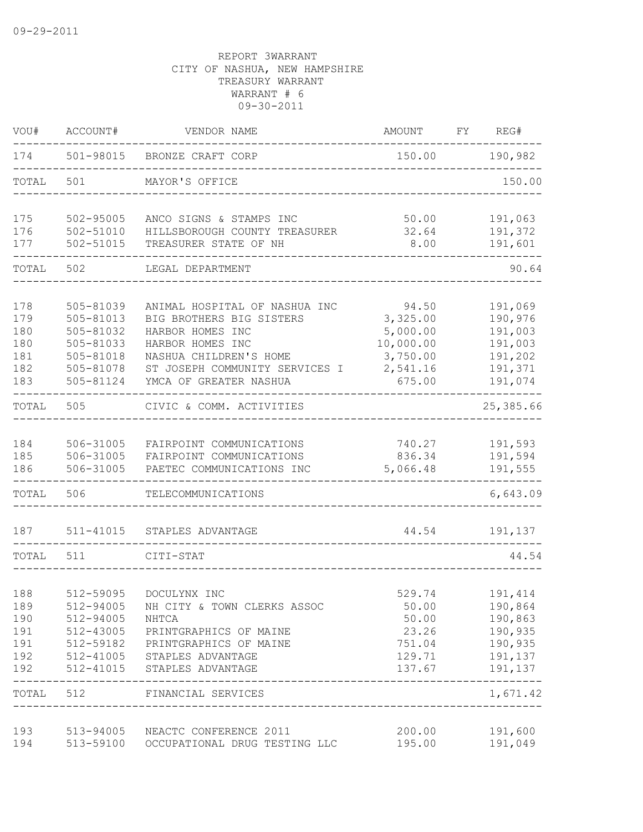| VOU#       | ACCOUNT#               | VENDOR NAME                                            | AMOUNT           | FY REG#                 |
|------------|------------------------|--------------------------------------------------------|------------------|-------------------------|
| 174        |                        | 501-98015 BRONZE CRAFT CORP                            | 150.00 190,982   |                         |
| TOTAL      | 501                    | MAYOR'S OFFICE                                         |                  | 150.00                  |
| 175        | 502-95005              | ANCO SIGNS & STAMPS INC                                | 50.00            | 191,063                 |
| 176<br>177 | 502-51010<br>502-51015 | HILLSBOROUGH COUNTY TREASURER<br>TREASURER STATE OF NH | 32.64<br>8.00    | 191,372<br>191,601      |
| TOTAL      | 502                    | LEGAL DEPARTMENT                                       |                  | 90.64                   |
| 178        | 505-81039              | ANIMAL HOSPITAL OF NASHUA INC                          | 94.50            | 191,069                 |
| 179        | 505-81013              | BIG BROTHERS BIG SISTERS                               | 3,325.00         | 190,976                 |
| 180        | 505-81032              | HARBOR HOMES INC                                       | 5,000.00         | 191,003                 |
| 180        | 505-81033              | HARBOR HOMES INC                                       | 10,000.00        | 191,003                 |
| 181        | 505-81018              | NASHUA CHILDREN'S HOME                                 | 3,750.00         | 191,202                 |
| 182        | 505-81078              | ST JOSEPH COMMUNITY SERVICES I                         | 2,541.16         | 191,371                 |
| 183        | 505-81124              | YMCA OF GREATER NASHUA                                 | 675.00           | 191,074<br>$   -$       |
| TOTAL      | 505                    | CIVIC & COMM. ACTIVITIES                               |                  | 25,385.66               |
| 184        | 506-31005              | FAIRPOINT COMMUNICATIONS                               | 740.27           | 191,593                 |
| 185        | 506-31005              | FAIRPOINT COMMUNICATIONS                               | 836.34           | 191,594                 |
| 186        | 506-31005              | PAETEC COMMUNICATIONS INC                              | 5,066.48         | 191,555                 |
| TOTAL      | 506                    | TELECOMMUNICATIONS<br>-------------------------        |                  | 6,643.09                |
| 187        |                        | 511-41015 STAPLES ADVANTAGE                            | 44.54            | 191,137                 |
| TOTAL      | 511                    | CITI-STAT                                              |                  | 44.54                   |
|            |                        |                                                        |                  |                         |
| 188        | 512-59095              | DOCULYNX INC                                           | 529.74           | 191,414                 |
| 189        | 512-94005              | NH CITY & TOWN CLERKS ASSOC                            | 50.00            | 190,864                 |
| 190        | 512-94005              | NHTCA                                                  | 50.00            | 190,863                 |
| 191        | 512-43005              | PRINTGRAPHICS OF MAINE                                 | 23.26            | 190,935                 |
| 191<br>192 | 512-59182<br>512-41005 | PRINTGRAPHICS OF MAINE<br>STAPLES ADVANTAGE            | 751.04<br>129.71 | 190,935<br>191,137      |
| 192        | 512-41015              | STAPLES ADVANTAGE                                      | 137.67           | 191,137                 |
| TOTAL      | 512                    | FINANCIAL SERVICES                                     |                  | $- - - - -$<br>1,671.42 |
| 193        | 513-94005              | NEACTC CONFERENCE 2011                                 | 200.00           | 191,600                 |
| 194        | 513-59100              | OCCUPATIONAL DRUG TESTING LLC                          | 195.00           | 191,049                 |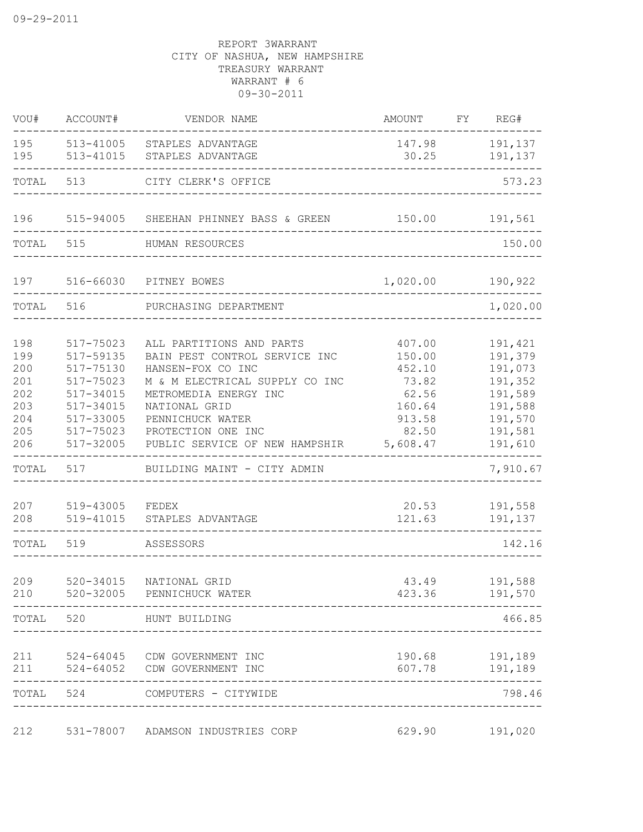| WOU#                                                        | ACCOUNT#                                                                                                          | VENDOR NAME                                                                                                                                                                                                                            | AMOUNT                                                                                | FY REG#                                                                                         |
|-------------------------------------------------------------|-------------------------------------------------------------------------------------------------------------------|----------------------------------------------------------------------------------------------------------------------------------------------------------------------------------------------------------------------------------------|---------------------------------------------------------------------------------------|-------------------------------------------------------------------------------------------------|
| 195<br>195                                                  | 513-41005<br>513-41015                                                                                            | STAPLES ADVANTAGE<br>STAPLES ADVANTAGE                                                                                                                                                                                                 | 147.98<br>30.25                                                                       | 191,137<br>191,137                                                                              |
| TOTAL                                                       | 513                                                                                                               | CITY CLERK'S OFFICE                                                                                                                                                                                                                    |                                                                                       | 573.23                                                                                          |
| 196                                                         |                                                                                                                   | 515-94005 SHEEHAN PHINNEY BASS & GREEN 150.00                                                                                                                                                                                          |                                                                                       | 191,561                                                                                         |
| TOTAL                                                       | 515                                                                                                               | HUMAN RESOURCES                                                                                                                                                                                                                        |                                                                                       | 150.00                                                                                          |
| 197                                                         |                                                                                                                   | 516-66030 PITNEY BOWES                                                                                                                                                                                                                 | 1,020.00 190,922                                                                      |                                                                                                 |
| TOTAL                                                       | 516                                                                                                               | PURCHASING DEPARTMENT                                                                                                                                                                                                                  |                                                                                       | 1,020.00                                                                                        |
| 198<br>199<br>200<br>201<br>202<br>203<br>204<br>205<br>206 | 517-75023<br>517-59135<br>517-75130<br>517-75023<br>517-34015<br>517-34015<br>517-33005<br>517-75023<br>517-32005 | ALL PARTITIONS AND PARTS<br>BAIN PEST CONTROL SERVICE INC<br>HANSEN-FOX CO INC<br>M & M ELECTRICAL SUPPLY CO INC<br>METROMEDIA ENERGY INC<br>NATIONAL GRID<br>PENNICHUCK WATER<br>PROTECTION ONE INC<br>PUBLIC SERVICE OF NEW HAMPSHIR | 407.00<br>150.00<br>452.10<br>73.82<br>62.56<br>160.64<br>913.58<br>82.50<br>5,608.47 | 191,421<br>191,379<br>191,073<br>191,352<br>191,589<br>191,588<br>191,570<br>191,581<br>191,610 |
| TOTAL                                                       | 517                                                                                                               | BUILDING MAINT - CITY ADMIN                                                                                                                                                                                                            |                                                                                       | 7,910.67                                                                                        |
| 207<br>208<br>TOTAL                                         | 519-43005<br>519-41015<br>519                                                                                     | FEDEX<br>STAPLES ADVANTAGE<br>ASSESSORS                                                                                                                                                                                                | 20.53<br>121.63                                                                       | 191,558<br>191,137<br>142.16                                                                    |
|                                                             |                                                                                                                   |                                                                                                                                                                                                                                        |                                                                                       |                                                                                                 |
| 209                                                         | 520-34015                                                                                                         | NATIONAL GRID<br>210 520-32005 PENNICHUCK WATER<br>_________________                                                                                                                                                                   | 43.49<br>423.36                                                                       | 191,588<br>191,570                                                                              |
|                                                             |                                                                                                                   | TOTAL 520 HUNT BUILDING                                                                                                                                                                                                                |                                                                                       | 466.85                                                                                          |
| 211                                                         | -----------                                                                                                       | 524-64045 CDW GOVERNMENT INC<br>211 524-64052 CDW GOVERNMENT INC                                                                                                                                                                       |                                                                                       | 190.68 191,189<br>607.78 191,189                                                                |
|                                                             |                                                                                                                   | TOTAL 524 COMPUTERS - CITYWIDE                                                                                                                                                                                                         |                                                                                       | 798.46                                                                                          |
| 212                                                         |                                                                                                                   | 531-78007 ADAMSON INDUSTRIES CORP                                                                                                                                                                                                      | 629.90                                                                                | 191,020                                                                                         |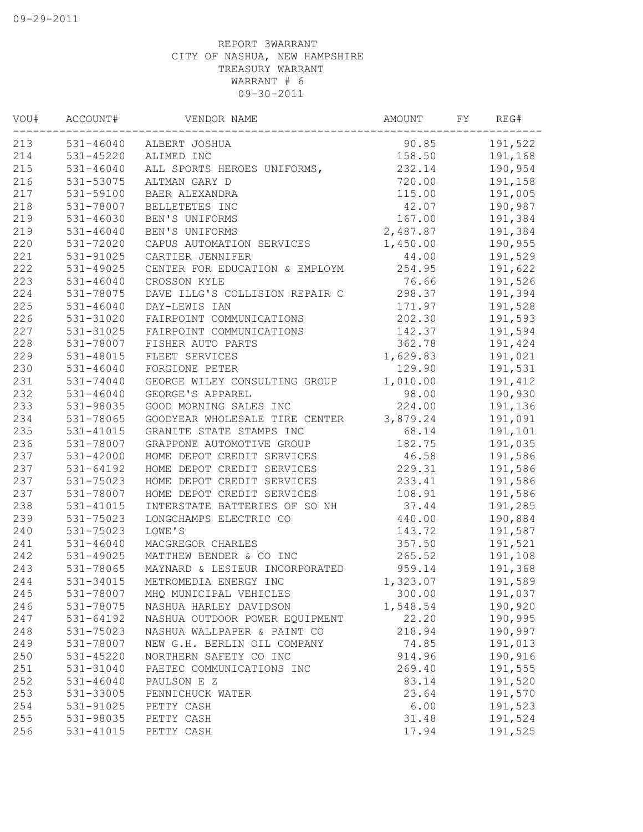| VOU# | ACCOUNT#      | VENDOR NAME                    | AMOUNT   | FY | REG#    |
|------|---------------|--------------------------------|----------|----|---------|
| 213  |               | 531-46040 ALBERT JOSHUA        | 90.85    |    | 191,522 |
| 214  | 531-45220     | ALIMED INC                     | 158.50   |    | 191,168 |
| 215  | $531 - 46040$ | ALL SPORTS HEROES UNIFORMS,    | 232.14   |    | 190,954 |
| 216  | 531-53075     | ALTMAN GARY D                  | 720.00   |    | 191,158 |
| 217  | 531-59100     | BAER ALEXANDRA                 | 115.00   |    | 191,005 |
| 218  | 531-78007     | BELLETETES INC                 | 42.07    |    | 190,987 |
| 219  | $531 - 46030$ | BEN'S UNIFORMS                 | 167.00   |    | 191,384 |
| 219  | 531-46040     | BEN'S UNIFORMS                 | 2,487.87 |    | 191,384 |
| 220  | 531-72020     | CAPUS AUTOMATION SERVICES      | 1,450.00 |    | 190,955 |
| 221  | 531-91025     | CARTIER JENNIFER               | 44.00    |    | 191,529 |
| 222  | 531-49025     | CENTER FOR EDUCATION & EMPLOYM | 254.95   |    | 191,622 |
| 223  | 531-46040     | CROSSON KYLE                   | 76.66    |    | 191,526 |
| 224  | 531-78075     | DAVE ILLG'S COLLISION REPAIR C | 298.37   |    | 191,394 |
| 225  | $531 - 46040$ | DAY-LEWIS IAN                  | 171.97   |    | 191,528 |
| 226  | 531-31020     | FAIRPOINT COMMUNICATIONS       | 202.30   |    | 191,593 |
| 227  | 531-31025     | FAIRPOINT COMMUNICATIONS       | 142.37   |    | 191,594 |
| 228  | 531-78007     | FISHER AUTO PARTS              | 362.78   |    | 191,424 |
| 229  | 531-48015     | FLEET SERVICES                 | 1,629.83 |    | 191,021 |
| 230  | $531 - 46040$ | FORGIONE PETER                 | 129.90   |    | 191,531 |
| 231  | 531-74040     | GEORGE WILEY CONSULTING GROUP  | 1,010.00 |    | 191,412 |
| 232  | $531 - 46040$ | GEORGE'S APPAREL               | 98.00    |    | 190,930 |
| 233  | 531-98035     | GOOD MORNING SALES INC         | 224.00   |    | 191,136 |
| 234  | 531-78065     | GOODYEAR WHOLESALE TIRE CENTER | 3,879.24 |    | 191,091 |
| 235  | 531-41015     | GRANITE STATE STAMPS INC       | 68.14    |    | 191,101 |
| 236  | 531-78007     | GRAPPONE AUTOMOTIVE GROUP      | 182.75   |    | 191,035 |
| 237  | 531-42000     | HOME DEPOT CREDIT SERVICES     | 46.58    |    | 191,586 |
| 237  | 531-64192     | HOME DEPOT CREDIT SERVICES     | 229.31   |    | 191,586 |
| 237  | 531-75023     | HOME DEPOT CREDIT SERVICES     | 233.41   |    | 191,586 |
| 237  | 531-78007     | HOME DEPOT CREDIT SERVICES     | 108.91   |    | 191,586 |
| 238  | 531-41015     | INTERSTATE BATTERIES OF SO NH  | 37.44    |    | 191,285 |
| 239  | 531-75023     | LONGCHAMPS ELECTRIC CO         | 440.00   |    | 190,884 |
| 240  | 531-75023     | LOWE'S                         | 143.72   |    | 191,587 |
| 241  | 531-46040     | MACGREGOR CHARLES              | 357.50   |    | 191,521 |
| 242  | 531-49025     | MATTHEW BENDER & CO INC        | 265.52   |    | 191,108 |
| 243  | 531-78065     | MAYNARD & LESIEUR INCORPORATED | 959.14   |    | 191,368 |
| 244  | 531-34015     | METROMEDIA ENERGY INC          | 1,323.07 |    | 191,589 |
| 245  | 531-78007     | MHQ MUNICIPAL VEHICLES         | 300.00   |    | 191,037 |
| 246  | 531-78075     | NASHUA HARLEY DAVIDSON         | 1,548.54 |    | 190,920 |
| 247  | 531-64192     | NASHUA OUTDOOR POWER EQUIPMENT | 22.20    |    | 190,995 |
| 248  | 531-75023     | NASHUA WALLPAPER & PAINT CO    | 218.94   |    | 190,997 |
| 249  | 531-78007     | NEW G.H. BERLIN OIL COMPANY    | 74.85    |    | 191,013 |
| 250  | 531-45220     | NORTHERN SAFETY CO INC         | 914.96   |    | 190,916 |
| 251  | 531-31040     | PAETEC COMMUNICATIONS INC      | 269.40   |    | 191,555 |
| 252  | $531 - 46040$ | PAULSON E Z                    | 83.14    |    | 191,520 |
| 253  | 531-33005     | PENNICHUCK WATER               | 23.64    |    | 191,570 |
| 254  | 531-91025     | PETTY CASH                     | 6.00     |    | 191,523 |
| 255  | 531-98035     | PETTY CASH                     | 31.48    |    | 191,524 |
| 256  | 531-41015     | PETTY CASH                     | 17.94    |    | 191,525 |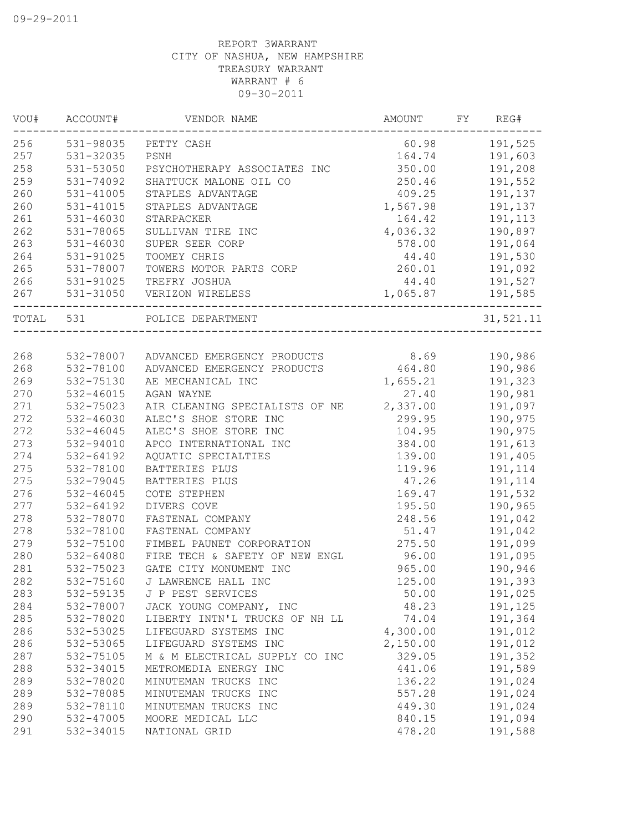| VOU#      | ACCOUNT#      | VENDOR NAME                             | AMOUNT   | FY | REG#                  |
|-----------|---------------|-----------------------------------------|----------|----|-----------------------|
| 256       | 531-98035     | PETTY CASH                              | 60.98    |    | 191,525               |
| 257       | 531-32035     | PSNH                                    | 164.74   |    | 191,603               |
| 258       | 531-53050     | PSYCHOTHERAPY ASSOCIATES INC            | 350.00   |    | 191,208               |
| 259       | 531-74092     | SHATTUCK MALONE OIL CO                  | 250.46   |    | 191,552               |
| 260       | 531-41005     | STAPLES ADVANTAGE                       | 409.25   |    | 191,137               |
| 260       | 531-41015     | STAPLES ADVANTAGE                       | 1,567.98 |    | 191,137               |
| 261       | 531-46030     | STARPACKER                              | 164.42   |    | 191,113               |
| 262       | 531-78065     | SULLIVAN TIRE INC                       | 4,036.32 |    | 190,897               |
| 263       | 531-46030     | SUPER SEER CORP                         | 578.00   |    | 191,064               |
| 264       | 531-91025     | TOOMEY CHRIS                            | 44.40    |    | 191,530               |
| 265       | 531-78007     | TOWERS MOTOR PARTS CORP                 | 260.01   |    | 191,092               |
| 266       | 531-91025     | TREFRY JOSHUA                           | 44.40    |    | 191,527               |
| 267       | 531-31050     | VERIZON WIRELESS                        | 1,065.87 |    | 191,585               |
| TOTAL 531 |               | ------------------<br>POLICE DEPARTMENT |          |    | --------<br>31,521.11 |
|           |               |                                         |          |    |                       |
| 268       | 532-78007     | ADVANCED EMERGENCY PRODUCTS             | 8.69     |    | 190,986               |
| 268       | 532-78100     | ADVANCED EMERGENCY PRODUCTS             | 464.80   |    | 190,986               |
| 269       | 532-75130     | AE MECHANICAL INC                       | 1,655.21 |    | 191,323               |
| 270       | 532-46015     | AGAN WAYNE                              | 27.40    |    | 190,981               |
| 271       | 532-75023     | AIR CLEANING SPECIALISTS OF NE          | 2,337.00 |    | 191,097               |
| 272       | 532-46030     | ALEC'S SHOE STORE INC                   | 299.95   |    | 190,975               |
| 272       | 532-46045     | ALEC'S SHOE STORE INC                   | 104.95   |    | 190,975               |
| 273       | 532-94010     | APCO INTERNATIONAL INC                  | 384.00   |    | 191,613               |
| 274       | 532-64192     | AQUATIC SPECIALTIES                     | 139.00   |    | 191,405               |
| 275       | 532-78100     | BATTERIES PLUS                          | 119.96   |    | 191,114               |
| 275       | 532-79045     | BATTERIES PLUS                          | 47.26    |    | 191,114               |
| 276       | $532 - 46045$ | COTE STEPHEN                            | 169.47   |    | 191,532               |
| 277       | 532-64192     | DIVERS COVE                             | 195.50   |    | 190,965               |
| 278       | 532-78070     | FASTENAL COMPANY                        | 248.56   |    | 191,042               |
| 278       | 532-78100     | FASTENAL COMPANY                        | 51.47    |    | 191,042               |
| 279       | 532-75100     | FIMBEL PAUNET CORPORATION               | 275.50   |    | 191,099               |
| 280       | 532-64080     | FIRE TECH & SAFETY OF NEW ENGL          | 96.00    |    | 191,095               |
| 281       | 532-75023     | GATE CITY MONUMENT INC                  | 965.00   |    | 190,946               |
| 282       | 532-75160     | J LAWRENCE HALL INC                     | 125.00   |    | 191,393               |
| 283       | 532-59135     | J P PEST SERVICES                       | 50.00    |    | 191,025               |
|           |               |                                         |          |    |                       |
| 284       | 532-78007     | JACK YOUNG COMPANY, INC                 | 48.23    |    | 191,125               |
| 285       | 532-78020     | LIBERTY INTN'L TRUCKS OF NH LL          | 74.04    |    | 191,364               |
| 286       | 532-53025     | LIFEGUARD SYSTEMS INC                   | 4,300.00 |    | 191,012               |
| 286       | 532-53065     | LIFEGUARD SYSTEMS INC                   | 2,150.00 |    | 191,012               |
| 287       | 532-75105     | M & M ELECTRICAL SUPPLY CO INC          | 329.05   |    | 191,352               |
| 288       | 532-34015     | METROMEDIA ENERGY INC                   | 441.06   |    | 191,589               |
| 289       | 532-78020     | MINUTEMAN TRUCKS INC                    | 136.22   |    | 191,024               |
| 289       | 532-78085     | MINUTEMAN TRUCKS INC                    | 557.28   |    | 191,024               |
| 289       | 532-78110     | MINUTEMAN TRUCKS INC                    | 449.30   |    | 191,024               |
| 290       | 532-47005     | MOORE MEDICAL LLC                       | 840.15   |    | 191,094               |
| 291       | 532-34015     | NATIONAL GRID                           | 478.20   |    | 191,588               |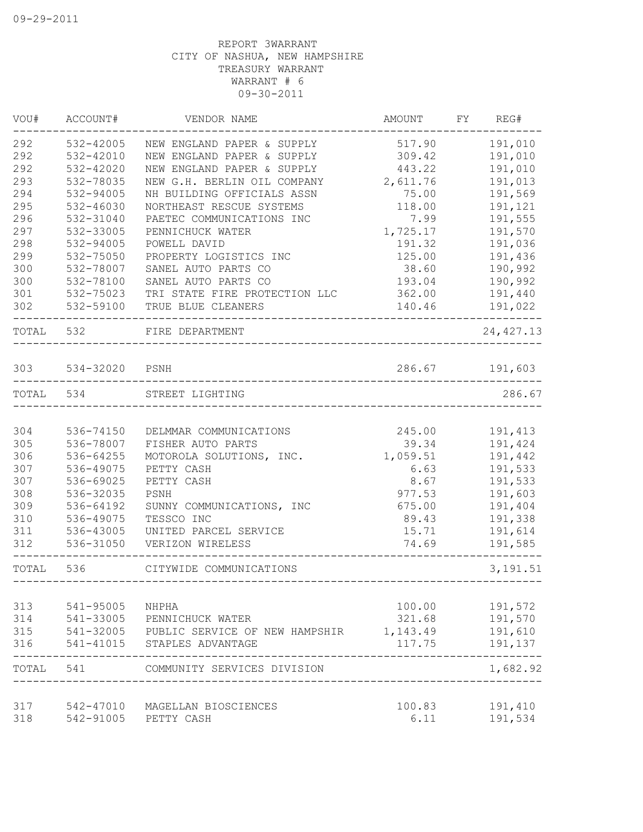| VOU#      | ACCOUNT#       | VENDOR NAME                    | AMOUNT   | FY | REG#                 |
|-----------|----------------|--------------------------------|----------|----|----------------------|
| 292       | 532-42005      | NEW ENGLAND PAPER & SUPPLY     | 517.90   |    | 191,010              |
| 292       | 532-42010      | NEW ENGLAND PAPER & SUPPLY     | 309.42   |    | 191,010              |
| 292       | $532 - 42020$  | NEW ENGLAND PAPER & SUPPLY     | 443.22   |    | 191,010              |
| 293       | 532-78035      | NEW G.H. BERLIN OIL COMPANY    | 2,611.76 |    | 191,013              |
| 294       | 532-94005      | NH BUILDING OFFICIALS ASSN     | 75.00    |    | 191,569              |
| 295       | 532-46030      | NORTHEAST RESCUE SYSTEMS       | 118.00   |    | 191,121              |
| 296       | 532-31040      | PAETEC COMMUNICATIONS INC      | 7.99     |    | 191,555              |
| 297       | 532-33005      | PENNICHUCK WATER               | 1,725.17 |    | 191,570              |
| 298       | 532-94005      | POWELL DAVID                   | 191.32   |    | 191,036              |
| 299       | 532-75050      | PROPERTY LOGISTICS INC         | 125.00   |    | 191,436              |
| 300       | 532-78007      | SANEL AUTO PARTS CO            | 38.60    |    | 190,992              |
| 300       | 532-78100      | SANEL AUTO PARTS CO            | 193.04   |    | 190,992              |
| 301       | 532-75023      | TRI STATE FIRE PROTECTION LLC  | 362.00   |    | 191,440              |
| 302       | 532-59100      | TRUE BLUE CLEANERS             | 140.46   |    | 191,022<br>$- - - -$ |
| TOTAL 532 |                | FIRE DEPARTMENT                |          |    | 24, 427.13           |
|           |                |                                |          |    |                      |
| 303       | 534-32020 PSNH |                                | 286.67   |    | 191,603              |
| TOTAL 534 |                | STREET LIGHTING                |          |    | 286.67               |
|           |                |                                |          |    |                      |
| 304       | 536-74150      | DELMMAR COMMUNICATIONS         | 245.00   |    | 191,413              |
| 305       | 536-78007      | FISHER AUTO PARTS              | 39.34    |    | 191,424              |
| 306       | 536-64255      | MOTOROLA SOLUTIONS, INC.       | 1,059.51 |    | 191,442              |
| 307       | 536-49075      | PETTY CASH                     | 6.63     |    | 191,533              |
| 307       | 536-69025      | PETTY CASH                     | 8.67     |    | 191,533              |
| 308       | 536-32035      | PSNH                           | 977.53   |    | 191,603              |
| 309       | 536-64192      | SUNNY COMMUNICATIONS, INC      | 675.00   |    | 191,404              |
| 310       | 536-49075      | TESSCO INC                     | 89.43    |    | 191,338              |
| 311       | 536-43005      | UNITED PARCEL SERVICE          | 15.71    |    | 191,614              |
| 312       | 536-31050      | VERIZON WIRELESS               | 74.69    |    | 191,585              |
| TOTAL     | 536            | CITYWIDE COMMUNICATIONS        |          |    | 3, 191.51            |
|           |                |                                |          |    |                      |
| 313       | 541-95005      | NHPHA                          | 100.00   |    | 191,572              |
| 314       | 541-33005      | PENNICHUCK WATER               | 321.68   |    | 191,570              |
| 315       | 541-32005      | PUBLIC SERVICE OF NEW HAMPSHIR | 1,143.49 |    | 191,610              |
| 316       | 541-41015      | STAPLES ADVANTAGE              | 117.75   |    | 191,137<br>-----     |
| TOTAL     | 541            | COMMUNITY SERVICES DIVISION    |          |    | 1,682.92             |
| 317       | 542-47010      | MAGELLAN BIOSCIENCES           | 100.83   |    | 191,410              |
| 318       | 542-91005      | PETTY CASH                     | 6.11     |    | 191,534              |
|           |                |                                |          |    |                      |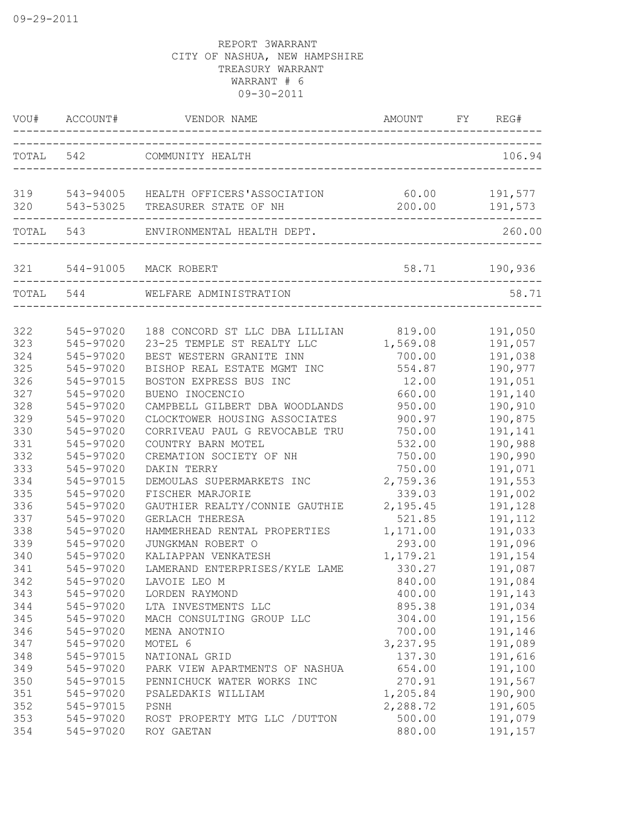|            | VOU# ACCOUNT# | VENDOR NAME                                                              | AMOUNT FY                   | REG#               |
|------------|---------------|--------------------------------------------------------------------------|-----------------------------|--------------------|
| TOTAL 542  |               | COMMUNITY HEALTH                                                         |                             | 106.94             |
| 319<br>320 |               | 543-94005 HEALTH OFFICERS'ASSOCIATION<br>543-53025 TREASURER STATE OF NH | 60.00<br>200.00             | 191,577<br>191,573 |
| TOTAL 543  |               | ENVIRONMENTAL HEALTH DEPT.                                               |                             | 260.00             |
| 321        |               | 544-91005 MACK ROBERT                                                    | 58.71                       | 190,936            |
|            | TOTAL 544     | WELFARE ADMINISTRATION                                                   | ___________________________ | 58.71              |
| 322        | 545-97020     | 188 CONCORD ST LLC DBA LILLIAN                                           | 819.00                      | 191,050            |
| 323        | 545-97020     | 23-25 TEMPLE ST REALTY LLC                                               | 1,569.08                    | 191,057            |
| 324        | 545-97020     | BEST WESTERN GRANITE INN                                                 | 700.00                      | 191,038            |
| 325        | 545-97020     | BISHOP REAL ESTATE MGMT INC                                              | 554.87                      | 190,977            |
| 326        | 545-97015     | BOSTON EXPRESS BUS INC                                                   | 12.00                       | 191,051            |
| 327        | 545-97020     | BUENO INOCENCIO                                                          | 660.00                      | 191,140            |
| 328        | 545-97020     | CAMPBELL GILBERT DBA WOODLANDS                                           | 950.00                      | 190,910            |
| 329        | 545-97020     | CLOCKTOWER HOUSING ASSOCIATES                                            | 900.97                      | 190,875            |
| 330        | 545-97020     | CORRIVEAU PAUL G REVOCABLE TRU                                           | 750.00                      | 191,141            |
| 331        | 545-97020     | COUNTRY BARN MOTEL                                                       | 532.00                      | 190,988            |
| 332        | 545-97020     | CREMATION SOCIETY OF NH                                                  | 750.00                      | 190,990            |
| 333        | 545-97020     | DAKIN TERRY                                                              | 750.00                      | 191,071            |
| 334        | 545-97015     | DEMOULAS SUPERMARKETS INC                                                | 2,759.36                    | 191,553            |
| 335        | 545-97020     | FISCHER MARJORIE                                                         | 339.03                      | 191,002            |
| 336        | 545-97020     | GAUTHIER REALTY/CONNIE GAUTHIE                                           | 2,195.45                    | 191,128            |
| 337        | 545-97020     | GERLACH THERESA                                                          | 521.85                      | 191,112            |
| 338        | 545-97020     | HAMMERHEAD RENTAL PROPERTIES                                             | 1,171.00                    | 191,033            |
| 339        | 545-97020     | JUNGKMAN ROBERT O                                                        | 293.00                      | 191,096            |
| 340        | 545-97020     | KALIAPPAN VENKATESH                                                      | 1,179.21                    | 191,154            |
| 341        | 545-97020     | LAMERAND ENTERPRISES/KYLE LAME                                           | 330.27                      | 191,087            |
| 342        | 545-97020     | LAVOIE LEO M                                                             | 840.00                      | 191,084            |
| 343        | 545-97020     | LORDEN RAYMOND                                                           | 400.00                      | 191,143            |
| 344        | 545-97020     | LTA INVESTMENTS LLC                                                      | 895.38                      | 191,034            |
| 345        | 545-97020     | MACH CONSULTING GROUP LLC                                                | 304.00                      | 191,156            |
| 346        | 545-97020     | MENA ANOTNIO                                                             | 700.00                      | 191,146            |
| 347        | 545-97020     | MOTEL 6                                                                  | 3, 237.95                   | 191,089            |
| 348        | 545-97015     | NATIONAL GRID                                                            | 137.30                      | 191,616            |
| 349        | 545-97020     | PARK VIEW APARTMENTS OF NASHUA                                           | 654.00                      | 191,100            |
| 350        | 545-97015     | PENNICHUCK WATER WORKS INC                                               | 270.91                      | 191,567            |
| 351        | 545-97020     | PSALEDAKIS WILLIAM                                                       | 1,205.84                    | 190,900            |
| 352        | 545-97015     | PSNH                                                                     | 2,288.72                    | 191,605            |
| 353        | 545-97020     | ROST PROPERTY MTG LLC / DUTTON                                           | 500.00                      | 191,079            |
| 354        | 545-97020     | ROY GAETAN                                                               | 880.00                      | 191,157            |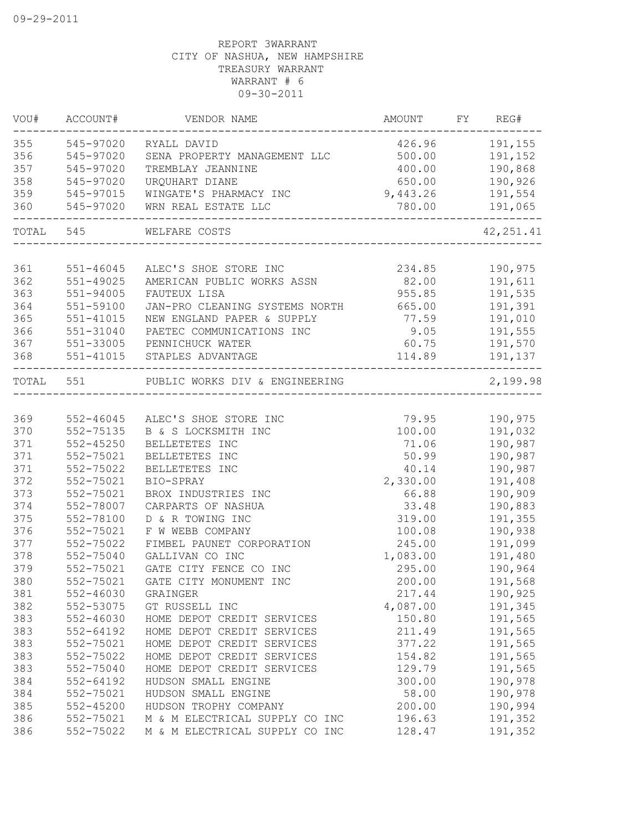| WOU#      | ACCOUNT#      | VENDOR NAME                                    | AMOUNT      | FY | REG#       |
|-----------|---------------|------------------------------------------------|-------------|----|------------|
| 355       | 545-97020     | RYALL DAVID                                    | 426.96      |    | 191,155    |
| 356       | 545-97020     | SENA PROPERTY MANAGEMENT LLC                   | 500.00      |    | 191,152    |
| 357       | 545-97020     | TREMBLAY JEANNINE                              | 400.00      |    | 190,868    |
| 358       | 545-97020     | URQUHART DIANE                                 | 650.00      |    | 190,926    |
| 359       | 545-97015     | WINGATE'S PHARMACY INC                         | 9,443.26    |    | 191,554    |
| 360       | 545-97020     | WRN REAL ESTATE LLC<br>------------            | 780.00      |    | 191,065    |
| TOTAL 545 |               | WELFARE COSTS                                  |             |    | 42, 251.41 |
| 361       | 551-46045     | ALEC'S SHOE STORE INC                          | 234.85      |    | 190,975    |
| 362       | $551 - 49025$ | AMERICAN PUBLIC WORKS ASSN                     | 82.00       |    | 191,611    |
| 363       | $551 - 94005$ |                                                | 955.85      |    | 191,535    |
| 364       | 551-59100     | FAUTEUX LISA<br>JAN-PRO CLEANING SYSTEMS NORTH | 665.00      |    | 191,391    |
| 365       | $551 - 41015$ | NEW ENGLAND PAPER & SUPPLY                     | 77.59       |    | 191,010    |
| 366       | 551-31040     | PAETEC COMMUNICATIONS INC                      | 9.05        |    | 191,555    |
| 367       | 551-33005     | PENNICHUCK WATER                               | 60.75       |    | 191,570    |
| 368       | 551-41015     | STAPLES ADVANTAGE                              | 114.89      |    | 191,137    |
| TOTAL 551 |               | PUBLIC WORKS DIV & ENGINEERING                 |             |    | 2,199.98   |
|           |               |                                                | ----------- |    |            |
| 369       | 552-46045     | ALEC'S SHOE STORE INC                          | 79.95       |    | 190,975    |
| 370       | 552-75135     | B & S LOCKSMITH INC                            | 100.00      |    | 191,032    |
| 371       | $552 - 45250$ | BELLETETES INC                                 | 71.06       |    | 190,987    |
| 371       | 552-75021     | BELLETETES INC                                 | 50.99       |    | 190,987    |
| 371       | 552-75022     | BELLETETES INC                                 | 40.14       |    | 190,987    |
| 372       | 552-75021     | BIO-SPRAY                                      | 2,330.00    |    | 191,408    |
| 373       | 552-75021     | BROX INDUSTRIES INC                            | 66.88       |    | 190,909    |
| 374       | 552-78007     | CARPARTS OF NASHUA                             | 33.48       |    | 190,883    |
| 375       | 552-78100     | D & R TOWING INC                               | 319.00      |    | 191,355    |
| 376       | 552-75021     | F W WEBB COMPANY                               | 100.08      |    | 190,938    |
| 377       | 552-75022     | FIMBEL PAUNET CORPORATION                      | 245.00      |    | 191,099    |
| 378       | 552-75040     | GALLIVAN CO INC                                | 1,083.00    |    | 191,480    |
| 379       | 552-75021     | GATE CITY FENCE CO INC                         | 295.00      |    | 190,964    |
| 380       | 552-75021     | GATE CITY MONUMENT INC                         | 200.00      |    | 191,568    |
| 381       | $552 - 46030$ | GRAINGER                                       | 217.44      |    | 190,925    |
| 382       | 552-53075     | GT RUSSELL INC                                 | 4,087.00    |    | 191,345    |
| 383       | $552 - 46030$ | HOME DEPOT CREDIT SERVICES                     | 150.80      |    | 191,565    |
| 383       | 552-64192     | HOME DEPOT CREDIT SERVICES                     | 211.49      |    | 191,565    |
| 383       | 552-75021     | HOME DEPOT CREDIT SERVICES                     | 377.22      |    | 191,565    |
| 383       | 552-75022     | HOME DEPOT CREDIT SERVICES                     | 154.82      |    | 191,565    |
| 383       | 552-75040     | HOME DEPOT CREDIT SERVICES                     | 129.79      |    | 191,565    |
| 384       | $552 - 64192$ | HUDSON SMALL ENGINE                            | 300.00      |    | 190,978    |
| 384       | 552-75021     | HUDSON SMALL ENGINE                            | 58.00       |    | 190,978    |
| 385       | $552 - 45200$ | HUDSON TROPHY COMPANY                          | 200.00      |    | 190,994    |
| 386       | 552-75021     | M & M ELECTRICAL SUPPLY CO INC                 | 196.63      |    | 191,352    |
| 386       | 552-75022     | M & M ELECTRICAL SUPPLY CO INC                 | 128.47      |    | 191,352    |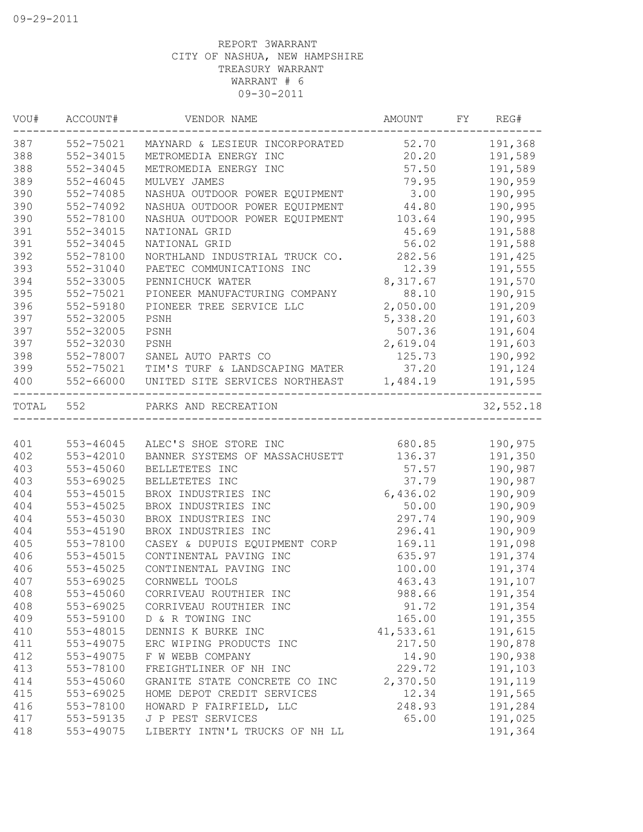| VOU#  | ACCOUNT#      | VENDOR NAME                    | <b>AMOUNT</b> | FY | REG#      |
|-------|---------------|--------------------------------|---------------|----|-----------|
| 387   | 552-75021     | MAYNARD & LESIEUR INCORPORATED | 52.70         |    | 191,368   |
| 388   | 552-34015     | METROMEDIA ENERGY INC          | 20.20         |    | 191,589   |
| 388   | 552-34045     | METROMEDIA ENERGY INC          | 57.50         |    | 191,589   |
| 389   | $552 - 46045$ | MULVEY JAMES                   | 79.95         |    | 190,959   |
| 390   | 552-74085     | NASHUA OUTDOOR POWER EQUIPMENT | 3.00          |    | 190,995   |
| 390   | 552-74092     | NASHUA OUTDOOR POWER EQUIPMENT | 44.80         |    | 190,995   |
| 390   | 552-78100     | NASHUA OUTDOOR POWER EQUIPMENT | 103.64        |    | 190,995   |
| 391   | 552-34015     | NATIONAL GRID                  | 45.69         |    | 191,588   |
| 391   | 552-34045     | NATIONAL GRID                  | 56.02         |    | 191,588   |
| 392   | 552-78100     | NORTHLAND INDUSTRIAL TRUCK CO. | 282.56        |    | 191,425   |
| 393   | 552-31040     | PAETEC COMMUNICATIONS INC      | 12.39         |    | 191,555   |
| 394   | 552-33005     | PENNICHUCK WATER               | 8,317.67      |    | 191,570   |
| 395   | 552-75021     | PIONEER MANUFACTURING COMPANY  | 88.10         |    | 190,915   |
| 396   | 552-59180     | PIONEER TREE SERVICE LLC       | 2,050.00      |    | 191,209   |
| 397   | 552-32005     | PSNH                           | 5,338.20      |    | 191,603   |
| 397   | 552-32005     | PSNH                           | 507.36        |    | 191,604   |
| 397   | 552-32030     | PSNH                           | 2,619.04      |    | 191,603   |
| 398   | 552-78007     | SANEL AUTO PARTS CO            | 125.73        |    | 190,992   |
| 399   | 552-75021     | TIM'S TURF & LANDSCAPING MATER | 37.20         |    | 191,124   |
| 400   | 552-66000     | UNITED SITE SERVICES NORTHEAST | 1,484.19      |    | 191,595   |
| TOTAL | 552           | PARKS AND RECREATION           |               |    | 32,552.18 |
|       |               |                                |               |    |           |
| 401   | 553-46045     | ALEC'S SHOE STORE INC          | 680.85        |    | 190,975   |
| 402   | 553-42010     | BANNER SYSTEMS OF MASSACHUSETT | 136.37        |    | 191,350   |
| 403   | 553-45060     | BELLETETES INC                 | 57.57         |    | 190,987   |
| 403   | 553-69025     | BELLETETES INC                 | 37.79         |    | 190,987   |
| 404   | 553-45015     | BROX INDUSTRIES INC            | 6,436.02      |    | 190,909   |
| 404   | 553-45025     | BROX INDUSTRIES INC            | 50.00         |    | 190,909   |
| 404   | 553-45030     | BROX INDUSTRIES INC            | 297.74        |    | 190,909   |
| 404   | 553-45190     | BROX INDUSTRIES INC            | 296.41        |    | 190,909   |
| 405   | 553-78100     | CASEY & DUPUIS EQUIPMENT CORP  | 169.11        |    | 191,098   |
| 406   | 553-45015     | CONTINENTAL PAVING INC         | 635.97        |    | 191,374   |
| 406   | $553 - 45025$ | CONTINENTAL PAVING INC         | 100.00        |    | 191,374   |
| 407   | 553-69025     | CORNWELL TOOLS                 | 463.43        |    | 191,107   |
| 408   | 553-45060     | CORRIVEAU ROUTHIER INC         | 988.66        |    | 191,354   |
| 408   | 553-69025     | CORRIVEAU ROUTHIER INC         | 91.72         |    | 191,354   |
| 409   | 553-59100     | D & R TOWING INC               | 165.00        |    | 191,355   |
| 410   | 553-48015     | DENNIS K BURKE INC             | 41,533.61     |    | 191,615   |
| 411   | 553-49075     | ERC WIPING PRODUCTS INC        | 217.50        |    | 190,878   |
| 412   | 553-49075     | F W WEBB COMPANY               | 14.90         |    | 190,938   |
| 413   | 553-78100     | FREIGHTLINER OF NH INC         | 229.72        |    | 191,103   |
| 414   | 553-45060     | GRANITE STATE CONCRETE CO INC  | 2,370.50      |    | 191,119   |
| 415   | 553-69025     | HOME DEPOT CREDIT SERVICES     | 12.34         |    | 191,565   |
| 416   | 553-78100     | HOWARD P FAIRFIELD, LLC        | 248.93        |    | 191,284   |
| 417   | 553-59135     | J P PEST SERVICES              | 65.00         |    | 191,025   |
| 418   | 553-49075     | LIBERTY INTN'L TRUCKS OF NH LL |               |    | 191,364   |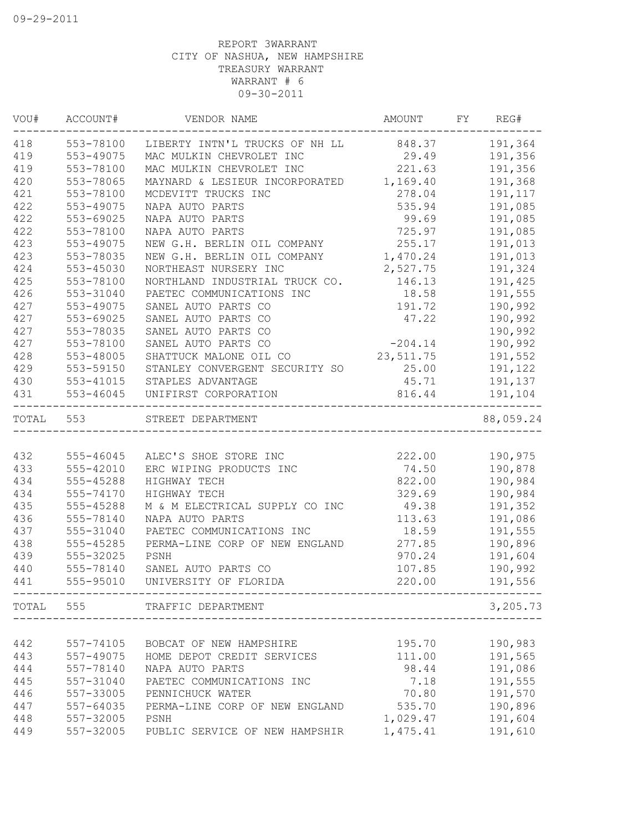| VOU#  | ACCOUNT#      | VENDOR NAME                           | AMOUNT    | FY | REG#      |
|-------|---------------|---------------------------------------|-----------|----|-----------|
| 418   | 553-78100     | LIBERTY INTN'L TRUCKS OF NH LL 848.37 |           |    | 191,364   |
| 419   | 553-49075     | MAC MULKIN CHEVROLET INC              | 29.49     |    | 191,356   |
| 419   | 553-78100     | MAC MULKIN CHEVROLET INC              | 221.63    |    | 191,356   |
| 420   | 553-78065     | MAYNARD & LESIEUR INCORPORATED        | 1,169.40  |    | 191,368   |
| 421   | 553-78100     | MCDEVITT TRUCKS INC                   | 278.04    |    | 191,117   |
| 422   | 553-49075     | NAPA AUTO PARTS                       | 535.94    |    | 191,085   |
| 422   | 553-69025     | NAPA AUTO PARTS                       | 99.69     |    | 191,085   |
| 422   | 553-78100     | NAPA AUTO PARTS                       | 725.97    |    | 191,085   |
| 423   | 553-49075     | NEW G.H. BERLIN OIL COMPANY           | 255.17    |    | 191,013   |
| 423   | 553-78035     | NEW G.H. BERLIN OIL COMPANY           | 1,470.24  |    | 191,013   |
| 424   | 553-45030     | NORTHEAST NURSERY INC                 | 2,527.75  |    | 191,324   |
| 425   | 553-78100     | NORTHLAND INDUSTRIAL TRUCK CO.        | 146.13    |    | 191,425   |
| 426   | 553-31040     | PAETEC COMMUNICATIONS INC             | 18.58     |    | 191,555   |
| 427   | 553-49075     | SANEL AUTO PARTS CO                   | 191.72    |    | 190,992   |
| 427   | 553-69025     | SANEL AUTO PARTS CO                   | 47.22     |    | 190,992   |
| 427   | 553-78035     | SANEL AUTO PARTS CO                   |           |    | 190,992   |
| 427   | 553-78100     | SANEL AUTO PARTS CO                   | $-204.14$ |    | 190,992   |
| 428   | 553-48005     | SHATTUCK MALONE OIL CO                | 23,511.75 |    | 191,552   |
| 429   | 553-59150     | STANLEY CONVERGENT SECURITY SO        | 25.00     |    | 191,122   |
| 430   | 553-41015     | STAPLES ADVANTAGE                     | 45.71     |    | 191,137   |
| 431   | 553-46045     | UNIFIRST CORPORATION                  | 816.44    |    | 191,104   |
| TOTAL | 553           | STREET DEPARTMENT                     |           |    | 88,059.24 |
|       |               |                                       |           |    |           |
| 432   | 555-46045     | ALEC'S SHOE STORE INC                 | 222.00    |    | 190,975   |
| 433   | 555-42010     | ERC WIPING PRODUCTS INC               | 74.50     |    | 190,878   |
| 434   | 555-45288     | HIGHWAY TECH                          | 822.00    |    | 190,984   |
| 434   | 555-74170     | HIGHWAY TECH                          | 329.69    |    | 190,984   |
| 435   | 555-45288     | M & M ELECTRICAL SUPPLY CO INC        | 49.38     |    | 191,352   |
| 436   | 555-78140     | NAPA AUTO PARTS                       | 113.63    |    | 191,086   |
| 437   | 555-31040     | PAETEC COMMUNICATIONS INC             | 18.59     |    | 191,555   |
| 438   | 555-45285     | PERMA-LINE CORP OF NEW ENGLAND        | 277.85    |    | 190,896   |
| 439   | 555-32025     | PSNH                                  | 970.24    |    | 191,604   |
| 440   | 555-78140     | SANEL AUTO PARTS CO                   | 107.85    |    | 190,992   |
| 441   | 555-95010     | UNIVERSITY OF FLORIDA                 | 220.00    |    | 191,556   |
|       |               | TOTAL 555 TRAFFIC DEPARTMENT          |           |    | 3,205.73  |
|       |               |                                       |           |    |           |
| 442   | 557-74105     | BOBCAT OF NEW HAMPSHIRE               | 195.70    |    | 190,983   |
| 443   | 557-49075     | HOME DEPOT CREDIT SERVICES            | 111.00    |    | 191,565   |
| 444   | 557-78140     | NAPA AUTO PARTS                       | 98.44     |    | 191,086   |
| 445   | 557-31040     | PAETEC COMMUNICATIONS INC             | 7.18      |    | 191,555   |
| 446   | 557-33005     | PENNICHUCK WATER                      | 70.80     |    | 191,570   |
| 447   | $557 - 64035$ | PERMA-LINE CORP OF NEW ENGLAND        | 535.70    |    | 190,896   |
| 448   | 557-32005     | PSNH                                  | 1,029.47  |    | 191,604   |
| 449   | 557-32005     | PUBLIC SERVICE OF NEW HAMPSHIR        | 1,475.41  |    | 191,610   |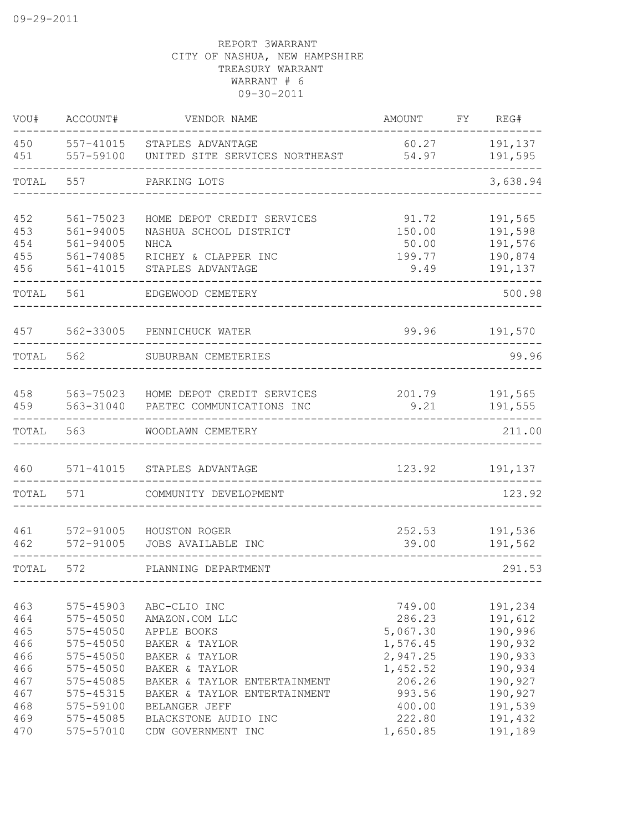| VOU#                                   | ACCOUNT#                                                                               | VENDOR NAME                                                                                                                                          | <b>AMOUNT</b>                                                | FY | REG#                                                           |
|----------------------------------------|----------------------------------------------------------------------------------------|------------------------------------------------------------------------------------------------------------------------------------------------------|--------------------------------------------------------------|----|----------------------------------------------------------------|
| 450<br>451                             | 557-41015<br>557-59100                                                                 | STAPLES ADVANTAGE<br>UNITED SITE SERVICES NORTHEAST                                                                                                  | 60.27<br>54.97                                               |    | 191,137<br>191,595                                             |
| TOTAL                                  | 557                                                                                    | PARKING LOTS                                                                                                                                         |                                                              |    | 3,638.94                                                       |
| 452<br>453<br>454<br>455<br>456        | 561-75023<br>561-94005<br>561-94005<br>561-74085<br>561-41015                          | HOME DEPOT CREDIT SERVICES<br>NASHUA SCHOOL DISTRICT<br><b>NHCA</b><br>RICHEY & CLAPPER INC<br>STAPLES ADVANTAGE                                     | 91.72<br>150.00<br>50.00<br>199.77<br>9.49                   |    | 191,565<br>191,598<br>191,576<br>190,874<br>191,137            |
| TOTAL                                  | 561                                                                                    | EDGEWOOD CEMETERY                                                                                                                                    |                                                              |    | 500.98                                                         |
| 457                                    |                                                                                        | 562-33005 PENNICHUCK WATER                                                                                                                           | 99.96                                                        |    | 191,570                                                        |
| TOTAL                                  | 562                                                                                    | SUBURBAN CEMETERIES                                                                                                                                  |                                                              |    | 99.96                                                          |
| 458<br>459                             | 563-75023<br>563-31040                                                                 | HOME DEPOT CREDIT SERVICES<br>PAETEC COMMUNICATIONS INC                                                                                              | 201.79<br>9.21                                               |    | 191,565<br>191,555                                             |
| TOTAL                                  | 563                                                                                    | WOODLAWN CEMETERY                                                                                                                                    |                                                              |    | 211.00                                                         |
| 460                                    |                                                                                        | 571-41015 STAPLES ADVANTAGE                                                                                                                          | 123.92                                                       |    | 191,137                                                        |
| TOTAL                                  | 571                                                                                    | COMMUNITY DEVELOPMENT                                                                                                                                |                                                              |    | 123.92                                                         |
| 461<br>462                             | 572-91005<br>572-91005                                                                 | HOUSTON ROGER<br>JOBS AVAILABLE INC                                                                                                                  | 252.53<br>39.00                                              |    | 191,536<br>191,562                                             |
| TOTAL                                  | 572                                                                                    | PLANNING DEPARTMENT                                                                                                                                  |                                                              |    | 291.53                                                         |
| 463<br>464<br>465<br>466<br>466<br>466 | 575-45903<br>$575 - 45050$<br>$575 - 45050$<br>575-45050<br>575-45050<br>$575 - 45050$ | ABC-CLIO INC<br>AMAZON.COM LLC<br>APPLE BOOKS<br>BAKER & TAYLOR<br>BAKER & TAYLOR                                                                    | 749.00<br>286.23<br>5,067.30<br>1,576.45<br>2,947.25         |    | 191,234<br>191,612<br>190,996<br>190,932<br>190,933<br>190,934 |
| 467<br>467<br>468<br>469<br>470        | 575-45085<br>575-45315<br>575-59100<br>575-45085<br>575-57010                          | BAKER & TAYLOR<br>BAKER & TAYLOR ENTERTAINMENT<br>BAKER & TAYLOR ENTERTAINMENT<br><b>BELANGER JEFF</b><br>BLACKSTONE AUDIO INC<br>CDW GOVERNMENT INC | 1,452.52<br>206.26<br>993.56<br>400.00<br>222.80<br>1,650.85 |    | 190,927<br>190,927<br>191,539<br>191,432<br>191,189            |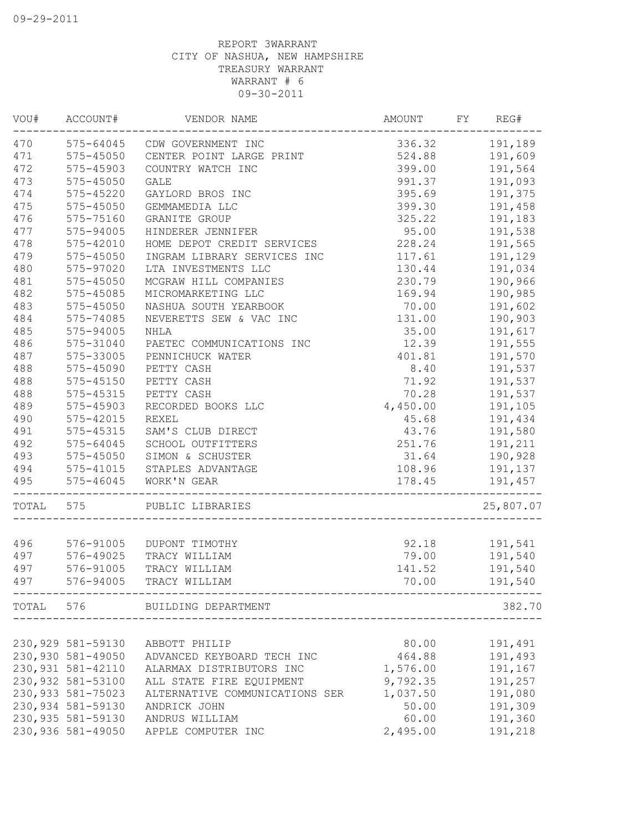|       | VOU# ACCOUNT#      | VENDOR NAME                    | <b>AMOUNT</b>  | FY | REG#           |
|-------|--------------------|--------------------------------|----------------|----|----------------|
| 470   |                    | 575-64045 CDW GOVERNMENT INC   |                |    | 336.32 191,189 |
| 471   | $575 - 45050$      | CENTER POINT LARGE PRINT       | 524.88         |    | 191,609        |
| 472   | 575-45903          | COUNTRY WATCH INC              | 399.00         |    | 191,564        |
| 473   | $575 - 45050$      | <b>GALE</b>                    | 991.37         |    | 191,093        |
| 474   | 575-45220          | GAYLORD BROS INC               | 395.69         |    | 191,375        |
| 475   | $575 - 45050$      | GEMMAMEDIA LLC                 | 399.30         |    | 191,458        |
| 476   | 575-75160          | GRANITE GROUP                  | 325.22         |    | 191,183        |
| 477   | 575-94005          | HINDERER JENNIFER              | 95.00          |    | 191,538        |
| 478   | $575 - 42010$      | HOME DEPOT CREDIT SERVICES     | 228.24         |    | 191,565        |
| 479   | 575-45050          | INGRAM LIBRARY SERVICES INC    | 117.61         |    | 191,129        |
| 480   | 575-97020          | LTA INVESTMENTS LLC            | 130.44         |    | 191,034        |
| 481   | 575-45050          | MCGRAW HILL COMPANIES          | 230.79         |    | 190,966        |
| 482   | 575-45085          | MICROMARKETING LLC             | 169.94         |    | 190,985        |
| 483   | 575-45050          | NASHUA SOUTH YEARBOOK          | 70.00          |    | 191,602        |
| 484   | 575-74085          | NEVERETTS SEW & VAC INC        | 131.00         |    | 190,903        |
| 485   | 575-94005          | <b>NHLA</b>                    | 35.00          |    | 191,617        |
| 486   | 575-31040          | PAETEC COMMUNICATIONS INC      | 12.39          |    | 191,555        |
| 487   | 575-33005          | PENNICHUCK WATER               | 401.81         |    | 191,570        |
| 488   | 575-45090          | PETTY CASH                     | 8.40           |    | 191,537        |
| 488   | 575-45150          | PETTY CASH                     | 71.92          |    | 191,537        |
| 488   | 575-45315          | PETTY CASH                     | 70.28          |    | 191,537        |
| 489   | 575-45903          | RECORDED BOOKS LLC             | 4,450.00       |    | 191,105        |
| 490   | 575-42015          | <b>REXEL</b>                   | 45.68          |    | 191,434        |
| 491   | 575-45315          | SAM'S CLUB DIRECT              | 43.76          |    | 191,580        |
| 492   | 575-64045          | SCHOOL OUTFITTERS              | 251.76 191,211 |    |                |
| 493   | 575-45050          | SIMON & SCHUSTER               | 31.64 190,928  |    |                |
| 494   | 575-41015          | STAPLES ADVANTAGE              | 108.96         |    | 191,137        |
| 495   | 575-46045          | WORK'N GEAR                    | 178.45         |    | 191,457        |
|       |                    |                                |                |    |                |
| TOTAL | 575                | PUBLIC LIBRARIES               |                |    | 25,807.07      |
| 496   | 576-91005          | DUPONT TIMOTHY                 | 92.18          |    | 191,541        |
| 497   | 576-49025          | TRACY WILLIAM                  | 79.00          |    | 191,540        |
| 497   | 576-91005          | TRACY WILLIAM                  | 141.52         |    | 191,540        |
|       |                    |                                |                |    |                |
| 497   | 576-94005          | TRACY WILLIAM                  | 70.00          |    | 191,540        |
|       |                    | TOTAL 576 BUILDING DEPARTMENT  |                |    | 382.70         |
|       |                    |                                |                |    |                |
|       | 230,929 581-59130  | ABBOTT PHILIP                  | 80.00          |    | 191,491        |
|       | 230,930 581-49050  | ADVANCED KEYBOARD TECH INC     | 464.88         |    | 191,493        |
|       | 230, 931 581-42110 | ALARMAX DISTRIBUTORS INC       | 1,576.00       |    | 191,167        |
|       | 230,932 581-53100  | ALL STATE FIRE EQUIPMENT       | 9,792.35       |    | 191,257        |
|       | 230,933 581-75023  | ALTERNATIVE COMMUNICATIONS SER | 1,037.50       |    | 191,080        |
|       | 230,934 581-59130  | ANDRICK JOHN                   | 50.00          |    | 191,309        |
|       | 230, 935 581-59130 | ANDRUS WILLIAM                 | 60.00          |    | 191,360        |
|       | 230,936 581-49050  | APPLE COMPUTER INC             | 2,495.00       |    | 191,218        |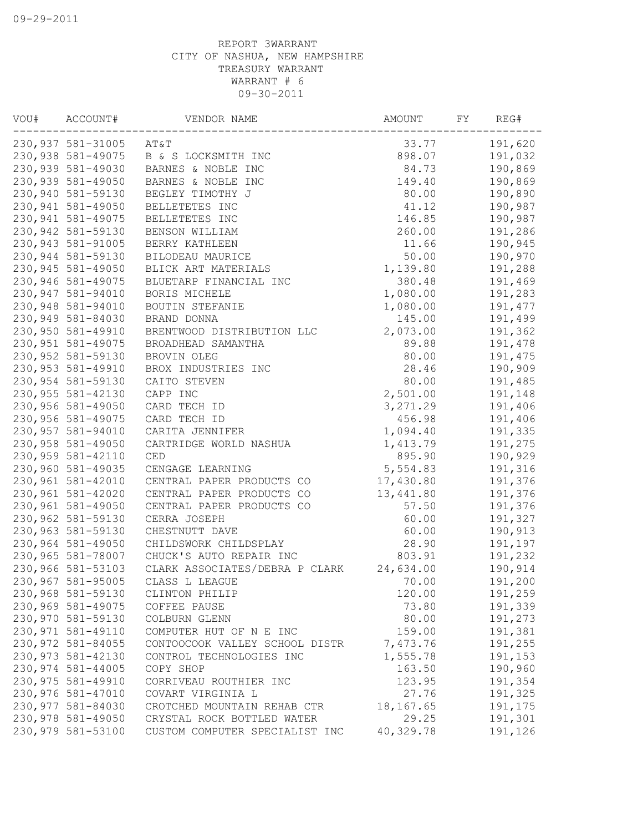| VOU# | ACCOUNT#           | VENDOR NAME                    | AMOUNT             | FY | REG#               |
|------|--------------------|--------------------------------|--------------------|----|--------------------|
|      | 230,937 581-31005  | AT&T                           | 33.77              |    | 191,620            |
|      | 230,938 581-49075  | B & S LOCKSMITH INC            | 898.07             |    | 191,032            |
|      | 230,939 581-49030  | BARNES & NOBLE INC             | 84.73              |    | 190,869            |
|      | 230,939 581-49050  | BARNES & NOBLE INC             | 149.40             |    | 190,869            |
|      | 230,940 581-59130  | BEGLEY TIMOTHY J               | 80.00              |    | 190,890            |
|      | 230,941 581-49050  | BELLETETES INC                 | 41.12              |    | 190,987            |
|      | 230, 941 581-49075 | BELLETETES INC                 | 146.85             |    | 190,987            |
|      | 230,942 581-59130  | BENSON WILLIAM                 | 260.00             |    | 191,286            |
|      | 230,943 581-91005  | BERRY KATHLEEN                 | 11.66              |    | 190,945            |
|      | 230,944 581-59130  | BILODEAU MAURICE               | 50.00              |    | 190,970            |
|      | 230,945 581-49050  | BLICK ART MATERIALS            | 1,139.80           |    | 191,288            |
|      | 230,946 581-49075  | BLUETARP FINANCIAL INC         | 380.48             |    | 191,469            |
|      | 230,947 581-94010  | BORIS MICHELE                  | 1,080.00           |    | 191,283            |
|      | 230,948 581-94010  | BOUTIN STEFANIE                | 1,080.00           |    | 191,477            |
|      | 230,949 581-84030  | BRAND DONNA                    | 145.00             |    | 191,499            |
|      | 230,950 581-49910  | BRENTWOOD DISTRIBUTION LLC     | 2,073.00           |    | 191,362            |
|      | 230, 951 581-49075 | BROADHEAD SAMANTHA             | 89.88              |    | 191,478            |
|      | 230,952 581-59130  | BROVIN OLEG                    | 80.00              |    | 191,475            |
|      | 230,953 581-49910  | BROX INDUSTRIES INC            | 28.46              |    | 190,909            |
|      | 230,954 581-59130  | CAITO STEVEN                   | 80.00              |    | 191,485            |
|      | 230,955 581-42130  | CAPP INC                       | 2,501.00           |    | 191,148            |
|      | 230,956 581-49050  | CARD TECH ID                   | 3, 271.29          |    | 191,406            |
|      | 230,956 581-49075  | CARD TECH ID                   | 456.98             |    | 191,406            |
|      | 230,957 581-94010  | CARITA JENNIFER                | 1,094.40           |    | 191,335            |
|      | 230,958 581-49050  | CARTRIDGE WORLD NASHUA         | 1,413.79           |    | 191,275            |
|      | 230,959 581-42110  | <b>CED</b>                     | 895.90             |    | 190,929            |
|      | 230,960 581-49035  | CENGAGE LEARNING               | 5,554.83           |    | 191,316            |
|      | 230,961 581-42010  | CENTRAL PAPER PRODUCTS CO      | 17,430.80          |    | 191,376            |
|      | 230,961 581-42020  | CENTRAL PAPER PRODUCTS CO      | 13,441.80          |    | 191,376            |
|      | 230,961 581-49050  | CENTRAL PAPER PRODUCTS CO      | 57.50              |    | 191,376            |
|      | 230,962 581-59130  | CERRA JOSEPH                   | 60.00              |    | 191,327            |
|      | 230,963 581-59130  | CHESTNUTT DAVE                 | 60.00              |    | 190,913            |
|      | 230,964 581-49050  | CHILDSWORK CHILDSPLAY          | 28.90              |    | 191,197            |
|      | 230,965 581-78007  | CHUCK'S AUTO REPAIR INC        | 803.91             |    | 191,232            |
|      | 230,966 581-53103  | CLARK ASSOCIATES/DEBRA P CLARK | 24,634.00          |    | 190,914            |
|      | 230,967 581-95005  | CLASS L LEAGUE                 | 70.00              |    | 191,200            |
|      | 230,968 581-59130  | CLINTON PHILIP                 | 120.00             |    | 191,259            |
|      | 230,969 581-49075  | COFFEE PAUSE                   | 73.80              |    | 191,339            |
|      | 230,970 581-59130  | COLBURN GLENN                  | 80.00              |    | 191,273            |
|      | 230,971 581-49110  | COMPUTER HUT OF N E INC        | 159.00             |    | 191,381            |
|      | 230,972 581-84055  | CONTOOCOOK VALLEY SCHOOL DISTR | 7,473.76           |    | 191,255            |
|      | 230,973 581-42130  | CONTROL TECHNOLOGIES INC       | 1,555.78           |    | 191,153            |
|      | 230,974 581-44005  | COPY SHOP                      | 163.50             |    | 190,960            |
|      | 230,975 581-49910  | CORRIVEAU ROUTHIER INC         | 123.95             |    | 191,354            |
|      | 230,976 581-47010  | COVART VIRGINIA L              | 27.76              |    | 191,325            |
|      | 230,977 581-84030  | CROTCHED MOUNTAIN REHAB CTR    | 18,167.65          |    | 191,175            |
|      | 230,978 581-49050  | CRYSTAL ROCK BOTTLED WATER     | 29.25<br>40,329.78 |    | 191,301<br>191,126 |
|      | 230,979 581-53100  | CUSTOM COMPUTER SPECIALIST INC |                    |    |                    |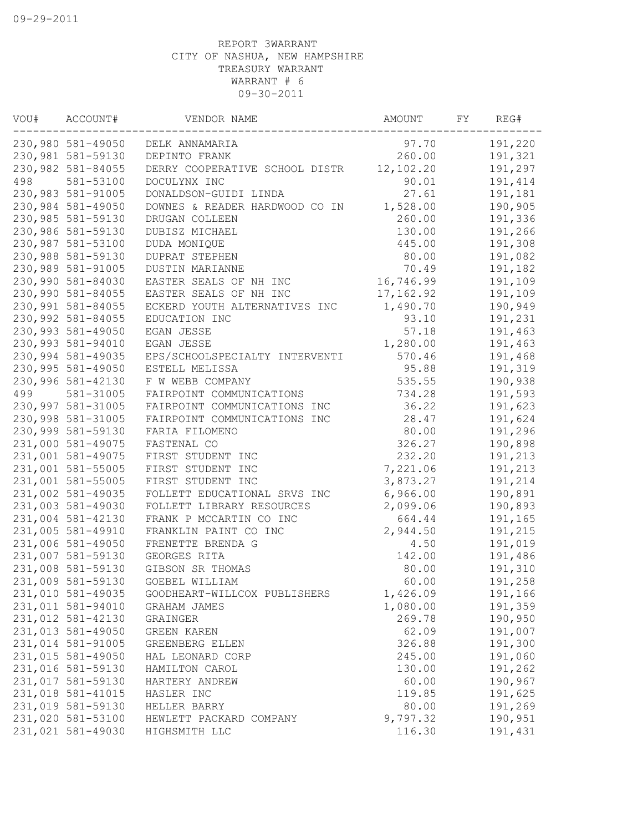| VOU# | ACCOUNT#          | VENDOR NAME                    | AMOUNT     | FΥ | REG#    |
|------|-------------------|--------------------------------|------------|----|---------|
|      | 230,980 581-49050 | DELK ANNAMARIA                 | 97.70      |    | 191,220 |
|      | 230,981 581-59130 | DEPINTO FRANK                  | 260.00     |    | 191,321 |
|      | 230,982 581-84055 | DERRY COOPERATIVE SCHOOL DISTR | 12,102.20  |    | 191,297 |
| 498  | 581-53100         | DOCULYNX INC                   | 90.01      |    | 191,414 |
|      | 230,983 581-91005 | DONALDSON-GUIDI LINDA          | 27.61      |    | 191,181 |
|      | 230,984 581-49050 | DOWNES & READER HARDWOOD CO IN | 1,528.00   |    | 190,905 |
|      | 230,985 581-59130 | DRUGAN COLLEEN                 | 260.00     |    | 191,336 |
|      | 230,986 581-59130 | DUBISZ MICHAEL                 | 130.00     |    | 191,266 |
|      | 230,987 581-53100 | DUDA MONIQUE                   | 445.00     |    | 191,308 |
|      | 230,988 581-59130 | <b>DUPRAT STEPHEN</b>          | 80.00      |    | 191,082 |
|      | 230,989 581-91005 | DUSTIN MARIANNE                | 70.49      |    | 191,182 |
|      | 230,990 581-84030 | EASTER SEALS OF NH INC         | 16,746.99  |    | 191,109 |
|      | 230,990 581-84055 | EASTER SEALS OF NH INC         | 17, 162.92 |    | 191,109 |
|      | 230,991 581-84055 | ECKERD YOUTH ALTERNATIVES INC  | 1,490.70   |    | 190,949 |
|      | 230,992 581-84055 | EDUCATION INC                  | 93.10      |    | 191,231 |
|      | 230,993 581-49050 | EGAN JESSE                     | 57.18      |    | 191,463 |
|      | 230,993 581-94010 | EGAN JESSE                     | 1,280.00   |    | 191,463 |
|      | 230,994 581-49035 | EPS/SCHOOLSPECIALTY INTERVENTI | 570.46     |    | 191,468 |
|      | 230,995 581-49050 | ESTELL MELISSA                 | 95.88      |    | 191,319 |
|      | 230,996 581-42130 | F W WEBB COMPANY               | 535.55     |    | 190,938 |
| 499  | 581-31005         | FAIRPOINT COMMUNICATIONS       | 734.28     |    | 191,593 |
|      | 230,997 581-31005 | FAIRPOINT COMMUNICATIONS INC   | 36.22      |    | 191,623 |
|      | 230,998 581-31005 | FAIRPOINT COMMUNICATIONS INC   | 28.47      |    | 191,624 |
|      | 230,999 581-59130 | FARIA FILOMENO                 | 80.00      |    | 191,296 |
|      | 231,000 581-49075 | FASTENAL CO                    | 326.27     |    | 190,898 |
|      | 231,001 581-49075 | FIRST STUDENT INC              | 232.20     |    | 191,213 |
|      | 231,001 581-55005 | FIRST STUDENT INC              | 7,221.06   |    | 191,213 |
|      | 231,001 581-55005 | FIRST STUDENT INC              | 3,873.27   |    | 191,214 |
|      | 231,002 581-49035 | FOLLETT EDUCATIONAL SRVS INC   | 6,966.00   |    | 190,891 |
|      | 231,003 581-49030 | FOLLETT LIBRARY RESOURCES      | 2,099.06   |    | 190,893 |
|      | 231,004 581-42130 | FRANK P MCCARTIN CO INC        | 664.44     |    | 191,165 |
|      | 231,005 581-49910 | FRANKLIN PAINT CO INC          | 2,944.50   |    | 191,215 |
|      | 231,006 581-49050 | FRENETTE BRENDA G              | 4.50       |    | 191,019 |
|      | 231,007 581-59130 | GEORGES RITA                   | 142.00     |    | 191,486 |
|      | 231,008 581-59130 | GIBSON SR THOMAS               | 80.00      |    | 191,310 |
|      | 231,009 581-59130 | GOEBEL WILLIAM                 | 60.00      |    | 191,258 |
|      | 231,010 581-49035 | GOODHEART-WILLCOX PUBLISHERS   | 1,426.09   |    | 191,166 |
|      | 231,011 581-94010 | GRAHAM JAMES                   | 1,080.00   |    | 191,359 |
|      | 231,012 581-42130 | GRAINGER                       | 269.78     |    | 190,950 |
|      | 231,013 581-49050 | GREEN KAREN                    | 62.09      |    | 191,007 |
|      | 231,014 581-91005 | GREENBERG ELLEN                | 326.88     |    | 191,300 |
|      | 231,015 581-49050 | HAL LEONARD CORP               | 245.00     |    | 191,060 |
|      | 231,016 581-59130 | HAMILTON CAROL                 | 130.00     |    | 191,262 |
|      | 231,017 581-59130 | HARTERY ANDREW                 | 60.00      |    | 190,967 |
|      | 231,018 581-41015 | HASLER INC                     | 119.85     |    | 191,625 |
|      | 231,019 581-59130 | HELLER BARRY                   | 80.00      |    | 191,269 |
|      | 231,020 581-53100 | HEWLETT PACKARD COMPANY        | 9,797.32   |    | 190,951 |
|      | 231,021 581-49030 | HIGHSMITH LLC                  | 116.30     |    | 191,431 |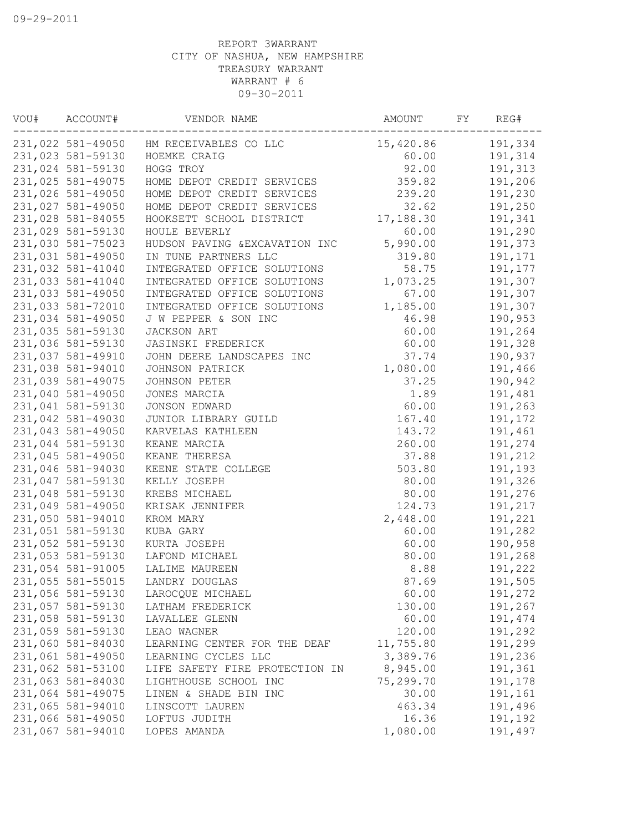| VOU# | ACCOUNT#          | VENDOR NAME                             | AMOUNT    | FY | REG#    |
|------|-------------------|-----------------------------------------|-----------|----|---------|
|      |                   | 231,022 581-49050 HM RECEIVABLES CO LLC | 15,420.86 |    | 191,334 |
|      | 231,023 581-59130 | HOEMKE CRAIG                            | 60.00     |    | 191,314 |
|      | 231,024 581-59130 | HOGG TROY                               | 92.00     |    | 191,313 |
|      | 231,025 581-49075 | HOME DEPOT CREDIT SERVICES              | 359.82    |    | 191,206 |
|      | 231,026 581-49050 | HOME DEPOT CREDIT SERVICES              | 239.20    |    | 191,230 |
|      | 231,027 581-49050 | HOME DEPOT CREDIT SERVICES              | 32.62     |    | 191,250 |
|      | 231,028 581-84055 | HOOKSETT SCHOOL DISTRICT                | 17,188.30 |    | 191,341 |
|      | 231,029 581-59130 | HOULE BEVERLY                           | 60.00     |    | 191,290 |
|      | 231,030 581-75023 | HUDSON PAVING & EXCAVATION INC          | 5,990.00  |    | 191,373 |
|      | 231,031 581-49050 | IN TUNE PARTNERS LLC                    | 319.80    |    | 191,171 |
|      | 231,032 581-41040 | INTEGRATED OFFICE SOLUTIONS             | 58.75     |    | 191,177 |
|      | 231,033 581-41040 | INTEGRATED OFFICE SOLUTIONS             | 1,073.25  |    | 191,307 |
|      | 231,033 581-49050 | INTEGRATED OFFICE SOLUTIONS             | 67.00     |    | 191,307 |
|      | 231,033 581-72010 | INTEGRATED OFFICE SOLUTIONS             | 1,185.00  |    | 191,307 |
|      | 231,034 581-49050 | J W PEPPER & SON INC                    | 46.98     |    | 190,953 |
|      | 231,035 581-59130 | JACKSON ART                             | 60.00     |    | 191,264 |
|      | 231,036 581-59130 | JASINSKI FREDERICK                      | 60.00     |    | 191,328 |
|      | 231,037 581-49910 | JOHN DEERE LANDSCAPES INC               | 37.74     |    | 190,937 |
|      | 231,038 581-94010 | JOHNSON PATRICK                         | 1,080.00  |    | 191,466 |
|      | 231,039 581-49075 | JOHNSON PETER                           | 37.25     |    | 190,942 |
|      | 231,040 581-49050 | JONES MARCIA                            | 1.89      |    | 191,481 |
|      | 231,041 581-59130 | JONSON EDWARD                           | 60.00     |    | 191,263 |
|      | 231,042 581-49030 | JUNIOR LIBRARY GUILD                    | 167.40    |    | 191,172 |
|      | 231,043 581-49050 | KARVELAS KATHLEEN                       | 143.72    |    | 191,461 |
|      | 231,044 581-59130 | KEANE MARCIA                            | 260.00    |    | 191,274 |
|      | 231,045 581-49050 | KEANE THERESA                           | 37.88     |    | 191,212 |
|      | 231,046 581-94030 | KEENE STATE COLLEGE                     | 503.80    |    | 191,193 |
|      | 231,047 581-59130 | KELLY JOSEPH                            | 80.00     |    | 191,326 |
|      | 231,048 581-59130 | KREBS MICHAEL                           | 80.00     |    | 191,276 |
|      | 231,049 581-49050 | KRISAK JENNIFER                         | 124.73    |    | 191,217 |
|      | 231,050 581-94010 | KROM MARY                               | 2,448.00  |    | 191,221 |
|      | 231,051 581-59130 | KUBA GARY                               | 60.00     |    | 191,282 |
|      | 231,052 581-59130 | KURTA JOSEPH                            | 60.00     |    | 190,958 |
|      | 231,053 581-59130 | LAFOND MICHAEL                          | 80.00     |    | 191,268 |
|      | 231,054 581-91005 | LALIME MAUREEN                          | 8.88      |    | 191,222 |
|      | 231,055 581-55015 | LANDRY DOUGLAS                          | 87.69     |    | 191,505 |
|      | 231,056 581-59130 | LAROCQUE MICHAEL                        | 60.00     |    | 191,272 |
|      | 231,057 581-59130 | LATHAM FREDERICK                        | 130.00    |    | 191,267 |
|      | 231,058 581-59130 | LAVALLEE GLENN                          | 60.00     |    | 191,474 |
|      | 231,059 581-59130 | LEAO WAGNER                             | 120.00    |    | 191,292 |
|      | 231,060 581-84030 | LEARNING CENTER FOR THE DEAF            | 11,755.80 |    | 191,299 |
|      | 231,061 581-49050 | LEARNING CYCLES LLC                     | 3,389.76  |    | 191,236 |
|      | 231,062 581-53100 | LIFE SAFETY FIRE PROTECTION IN          | 8,945.00  |    | 191,361 |
|      | 231,063 581-84030 | LIGHTHOUSE SCHOOL INC                   | 75,299.70 |    | 191,178 |
|      | 231,064 581-49075 | LINEN & SHADE BIN INC                   | 30.00     |    | 191,161 |
|      | 231,065 581-94010 | LINSCOTT LAUREN                         | 463.34    |    | 191,496 |
|      | 231,066 581-49050 | LOFTUS JUDITH                           | 16.36     |    | 191,192 |
|      | 231,067 581-94010 | LOPES AMANDA                            | 1,080.00  |    | 191,497 |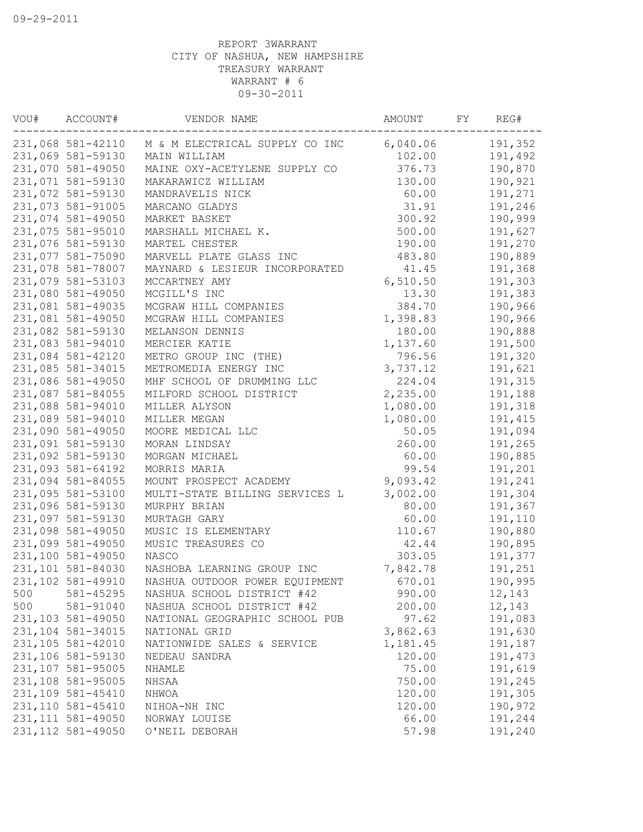| VOU# | ACCOUNT#           | VENDOR NAME                                      | AMOUNT   | FY | REG#    |
|------|--------------------|--------------------------------------------------|----------|----|---------|
|      |                    | 231,068 581-42110 M & M ELECTRICAL SUPPLY CO INC | 6,040.06 |    | 191,352 |
|      | 231,069 581-59130  | MAIN WILLIAM                                     | 102.00   |    | 191,492 |
|      | 231,070 581-49050  | MAINE OXY-ACETYLENE SUPPLY CO                    | 376.73   |    | 190,870 |
|      | 231,071 581-59130  | MAKARAWICZ WILLIAM                               | 130.00   |    | 190,921 |
|      | 231,072 581-59130  | MANDRAVELIS NICK                                 | 60.00    |    | 191,271 |
|      | 231,073 581-91005  | MARCANO GLADYS                                   | 31.91    |    | 191,246 |
|      | 231,074 581-49050  | MARKET BASKET                                    | 300.92   |    | 190,999 |
|      | 231,075 581-95010  | MARSHALL MICHAEL K.                              | 500.00   |    | 191,627 |
|      | 231,076 581-59130  | MARTEL CHESTER                                   | 190.00   |    | 191,270 |
|      | 231,077 581-75090  | MARVELL PLATE GLASS INC                          | 483.80   |    | 190,889 |
|      | 231,078 581-78007  | MAYNARD & LESIEUR INCORPORATED                   | 41.45    |    | 191,368 |
|      | 231,079 581-53103  | MCCARTNEY AMY                                    | 6,510.50 |    | 191,303 |
|      | 231,080 581-49050  | MCGILL'S INC                                     | 13.30    |    | 191,383 |
|      | 231,081 581-49035  | MCGRAW HILL COMPANIES                            | 384.70   |    | 190,966 |
|      | 231,081 581-49050  | MCGRAW HILL COMPANIES                            | 1,398.83 |    | 190,966 |
|      | 231,082 581-59130  | MELANSON DENNIS                                  | 180.00   |    | 190,888 |
|      | 231,083 581-94010  | MERCIER KATIE                                    | 1,137.60 |    | 191,500 |
|      | 231,084 581-42120  | METRO GROUP INC (THE)                            | 796.56   |    | 191,320 |
|      | 231,085 581-34015  | METROMEDIA ENERGY INC                            | 3,737.12 |    | 191,621 |
|      | 231,086 581-49050  | MHF SCHOOL OF DRUMMING LLC                       | 224.04   |    | 191,315 |
|      | 231,087 581-84055  | MILFORD SCHOOL DISTRICT                          | 2,235.00 |    | 191,188 |
|      | 231,088 581-94010  | MILLER ALYSON                                    | 1,080.00 |    | 191,318 |
|      | 231,089 581-94010  | MILLER MEGAN                                     | 1,080.00 |    | 191,415 |
|      | 231,090 581-49050  | MOORE MEDICAL LLC                                | 50.05    |    | 191,094 |
|      | 231,091 581-59130  | MORAN LINDSAY                                    | 260.00   |    | 191,265 |
|      | 231,092 581-59130  | MORGAN MICHAEL                                   | 60.00    |    | 190,885 |
|      | 231,093 581-64192  | MORRIS MARIA                                     | 99.54    |    | 191,201 |
|      | 231,094 581-84055  | MOUNT PROSPECT ACADEMY                           | 9,093.42 |    | 191,241 |
|      | 231,095 581-53100  | MULTI-STATE BILLING SERVICES L                   | 3,002.00 |    | 191,304 |
|      | 231,096 581-59130  | MURPHY BRIAN                                     | 80.00    |    | 191,367 |
|      | 231,097 581-59130  | MURTAGH GARY                                     | 60.00    |    | 191,110 |
|      | 231,098 581-49050  | MUSIC IS ELEMENTARY                              | 110.67   |    | 190,880 |
|      | 231,099 581-49050  | MUSIC TREASURES CO                               | 42.44    |    | 190,895 |
|      | 231,100 581-49050  | NASCO                                            | 303.05   |    | 191,377 |
|      | 231,101 581-84030  | NASHOBA LEARNING GROUP INC                       | 7,842.78 |    | 191,251 |
|      | 231,102 581-49910  | NASHUA OUTDOOR POWER EQUIPMENT                   | 670.01   |    | 190,995 |
| 500  | 581-45295          | NASHUA SCHOOL DISTRICT #42                       | 990.00   |    | 12,143  |
| 500  | 581-91040          | NASHUA SCHOOL DISTRICT #42                       | 200.00   |    | 12,143  |
|      | 231,103 581-49050  | NATIONAL GEOGRAPHIC SCHOOL PUB                   | 97.62    |    | 191,083 |
|      | 231,104 581-34015  | NATIONAL GRID                                    | 3,862.63 |    | 191,630 |
|      | 231,105 581-42010  | NATIONWIDE SALES & SERVICE                       | 1,181.45 |    | 191,187 |
|      | 231,106 581-59130  | NEDEAU SANDRA                                    | 120.00   |    | 191,473 |
|      | 231,107 581-95005  | NHAMLE                                           | 75.00    |    | 191,619 |
|      | 231,108 581-95005  | NHSAA                                            | 750.00   |    | 191,245 |
|      | 231,109 581-45410  | NHWOA                                            | 120.00   |    | 191,305 |
|      | 231, 110 581-45410 | NIHOA-NH INC                                     | 120.00   |    | 190,972 |
|      | 231, 111 581-49050 | NORWAY LOUISE                                    | 66.00    |    | 191,244 |
|      | 231, 112 581-49050 | O'NEIL DEBORAH                                   | 57.98    |    | 191,240 |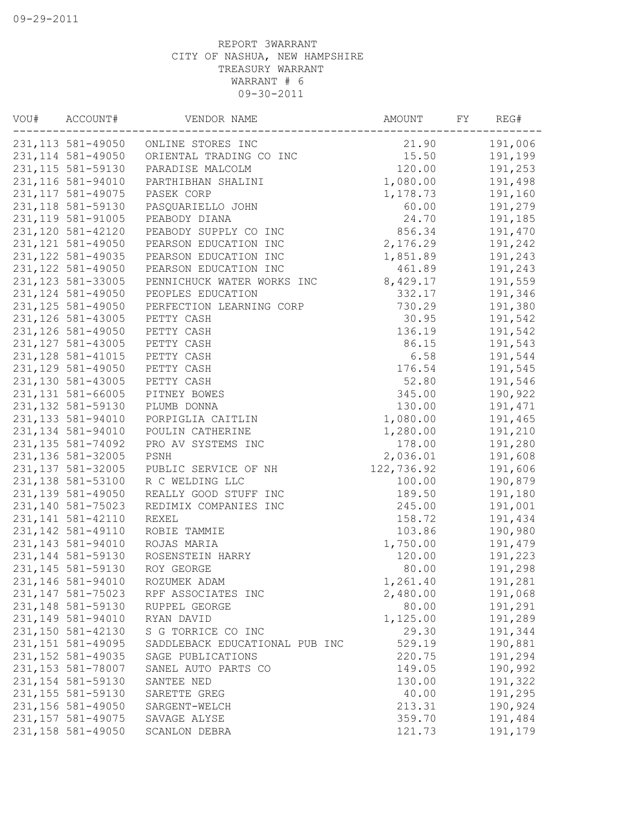| VOU# | ACCOUNT#           | VENDOR NAME                          | AMOUNT     | FΥ | REG#    |
|------|--------------------|--------------------------------------|------------|----|---------|
|      |                    | 231, 113 581-49050 ONLINE STORES INC | 21.90      |    | 191,006 |
|      | 231, 114 581-49050 | ORIENTAL TRADING CO INC              | 15.50      |    | 191,199 |
|      | 231, 115 581-59130 | PARADISE MALCOLM                     | 120.00     |    | 191,253 |
|      | 231,116 581-94010  | PARTHIBHAN SHALINI                   | 1,080.00   |    | 191,498 |
|      | 231, 117 581-49075 | PASEK CORP                           | 1,178.73   |    | 191,160 |
|      | 231, 118 581-59130 | PASQUARIELLO JOHN                    | 60.00      |    | 191,279 |
|      | 231, 119 581-91005 | PEABODY DIANA                        | 24.70      |    | 191,185 |
|      | 231,120 581-42120  | PEABODY SUPPLY CO INC                | 856.34     |    | 191,470 |
|      | 231, 121 581-49050 | PEARSON EDUCATION INC                | 2,176.29   |    | 191,242 |
|      | 231, 122 581-49035 | PEARSON EDUCATION INC                | 1,851.89   |    | 191,243 |
|      | 231, 122 581-49050 | PEARSON EDUCATION INC                | 461.89     |    | 191,243 |
|      | 231, 123 581-33005 | PENNICHUCK WATER WORKS INC           | 8,429.17   |    | 191,559 |
|      | 231, 124 581-49050 | PEOPLES EDUCATION                    | 332.17     |    | 191,346 |
|      | 231, 125 581-49050 | PERFECTION LEARNING CORP             | 730.29     |    | 191,380 |
|      | 231, 126 581-43005 | PETTY CASH                           | 30.95      |    | 191,542 |
|      | 231, 126 581-49050 | PETTY CASH                           | 136.19     |    | 191,542 |
|      | 231, 127 581-43005 | PETTY CASH                           | 86.15      |    | 191,543 |
|      | 231, 128 581-41015 | PETTY CASH                           | 6.58       |    | 191,544 |
|      | 231, 129 581-49050 | PETTY CASH                           | 176.54     |    | 191,545 |
|      | 231,130 581-43005  | PETTY CASH                           | 52.80      |    | 191,546 |
|      | 231, 131 581-66005 | PITNEY BOWES                         | 345.00     |    | 190,922 |
|      | 231, 132 581-59130 | PLUMB DONNA                          | 130.00     |    | 191,471 |
|      | 231, 133 581-94010 | PORPIGLIA CAITLIN                    | 1,080.00   |    | 191,465 |
|      | 231, 134 581-94010 | POULIN CATHERINE                     | 1,280.00   |    | 191,210 |
|      | 231, 135 581-74092 | PRO AV SYSTEMS INC                   | 178.00     |    | 191,280 |
|      | 231, 136 581-32005 | PSNH                                 | 2,036.01   |    | 191,608 |
|      | 231, 137 581-32005 | PUBLIC SERVICE OF NH                 | 122,736.92 |    | 191,606 |
|      | 231,138 581-53100  | R C WELDING LLC                      | 100.00     |    | 190,879 |
|      | 231, 139 581-49050 | REALLY GOOD STUFF INC                | 189.50     |    | 191,180 |
|      | 231,140 581-75023  | REDIMIX COMPANIES INC                | 245.00     |    | 191,001 |
|      | 231, 141 581-42110 | <b>REXEL</b>                         | 158.72     |    | 191,434 |
|      | 231, 142 581-49110 | ROBIE TAMMIE                         | 103.86     |    | 190,980 |
|      | 231, 143 581-94010 | ROJAS MARIA                          | 1,750.00   |    | 191,479 |
|      | 231, 144 581-59130 | ROSENSTEIN HARRY                     | 120.00     |    | 191,223 |
|      | 231, 145 581-59130 | ROY GEORGE                           | 80.00      |    | 191,298 |
|      | 231,146 581-94010  | ROZUMEK ADAM                         | 1,261.40   |    | 191,281 |
|      | 231, 147 581-75023 | RPF ASSOCIATES INC                   | 2,480.00   |    | 191,068 |
|      | 231, 148 581-59130 | RUPPEL GEORGE                        | 80.00      |    | 191,291 |
|      | 231, 149 581-94010 | RYAN DAVID                           | 1,125.00   |    | 191,289 |
|      | 231,150 581-42130  | S G TORRICE CO INC                   | 29.30      |    | 191,344 |
|      | 231, 151 581-49095 | SADDLEBACK EDUCATIONAL PUB INC       | 529.19     |    | 190,881 |
|      | 231, 152 581-49035 | SAGE PUBLICATIONS                    | 220.75     |    | 191,294 |
|      | 231, 153 581-78007 | SANEL AUTO PARTS CO                  | 149.05     |    | 190,992 |
|      | 231, 154 581-59130 | SANTEE NED                           | 130.00     |    | 191,322 |
|      | 231, 155 581-59130 | SARETTE GREG                         | 40.00      |    | 191,295 |
|      | 231,156 581-49050  | SARGENT-WELCH                        | 213.31     |    | 190,924 |
|      | 231, 157 581-49075 | SAVAGE ALYSE                         | 359.70     |    | 191,484 |
|      | 231, 158 581-49050 | SCANLON DEBRA                        | 121.73     |    | 191,179 |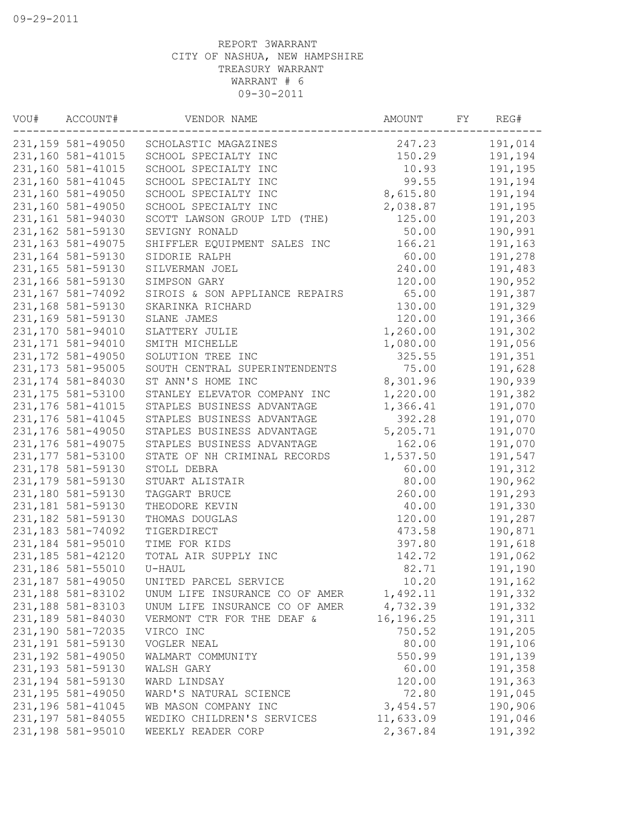| VOU# | ACCOUNT#           | VENDOR NAME                    | AMOUNT    | FΥ | REG#    |
|------|--------------------|--------------------------------|-----------|----|---------|
|      | 231,159 581-49050  | SCHOLASTIC MAGAZINES           | 247.23    |    | 191,014 |
|      | 231,160 581-41015  | SCHOOL SPECIALTY INC           | 150.29    |    | 191,194 |
|      | 231,160 581-41015  | SCHOOL SPECIALTY INC           | 10.93     |    | 191,195 |
|      | 231,160 581-41045  | SCHOOL SPECIALTY INC           | 99.55     |    | 191,194 |
|      | 231,160 581-49050  | SCHOOL SPECIALTY INC           | 8,615.80  |    | 191,194 |
|      | 231,160 581-49050  | SCHOOL SPECIALTY INC           | 2,038.87  |    | 191,195 |
|      | 231,161 581-94030  | SCOTT LAWSON GROUP LTD (THE)   | 125.00    |    | 191,203 |
|      | 231,162 581-59130  | SEVIGNY RONALD                 | 50.00     |    | 190,991 |
|      | 231, 163 581-49075 | SHIFFLER EQUIPMENT SALES INC   | 166.21    |    | 191,163 |
|      | 231,164 581-59130  | SIDORIE RALPH                  | 60.00     |    | 191,278 |
|      | 231,165 581-59130  | SILVERMAN JOEL                 | 240.00    |    | 191,483 |
|      | 231,166 581-59130  | SIMPSON GARY                   | 120.00    |    | 190,952 |
|      | 231,167 581-74092  | SIROIS & SON APPLIANCE REPAIRS | 65.00     |    | 191,387 |
|      | 231,168 581-59130  | SKARINKA RICHARD               | 130.00    |    | 191,329 |
|      | 231,169 581-59130  | SLANE JAMES                    | 120.00    |    | 191,366 |
|      | 231,170 581-94010  | SLATTERY JULIE                 | 1,260.00  |    | 191,302 |
|      | 231, 171 581-94010 | SMITH MICHELLE                 | 1,080.00  |    | 191,056 |
|      | 231, 172 581-49050 | SOLUTION TREE INC              | 325.55    |    | 191,351 |
|      | 231, 173 581-95005 | SOUTH CENTRAL SUPERINTENDENTS  | 75.00     |    | 191,628 |
|      | 231, 174 581-84030 | ST ANN'S HOME INC              | 8,301.96  |    | 190,939 |
|      | 231, 175 581-53100 | STANLEY ELEVATOR COMPANY INC   | 1,220.00  |    | 191,382 |
|      | 231, 176 581-41015 | STAPLES BUSINESS ADVANTAGE     | 1,366.41  |    | 191,070 |
|      | 231, 176 581-41045 | STAPLES BUSINESS ADVANTAGE     | 392.28    |    | 191,070 |
|      | 231, 176 581-49050 | STAPLES BUSINESS ADVANTAGE     | 5,205.71  |    | 191,070 |
|      | 231, 176 581-49075 | STAPLES BUSINESS ADVANTAGE     | 162.06    |    | 191,070 |
|      | 231, 177 581-53100 | STATE OF NH CRIMINAL RECORDS   | 1,537.50  |    | 191,547 |
|      | 231, 178 581-59130 | STOLL DEBRA                    | 60.00     |    | 191,312 |
|      | 231, 179 581-59130 | STUART ALISTAIR                | 80.00     |    | 190,962 |
|      | 231,180 581-59130  | TAGGART BRUCE                  | 260.00    |    | 191,293 |
|      | 231, 181 581-59130 | THEODORE KEVIN                 | 40.00     |    | 191,330 |
|      | 231, 182 581-59130 | THOMAS DOUGLAS                 | 120.00    |    | 191,287 |
|      | 231, 183 581-74092 | TIGERDIRECT                    | 473.58    |    | 190,871 |
|      | 231,184 581-95010  | TIME FOR KIDS                  | 397.80    |    | 191,618 |
|      | 231, 185 581-42120 | TOTAL AIR SUPPLY INC           | 142.72    |    | 191,062 |
|      | 231,186 581-55010  | U-HAUL                         | 82.71     |    | 191,190 |
|      | 231,187 581-49050  | UNITED PARCEL SERVICE          | 10.20     |    | 191,162 |
|      | 231,188 581-83102  | UNUM LIFE INSURANCE CO OF AMER | 1,492.11  |    | 191,332 |
|      | 231,188 581-83103  | UNUM LIFE INSURANCE CO OF AMER | 4,732.39  |    | 191,332 |
|      | 231,189 581-84030  | VERMONT CTR FOR THE DEAF &     | 16,196.25 |    | 191,311 |
|      | 231,190 581-72035  | VIRCO INC                      | 750.52    |    | 191,205 |
|      | 231, 191 581-59130 | VOGLER NEAL                    | 80.00     |    | 191,106 |
|      | 231, 192 581-49050 | WALMART COMMUNITY              | 550.99    |    | 191,139 |
|      | 231, 193 581-59130 | WALSH GARY                     | 60.00     |    | 191,358 |
|      | 231, 194 581-59130 | WARD LINDSAY                   | 120.00    |    | 191,363 |
|      | 231, 195 581-49050 | WARD'S NATURAL SCIENCE         | 72.80     |    | 191,045 |
|      | 231,196 581-41045  | WB MASON COMPANY INC           | 3,454.57  |    | 190,906 |
|      | 231, 197 581-84055 | WEDIKO CHILDREN'S SERVICES     | 11,633.09 |    | 191,046 |
|      | 231,198 581-95010  | WEEKLY READER CORP             | 2,367.84  |    | 191,392 |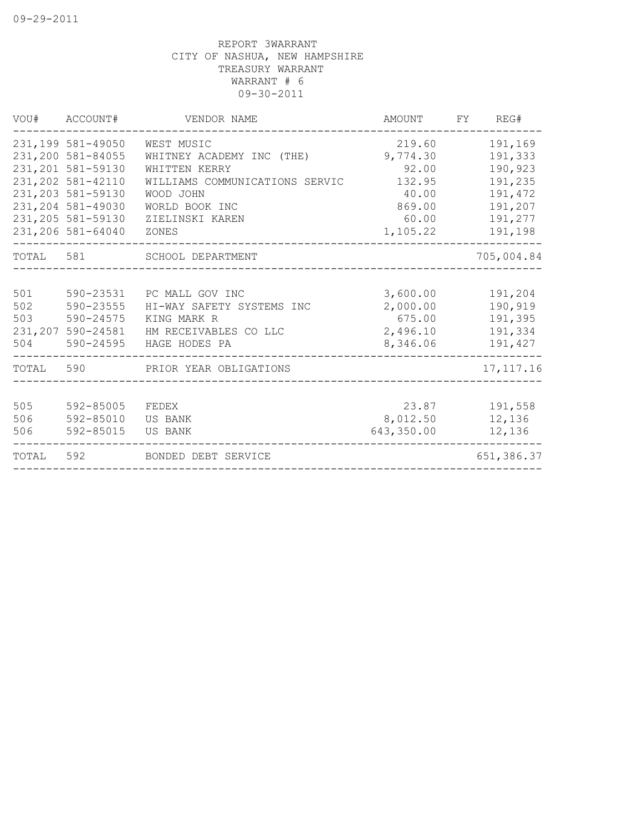|                   | VOU# ACCOUNT#                                                                                                                                                             | VENDOR NAME                                                                                                                                           | AMOUNT                                                                        | FY REG#                                                                              |
|-------------------|---------------------------------------------------------------------------------------------------------------------------------------------------------------------------|-------------------------------------------------------------------------------------------------------------------------------------------------------|-------------------------------------------------------------------------------|--------------------------------------------------------------------------------------|
|                   | 231,199 581-49050<br>231,200 581-84055<br>231, 201 581-59130<br>231, 202 581-42110<br>231, 203 581-59130<br>231, 204 581-49030<br>231, 205 581-59130<br>231,206 581-64040 | WEST MUSIC<br>WHITNEY ACADEMY INC (THE)<br>WHITTEN KERRY<br>WILLIAMS COMMUNICATIONS SERVIC<br>WOOD JOHN<br>WORLD BOOK INC<br>ZIELINSKI KAREN<br>ZONES | 219.60<br>9,774.30<br>92.00<br>132.95<br>40.00<br>869.00<br>60.00<br>1,105.22 | 191,169<br>191,333<br>190,923<br>191,235<br>191,472<br>191,207<br>191,277<br>191,198 |
|                   |                                                                                                                                                                           | TOTAL 581 SCHOOL DEPARTMENT                                                                                                                           |                                                                               | 705,004.84                                                                           |
| 501<br>502<br>503 | 590-23555<br>590-24575<br>231,207 590-24581                                                                                                                               | 590-23531 PC MALL GOV INC<br>HI-WAY SAFETY SYSTEMS INC<br>KING MARK R<br>HM RECEIVABLES CO LLC<br>504 590-24595 HAGE HODES PA                         | 3,600.00<br>2,000.00<br>675.00<br>2,496.10<br>8,346.06                        | 191,204<br>190,919<br>191,395<br>191,334<br>191,427                                  |
|                   |                                                                                                                                                                           | TOTAL 590 PRIOR YEAR OBLIGATIONS                                                                                                                      |                                                                               | 17, 117. 16                                                                          |
| 505<br>506<br>506 | 592-85005<br>592-85010 US BANK<br>592-85015                                                                                                                               | FEDEX<br>US BANK                                                                                                                                      | 23.87<br>8,012.50<br>643,350.00                                               | 191,558<br>12,136<br>12,136                                                          |
| TOTAL             | 592                                                                                                                                                                       | BONDED DEBT SERVICE                                                                                                                                   |                                                                               | 651,386.37                                                                           |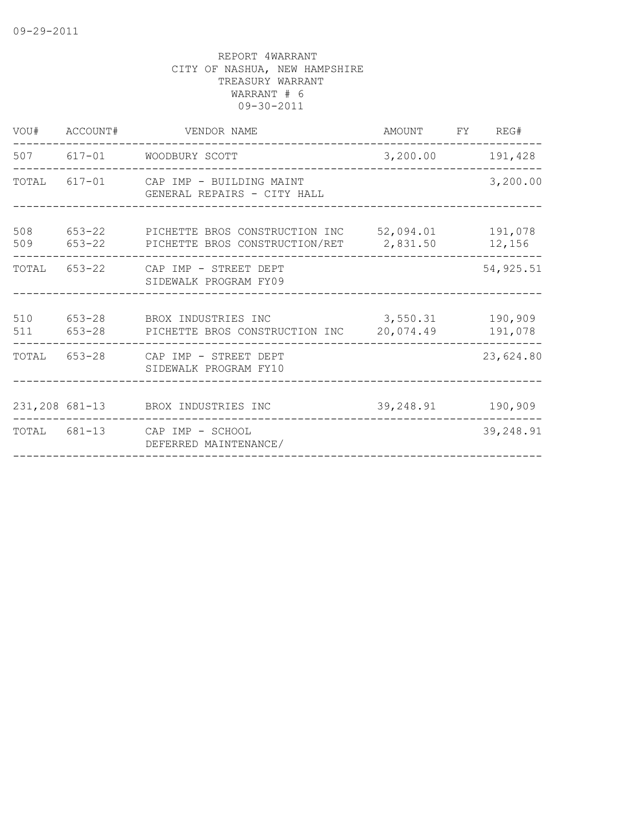|            | VOU# ACCOUNT# | VENDOR NAME                                                                                           | AMOUNT FY REG#   |                    |
|------------|---------------|-------------------------------------------------------------------------------------------------------|------------------|--------------------|
|            |               | 507 617-01 WOODBURY SCOTT                                                                             | 3,200.00 191,428 |                    |
|            |               | TOTAL 617-01 CAP IMP - BUILDING MAINT<br>GENERAL REPAIRS - CITY HALL                                  |                  | 3,200.00           |
| 508        |               | 653-22 PICHETTE BROS CONSTRUCTION INC 52,094.01<br>509 653-22 PICHETTE BROS CONSTRUCTION/RET 2,831.50 |                  | 191,078<br>12,156  |
| TOTAL      |               | 653-22 CAP IMP - STREET DEPT<br>SIDEWALK PROGRAM FY09                                                 |                  | 54, 925.51         |
| 510<br>511 | 653-28        | 653-28 BROX INDUSTRIES INC<br>PICHETTE BROS CONSTRUCTION INC 20,074.49                                | 3,550.31         | 190,909<br>191,078 |
| TOTAL      |               | 653-28 CAP IMP - STREET DEPT<br>SIDEWALK PROGRAM FY10                                                 |                  | 23,624.80          |
|            |               | 231, 208 681-13 BROX INDUSTRIES INC                                                                   | 39,248.91        | 190,909            |
|            |               | TOTAL 681-13 CAP IMP - SCHOOL<br>DEFERRED MAINTENANCE/                                                |                  | 39,248.91          |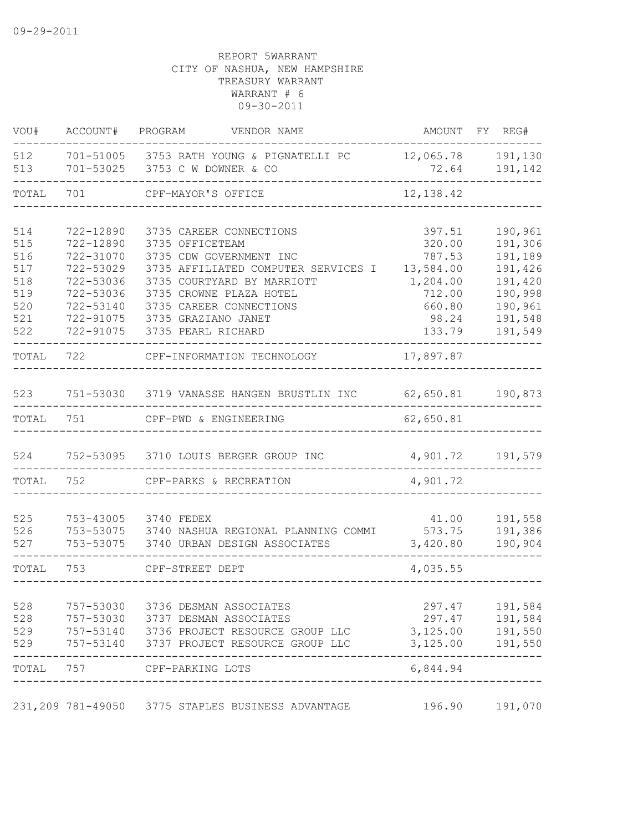| VOU#       | ACCOUNT#               | PROGRAM<br>VENDOR NAME                                                      |                  | AMOUNT FY REG#               |
|------------|------------------------|-----------------------------------------------------------------------------|------------------|------------------------------|
| 512<br>513 |                        | 701-51005 3753 RATH YOUNG & PIGNATELLI PC<br>701-53025 3753 C W DOWNER & CO | 72.64            | 12,065.78 191,130<br>191,142 |
| TOTAL      | 701                    | CPF-MAYOR'S OFFICE                                                          | 12, 138.42       |                              |
|            |                        |                                                                             |                  |                              |
| 514        | 722-12890              | 3735 CAREER CONNECTIONS                                                     | 397.51           | 190,961                      |
| 515<br>516 | 722-12890<br>722-31070 | 3735 OFFICETEAM<br>3735 CDW GOVERNMENT INC                                  | 320.00<br>787.53 | 191,306<br>191,189           |
| 517        | 722-53029              | 3735 AFFILIATED COMPUTER SERVICES I                                         | 13,584.00        | 191,426                      |
| 518        | 722-53036              | 3735 COURTYARD BY MARRIOTT                                                  | 1,204.00         | 191,420                      |
| 519        | 722-53036              | 3735 CROWNE PLAZA HOTEL                                                     | 712.00           | 190,998                      |
| 520        | 722-53140              | 3735 CAREER CONNECTIONS                                                     | 660.80           | 190,961                      |
| 521        |                        | 722-91075 3735 GRAZIANO JANET                                               | 98.24            | 191,548                      |
| 522        | 722-91075              | 3735 PEARL RICHARD                                                          | 133.79           | 191,549                      |
| TOTAL      | 722                    | CPF-INFORMATION TECHNOLOGY 17,897.87                                        |                  |                              |
| 523        |                        | 751-53030 3719 VANASSE HANGEN BRUSTLIN INC 62,650.81 190,873                |                  |                              |
|            |                        |                                                                             |                  |                              |
| TOTAL      | 751                    | CPF-PWD & ENGINEERING                                                       | 62,650.81        |                              |
|            |                        |                                                                             |                  |                              |
| 524        |                        | 752-53095 3710 LOUIS BERGER GROUP INC                                       | 4,901.72 191,579 |                              |
| TOTAL      | 752                    | CPF-PARKS & RECREATION                                                      | 4,901.72         |                              |
|            |                        |                                                                             |                  |                              |
| 525<br>526 |                        | 753-43005 3740 FEDEX<br>753-53075 3740 NASHUA REGIONAL PLANNING COMMI       | 41.00<br>573.75  | 191,558<br>191,386           |
| 527        |                        | 753-53075 3740 URBAN DESIGN ASSOCIATES                                      | 3,420.80         | 190,904                      |
| TOTAL      | 753                    | CPF-STREET DEPT                                                             | 4,035.55         |                              |
|            |                        |                                                                             |                  |                              |
| 528        | 757-53030              | 3736 DESMAN ASSOCIATES                                                      | 297.47           | 191,584                      |
| 528        | 757-53030              | 3737 DESMAN ASSOCIATES                                                      | 297.47           | 191,584                      |
| 529        | 757-53140              | 3736 PROJECT RESOURCE GROUP LLC                                             | 3,125.00         | 191,550                      |
| 529        | 757-53140              | 3737 PROJECT RESOURCE GROUP LLC                                             | 3,125.00         | 191,550                      |
| TOTAL      | 757                    | CPF-PARKING LOTS                                                            | 6,844.94         |                              |
|            |                        | 231,209 781-49050 3775 STAPLES BUSINESS ADVANTAGE                           | 196.90           | 191,070                      |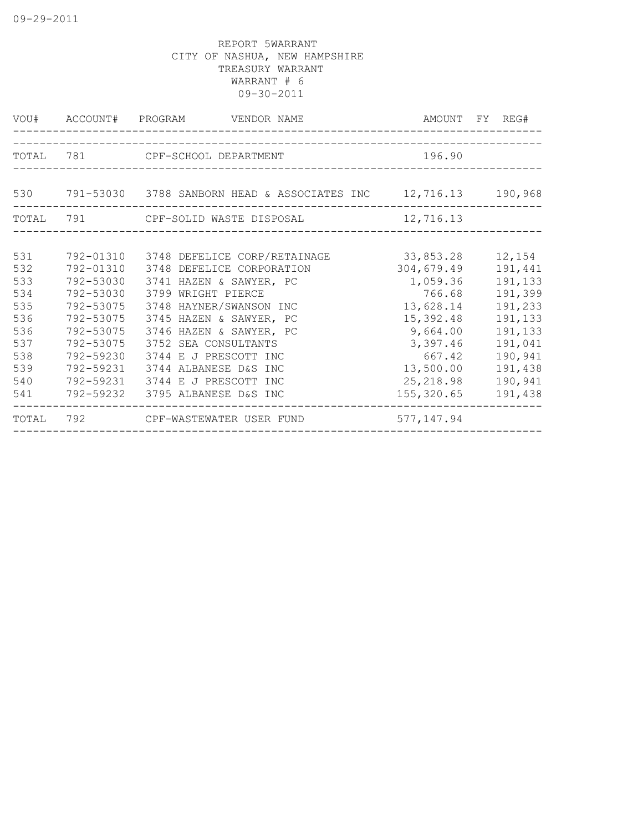|       |           | VOU# ACCOUNT# PROGRAM VENDOR NAME |             | AMOUNT FY REG# |
|-------|-----------|-----------------------------------|-------------|----------------|
|       |           | TOTAL 781 CPF-SCHOOL DEPARTMENT   | 196.90      |                |
|       |           |                                   |             |                |
| TOTAL | 791       | CPF-SOLID WASTE DISPOSAL          | 12,716.13   |                |
| 531   | 792-01310 | 3748 DEFELICE CORP/RETAINAGE      | 33,853.28   | 12,154         |
| 532   | 792-01310 | 3748 DEFELICE CORPORATION         | 304,679.49  | 191,441        |
| 533   | 792-53030 | 3741 HAZEN & SAWYER, PC           | 1,059.36    | 191,133        |
| 534   | 792-53030 | 3799 WRIGHT PIERCE                | 766.68      | 191,399        |
| 535   | 792-53075 | 3748 HAYNER/SWANSON INC           | 13,628.14   | 191,233        |
| 536   | 792-53075 | 3745 HAZEN & SAWYER, PC           | 15,392.48   | 191,133        |
| 536   | 792-53075 | 3746 HAZEN & SAWYER, PC           | 9,664.00    | 191,133        |
| 537   | 792-53075 | 3752 SEA CONSULTANTS              | 3,397.46    | 191,041        |
| 538   | 792-59230 | 3744 E J PRESCOTT INC             | 667.42      | 190,941        |
| 539   | 792-59231 | 3744 ALBANESE D&S INC             | 13,500.00   | 191,438        |
| 540   | 792-59231 | 3744 E J PRESCOTT INC             | 25, 218.98  | 190,941        |
| 541   | 792-59232 | 3795 ALBANESE D&S INC             | 155,320.65  | 191,438        |
| TOTAL |           | 792 CPF-WASTEWATER USER FUND      | 577, 147.94 |                |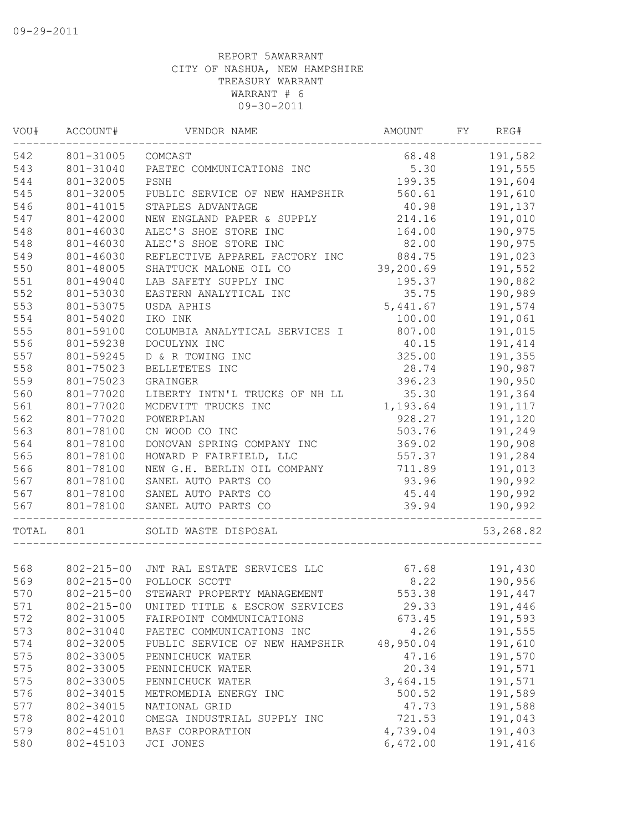| WOU#  | ACCOUNT#         | VENDOR NAME                            | AMOUNT    | FY REG#   |
|-------|------------------|----------------------------------------|-----------|-----------|
| 542   | 801-31005        | COMCAST                                | 68.48     | 191,582   |
| 543   | 801-31040        | PAETEC COMMUNICATIONS INC              | 5.30      | 191,555   |
| 544   | 801-32005        | PSNH                                   | 199.35    | 191,604   |
| 545   | 801-32005        | PUBLIC SERVICE OF NEW HAMPSHIR         | 560.61    | 191,610   |
| 546   | 801-41015        | STAPLES ADVANTAGE                      | 40.98     | 191,137   |
| 547   | 801-42000        | NEW ENGLAND PAPER & SUPPLY             | 214.16    | 191,010   |
| 548   | 801-46030        | ALEC'S SHOE STORE INC                  | 164.00    | 190,975   |
| 548   | 801-46030        | ALEC'S SHOE STORE INC                  | 82.00     | 190,975   |
| 549   | 801-46030        | REFLECTIVE APPAREL FACTORY INC         | 884.75    | 191,023   |
| 550   | 801-48005        | SHATTUCK MALONE OIL CO                 | 39,200.69 | 191,552   |
| 551   | 801-49040        | LAB SAFETY SUPPLY INC                  | 195.37    | 190,882   |
| 552   | 801-53030        | EASTERN ANALYTICAL INC                 | 35.75     | 190,989   |
| 553   | 801-53075        | USDA APHIS                             | 5,441.67  | 191,574   |
| 554   | 801-54020        | IKO INK                                | 100.00    | 191,061   |
| 555   | 801-59100        | COLUMBIA ANALYTICAL SERVICES I         | 807.00    | 191,015   |
| 556   | 801-59238        | DOCULYNX INC                           | 40.15     | 191,414   |
| 557   | 801-59245        | D & R TOWING INC                       | 325.00    | 191,355   |
| 558   | 801-75023        | BELLETETES INC                         | 28.74     | 190,987   |
| 559   | 801-75023        | GRAINGER                               | 396.23    | 190,950   |
| 560   | 801-77020        | LIBERTY INTN'L TRUCKS OF NH LL         | 35.30     | 191,364   |
| 561   | 801-77020        | MCDEVITT TRUCKS INC                    | 1,193.64  | 191,117   |
| 562   | 801-77020        | POWERPLAN                              | 928.27    | 191,120   |
| 563   | 801-78100        | CN WOOD CO INC                         | 503.76    | 191,249   |
| 564   | 801-78100        | DONOVAN SPRING COMPANY INC             | 369.02    | 190,908   |
| 565   | 801-78100        | HOWARD P FAIRFIELD, LLC                | 557.37    | 191,284   |
| 566   | 801-78100        | NEW G.H. BERLIN OIL COMPANY            | 711.89    | 191,013   |
| 567   | 801-78100        | SANEL AUTO PARTS CO                    | 93.96     | 190,992   |
| 567   | 801-78100        | SANEL AUTO PARTS CO                    | 45.44     | 190,992   |
| 567   | 801-78100        | SANEL AUTO PARTS CO                    | 39.94     | 190,992   |
| TOTAL | 801              | --------------<br>SOLID WASTE DISPOSAL |           | 53,268.82 |
|       |                  |                                        |           |           |
| 568   |                  | 802-215-00 JNT RAL ESTATE SERVICES LLC | 67.68     | 191,430   |
| 569   | $802 - 215 - 00$ | POLLOCK SCOTT                          | 8.22      | 190,956   |
| 570   | $802 - 215 - 00$ | STEWART PROPERTY MANAGEMENT            | 553.38    | 191,447   |
| 571   | $802 - 215 - 00$ | UNITED TITLE & ESCROW SERVICES         | 29.33     | 191,446   |
| 572   | 802-31005        | FAIRPOINT COMMUNICATIONS               | 673.45    | 191,593   |
| 573   | 802-31040        | PAETEC COMMUNICATIONS INC              | 4.26      | 191,555   |
| 574   | 802-32005        | PUBLIC SERVICE OF NEW HAMPSHIR         | 48,950.04 | 191,610   |
| 575   | 802-33005        | PENNICHUCK WATER                       | 47.16     | 191,570   |
| 575   | 802-33005        | PENNICHUCK WATER                       | 20.34     | 191,571   |
| 575   | 802-33005        | PENNICHUCK WATER                       | 3,464.15  | 191,571   |
| 576   | 802-34015        | METROMEDIA ENERGY INC                  | 500.52    | 191,589   |
| 577   | 802-34015        | NATIONAL GRID                          | 47.73     | 191,588   |
| 578   | 802-42010        | OMEGA INDUSTRIAL SUPPLY INC            | 721.53    | 191,043   |
| 579   | 802-45101        | BASF CORPORATION                       | 4,739.04  | 191,403   |
| 580   | 802-45103        | JCI JONES                              | 6,472.00  | 191,416   |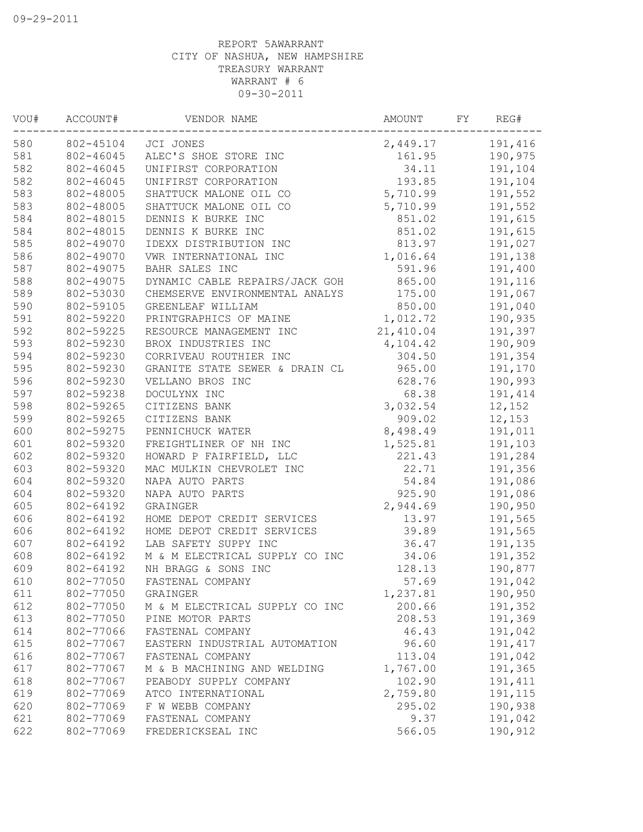| 802-45104 JCI JONES<br>191,416<br>2,449.17<br>161.95<br>190,975<br>802-46045<br>ALEC'S SHOE STORE INC<br>582<br>34.11<br>191,104<br>802-46045<br>UNIFIRST CORPORATION<br>582<br>193.85<br>191,104<br>802-46045<br>UNIFIRST CORPORATION<br>583<br>802-48005<br>SHATTUCK MALONE OIL CO<br>5,710.99<br>191,552<br>583<br>5,710.99<br>802-48005<br>SHATTUCK MALONE OIL CO<br>191,552<br>584<br>851.02<br>802-48015<br>DENNIS K BURKE INC<br>191,615<br>584<br>851.02<br>802-48015<br>DENNIS K BURKE INC<br>191,615<br>585<br>802-49070<br>IDEXX DISTRIBUTION INC<br>813.97<br>191,027<br>586<br>1,016.64<br>802-49070<br>VWR INTERNATIONAL INC<br>191,138<br>587<br>591.96<br>802-49075<br>BAHR SALES INC<br>191,400<br>588<br>DYNAMIC CABLE REPAIRS/JACK GOH<br>865.00<br>802-49075<br>191,116<br>589<br>802-53030<br>175.00<br>191,067<br>CHEMSERVE ENVIRONMENTAL ANALYS<br>590<br>802-59105<br>GREENLEAF WILLIAM<br>850.00<br>191,040<br>591<br>802-59220<br>PRINTGRAPHICS OF MAINE<br>1,012.72<br>190,935<br>592<br>21,410.04<br>191,397<br>802-59225<br>RESOURCE MANAGEMENT INC<br>593<br>802-59230<br>BROX INDUSTRIES INC<br>4,104.42<br>190,909<br>594<br>802-59230<br>304.50<br>CORRIVEAU ROUTHIER INC<br>191,354<br>595<br>802-59230<br>965.00<br>GRANITE STATE SEWER & DRAIN CL<br>191,170<br>596<br>802-59230<br>190,993<br>VELLANO BROS INC<br>628.76<br>597<br>802-59238<br>DOCULYNX INC<br>68.38<br>191,414<br>598<br>802-59265<br>3,032.54<br>CITIZENS BANK<br>12,152<br>599<br>802-59265<br>CITIZENS BANK<br>909.02<br>12,153<br>600<br>8,498.49<br>802-59275<br>PENNICHUCK WATER<br>191,011<br>601<br>802-59320<br>FREIGHTLINER OF NH INC<br>1,525.81<br>191,103<br>602<br>802-59320<br>HOWARD P FAIRFIELD, LLC<br>221.43<br>191,284<br>603<br>802-59320<br>MAC MULKIN CHEVROLET INC<br>22.71<br>191,356<br>604<br>54.84<br>802-59320<br>NAPA AUTO PARTS<br>191,086<br>604<br>925.90<br>802-59320<br>NAPA AUTO PARTS<br>191,086<br>605<br>2,944.69<br>802-64192<br>GRAINGER<br>190,950<br>606<br>802-64192<br>HOME DEPOT CREDIT SERVICES<br>191,565<br>13.97<br>606<br>802-64192<br>HOME DEPOT CREDIT SERVICES<br>39.89<br>191,565<br>607<br>LAB SAFETY SUPPY INC<br>36.47<br>802-64192<br>191,135<br>608<br>34.06<br>802-64192<br>M & M ELECTRICAL SUPPLY CO INC<br>191,352<br>609<br>128.13<br>802-64192<br>NH BRAGG & SONS INC<br>190,877<br>802-77050<br>610<br>FASTENAL COMPANY<br>57.69<br>191,042<br>802-77050<br>1,237.81<br>190,950<br>611<br>GRAINGER<br>612<br>200.66<br>802-77050<br>191,352<br>M & M ELECTRICAL SUPPLY CO INC<br>613<br>208.53<br>191,369<br>802-77050<br>PINE MOTOR PARTS<br>614<br>802-77066<br>46.43<br>191,042<br>FASTENAL COMPANY<br>615<br>802-77067<br>96.60<br>191, 417<br>EASTERN INDUSTRIAL AUTOMATION<br>616<br>191,042<br>802-77067<br>FASTENAL COMPANY<br>113.04<br>617<br>1,767.00<br>191,365<br>802-77067<br>M & B MACHINING AND WELDING<br>618<br>802-77067<br>PEABODY SUPPLY COMPANY<br>102.90<br>191,411<br>191,115<br>619<br>802-77069<br>ATCO INTERNATIONAL<br>2,759.80<br>620<br>802-77069<br>295.02<br>190,938<br>F W WEBB COMPANY<br>621<br>802-77069<br>9.37<br>191,042<br>FASTENAL COMPANY<br>622<br>802-77069<br>566.05<br>190,912<br>FREDERICKSEAL INC | WOU# | ACCOUNT# | VENDOR NAME | AMOUNT | FY | REG# |
|-----------------------------------------------------------------------------------------------------------------------------------------------------------------------------------------------------------------------------------------------------------------------------------------------------------------------------------------------------------------------------------------------------------------------------------------------------------------------------------------------------------------------------------------------------------------------------------------------------------------------------------------------------------------------------------------------------------------------------------------------------------------------------------------------------------------------------------------------------------------------------------------------------------------------------------------------------------------------------------------------------------------------------------------------------------------------------------------------------------------------------------------------------------------------------------------------------------------------------------------------------------------------------------------------------------------------------------------------------------------------------------------------------------------------------------------------------------------------------------------------------------------------------------------------------------------------------------------------------------------------------------------------------------------------------------------------------------------------------------------------------------------------------------------------------------------------------------------------------------------------------------------------------------------------------------------------------------------------------------------------------------------------------------------------------------------------------------------------------------------------------------------------------------------------------------------------------------------------------------------------------------------------------------------------------------------------------------------------------------------------------------------------------------------------------------------------------------------------------------------------------------------------------------------------------------------------------------------------------------------------------------------------------------------------------------------------------------------------------------------------------------------------------------------------------------------------------------------------------------------------------------------------------------------------------------------------------------------------------------------------------------------------------------------------------------------------------------------------------------------------------------------------------------------------------------------------------------------------------|------|----------|-------------|--------|----|------|
|                                                                                                                                                                                                                                                                                                                                                                                                                                                                                                                                                                                                                                                                                                                                                                                                                                                                                                                                                                                                                                                                                                                                                                                                                                                                                                                                                                                                                                                                                                                                                                                                                                                                                                                                                                                                                                                                                                                                                                                                                                                                                                                                                                                                                                                                                                                                                                                                                                                                                                                                                                                                                                                                                                                                                                                                                                                                                                                                                                                                                                                                                                                                                                                                                             | 580  |          |             |        |    |      |
|                                                                                                                                                                                                                                                                                                                                                                                                                                                                                                                                                                                                                                                                                                                                                                                                                                                                                                                                                                                                                                                                                                                                                                                                                                                                                                                                                                                                                                                                                                                                                                                                                                                                                                                                                                                                                                                                                                                                                                                                                                                                                                                                                                                                                                                                                                                                                                                                                                                                                                                                                                                                                                                                                                                                                                                                                                                                                                                                                                                                                                                                                                                                                                                                                             | 581  |          |             |        |    |      |
|                                                                                                                                                                                                                                                                                                                                                                                                                                                                                                                                                                                                                                                                                                                                                                                                                                                                                                                                                                                                                                                                                                                                                                                                                                                                                                                                                                                                                                                                                                                                                                                                                                                                                                                                                                                                                                                                                                                                                                                                                                                                                                                                                                                                                                                                                                                                                                                                                                                                                                                                                                                                                                                                                                                                                                                                                                                                                                                                                                                                                                                                                                                                                                                                                             |      |          |             |        |    |      |
|                                                                                                                                                                                                                                                                                                                                                                                                                                                                                                                                                                                                                                                                                                                                                                                                                                                                                                                                                                                                                                                                                                                                                                                                                                                                                                                                                                                                                                                                                                                                                                                                                                                                                                                                                                                                                                                                                                                                                                                                                                                                                                                                                                                                                                                                                                                                                                                                                                                                                                                                                                                                                                                                                                                                                                                                                                                                                                                                                                                                                                                                                                                                                                                                                             |      |          |             |        |    |      |
|                                                                                                                                                                                                                                                                                                                                                                                                                                                                                                                                                                                                                                                                                                                                                                                                                                                                                                                                                                                                                                                                                                                                                                                                                                                                                                                                                                                                                                                                                                                                                                                                                                                                                                                                                                                                                                                                                                                                                                                                                                                                                                                                                                                                                                                                                                                                                                                                                                                                                                                                                                                                                                                                                                                                                                                                                                                                                                                                                                                                                                                                                                                                                                                                                             |      |          |             |        |    |      |
|                                                                                                                                                                                                                                                                                                                                                                                                                                                                                                                                                                                                                                                                                                                                                                                                                                                                                                                                                                                                                                                                                                                                                                                                                                                                                                                                                                                                                                                                                                                                                                                                                                                                                                                                                                                                                                                                                                                                                                                                                                                                                                                                                                                                                                                                                                                                                                                                                                                                                                                                                                                                                                                                                                                                                                                                                                                                                                                                                                                                                                                                                                                                                                                                                             |      |          |             |        |    |      |
|                                                                                                                                                                                                                                                                                                                                                                                                                                                                                                                                                                                                                                                                                                                                                                                                                                                                                                                                                                                                                                                                                                                                                                                                                                                                                                                                                                                                                                                                                                                                                                                                                                                                                                                                                                                                                                                                                                                                                                                                                                                                                                                                                                                                                                                                                                                                                                                                                                                                                                                                                                                                                                                                                                                                                                                                                                                                                                                                                                                                                                                                                                                                                                                                                             |      |          |             |        |    |      |
|                                                                                                                                                                                                                                                                                                                                                                                                                                                                                                                                                                                                                                                                                                                                                                                                                                                                                                                                                                                                                                                                                                                                                                                                                                                                                                                                                                                                                                                                                                                                                                                                                                                                                                                                                                                                                                                                                                                                                                                                                                                                                                                                                                                                                                                                                                                                                                                                                                                                                                                                                                                                                                                                                                                                                                                                                                                                                                                                                                                                                                                                                                                                                                                                                             |      |          |             |        |    |      |
|                                                                                                                                                                                                                                                                                                                                                                                                                                                                                                                                                                                                                                                                                                                                                                                                                                                                                                                                                                                                                                                                                                                                                                                                                                                                                                                                                                                                                                                                                                                                                                                                                                                                                                                                                                                                                                                                                                                                                                                                                                                                                                                                                                                                                                                                                                                                                                                                                                                                                                                                                                                                                                                                                                                                                                                                                                                                                                                                                                                                                                                                                                                                                                                                                             |      |          |             |        |    |      |
|                                                                                                                                                                                                                                                                                                                                                                                                                                                                                                                                                                                                                                                                                                                                                                                                                                                                                                                                                                                                                                                                                                                                                                                                                                                                                                                                                                                                                                                                                                                                                                                                                                                                                                                                                                                                                                                                                                                                                                                                                                                                                                                                                                                                                                                                                                                                                                                                                                                                                                                                                                                                                                                                                                                                                                                                                                                                                                                                                                                                                                                                                                                                                                                                                             |      |          |             |        |    |      |
|                                                                                                                                                                                                                                                                                                                                                                                                                                                                                                                                                                                                                                                                                                                                                                                                                                                                                                                                                                                                                                                                                                                                                                                                                                                                                                                                                                                                                                                                                                                                                                                                                                                                                                                                                                                                                                                                                                                                                                                                                                                                                                                                                                                                                                                                                                                                                                                                                                                                                                                                                                                                                                                                                                                                                                                                                                                                                                                                                                                                                                                                                                                                                                                                                             |      |          |             |        |    |      |
|                                                                                                                                                                                                                                                                                                                                                                                                                                                                                                                                                                                                                                                                                                                                                                                                                                                                                                                                                                                                                                                                                                                                                                                                                                                                                                                                                                                                                                                                                                                                                                                                                                                                                                                                                                                                                                                                                                                                                                                                                                                                                                                                                                                                                                                                                                                                                                                                                                                                                                                                                                                                                                                                                                                                                                                                                                                                                                                                                                                                                                                                                                                                                                                                                             |      |          |             |        |    |      |
|                                                                                                                                                                                                                                                                                                                                                                                                                                                                                                                                                                                                                                                                                                                                                                                                                                                                                                                                                                                                                                                                                                                                                                                                                                                                                                                                                                                                                                                                                                                                                                                                                                                                                                                                                                                                                                                                                                                                                                                                                                                                                                                                                                                                                                                                                                                                                                                                                                                                                                                                                                                                                                                                                                                                                                                                                                                                                                                                                                                                                                                                                                                                                                                                                             |      |          |             |        |    |      |
|                                                                                                                                                                                                                                                                                                                                                                                                                                                                                                                                                                                                                                                                                                                                                                                                                                                                                                                                                                                                                                                                                                                                                                                                                                                                                                                                                                                                                                                                                                                                                                                                                                                                                                                                                                                                                                                                                                                                                                                                                                                                                                                                                                                                                                                                                                                                                                                                                                                                                                                                                                                                                                                                                                                                                                                                                                                                                                                                                                                                                                                                                                                                                                                                                             |      |          |             |        |    |      |
|                                                                                                                                                                                                                                                                                                                                                                                                                                                                                                                                                                                                                                                                                                                                                                                                                                                                                                                                                                                                                                                                                                                                                                                                                                                                                                                                                                                                                                                                                                                                                                                                                                                                                                                                                                                                                                                                                                                                                                                                                                                                                                                                                                                                                                                                                                                                                                                                                                                                                                                                                                                                                                                                                                                                                                                                                                                                                                                                                                                                                                                                                                                                                                                                                             |      |          |             |        |    |      |
|                                                                                                                                                                                                                                                                                                                                                                                                                                                                                                                                                                                                                                                                                                                                                                                                                                                                                                                                                                                                                                                                                                                                                                                                                                                                                                                                                                                                                                                                                                                                                                                                                                                                                                                                                                                                                                                                                                                                                                                                                                                                                                                                                                                                                                                                                                                                                                                                                                                                                                                                                                                                                                                                                                                                                                                                                                                                                                                                                                                                                                                                                                                                                                                                                             |      |          |             |        |    |      |
|                                                                                                                                                                                                                                                                                                                                                                                                                                                                                                                                                                                                                                                                                                                                                                                                                                                                                                                                                                                                                                                                                                                                                                                                                                                                                                                                                                                                                                                                                                                                                                                                                                                                                                                                                                                                                                                                                                                                                                                                                                                                                                                                                                                                                                                                                                                                                                                                                                                                                                                                                                                                                                                                                                                                                                                                                                                                                                                                                                                                                                                                                                                                                                                                                             |      |          |             |        |    |      |
|                                                                                                                                                                                                                                                                                                                                                                                                                                                                                                                                                                                                                                                                                                                                                                                                                                                                                                                                                                                                                                                                                                                                                                                                                                                                                                                                                                                                                                                                                                                                                                                                                                                                                                                                                                                                                                                                                                                                                                                                                                                                                                                                                                                                                                                                                                                                                                                                                                                                                                                                                                                                                                                                                                                                                                                                                                                                                                                                                                                                                                                                                                                                                                                                                             |      |          |             |        |    |      |
|                                                                                                                                                                                                                                                                                                                                                                                                                                                                                                                                                                                                                                                                                                                                                                                                                                                                                                                                                                                                                                                                                                                                                                                                                                                                                                                                                                                                                                                                                                                                                                                                                                                                                                                                                                                                                                                                                                                                                                                                                                                                                                                                                                                                                                                                                                                                                                                                                                                                                                                                                                                                                                                                                                                                                                                                                                                                                                                                                                                                                                                                                                                                                                                                                             |      |          |             |        |    |      |
|                                                                                                                                                                                                                                                                                                                                                                                                                                                                                                                                                                                                                                                                                                                                                                                                                                                                                                                                                                                                                                                                                                                                                                                                                                                                                                                                                                                                                                                                                                                                                                                                                                                                                                                                                                                                                                                                                                                                                                                                                                                                                                                                                                                                                                                                                                                                                                                                                                                                                                                                                                                                                                                                                                                                                                                                                                                                                                                                                                                                                                                                                                                                                                                                                             |      |          |             |        |    |      |
|                                                                                                                                                                                                                                                                                                                                                                                                                                                                                                                                                                                                                                                                                                                                                                                                                                                                                                                                                                                                                                                                                                                                                                                                                                                                                                                                                                                                                                                                                                                                                                                                                                                                                                                                                                                                                                                                                                                                                                                                                                                                                                                                                                                                                                                                                                                                                                                                                                                                                                                                                                                                                                                                                                                                                                                                                                                                                                                                                                                                                                                                                                                                                                                                                             |      |          |             |        |    |      |
|                                                                                                                                                                                                                                                                                                                                                                                                                                                                                                                                                                                                                                                                                                                                                                                                                                                                                                                                                                                                                                                                                                                                                                                                                                                                                                                                                                                                                                                                                                                                                                                                                                                                                                                                                                                                                                                                                                                                                                                                                                                                                                                                                                                                                                                                                                                                                                                                                                                                                                                                                                                                                                                                                                                                                                                                                                                                                                                                                                                                                                                                                                                                                                                                                             |      |          |             |        |    |      |
|                                                                                                                                                                                                                                                                                                                                                                                                                                                                                                                                                                                                                                                                                                                                                                                                                                                                                                                                                                                                                                                                                                                                                                                                                                                                                                                                                                                                                                                                                                                                                                                                                                                                                                                                                                                                                                                                                                                                                                                                                                                                                                                                                                                                                                                                                                                                                                                                                                                                                                                                                                                                                                                                                                                                                                                                                                                                                                                                                                                                                                                                                                                                                                                                                             |      |          |             |        |    |      |
|                                                                                                                                                                                                                                                                                                                                                                                                                                                                                                                                                                                                                                                                                                                                                                                                                                                                                                                                                                                                                                                                                                                                                                                                                                                                                                                                                                                                                                                                                                                                                                                                                                                                                                                                                                                                                                                                                                                                                                                                                                                                                                                                                                                                                                                                                                                                                                                                                                                                                                                                                                                                                                                                                                                                                                                                                                                                                                                                                                                                                                                                                                                                                                                                                             |      |          |             |        |    |      |
|                                                                                                                                                                                                                                                                                                                                                                                                                                                                                                                                                                                                                                                                                                                                                                                                                                                                                                                                                                                                                                                                                                                                                                                                                                                                                                                                                                                                                                                                                                                                                                                                                                                                                                                                                                                                                                                                                                                                                                                                                                                                                                                                                                                                                                                                                                                                                                                                                                                                                                                                                                                                                                                                                                                                                                                                                                                                                                                                                                                                                                                                                                                                                                                                                             |      |          |             |        |    |      |
|                                                                                                                                                                                                                                                                                                                                                                                                                                                                                                                                                                                                                                                                                                                                                                                                                                                                                                                                                                                                                                                                                                                                                                                                                                                                                                                                                                                                                                                                                                                                                                                                                                                                                                                                                                                                                                                                                                                                                                                                                                                                                                                                                                                                                                                                                                                                                                                                                                                                                                                                                                                                                                                                                                                                                                                                                                                                                                                                                                                                                                                                                                                                                                                                                             |      |          |             |        |    |      |
|                                                                                                                                                                                                                                                                                                                                                                                                                                                                                                                                                                                                                                                                                                                                                                                                                                                                                                                                                                                                                                                                                                                                                                                                                                                                                                                                                                                                                                                                                                                                                                                                                                                                                                                                                                                                                                                                                                                                                                                                                                                                                                                                                                                                                                                                                                                                                                                                                                                                                                                                                                                                                                                                                                                                                                                                                                                                                                                                                                                                                                                                                                                                                                                                                             |      |          |             |        |    |      |
|                                                                                                                                                                                                                                                                                                                                                                                                                                                                                                                                                                                                                                                                                                                                                                                                                                                                                                                                                                                                                                                                                                                                                                                                                                                                                                                                                                                                                                                                                                                                                                                                                                                                                                                                                                                                                                                                                                                                                                                                                                                                                                                                                                                                                                                                                                                                                                                                                                                                                                                                                                                                                                                                                                                                                                                                                                                                                                                                                                                                                                                                                                                                                                                                                             |      |          |             |        |    |      |
|                                                                                                                                                                                                                                                                                                                                                                                                                                                                                                                                                                                                                                                                                                                                                                                                                                                                                                                                                                                                                                                                                                                                                                                                                                                                                                                                                                                                                                                                                                                                                                                                                                                                                                                                                                                                                                                                                                                                                                                                                                                                                                                                                                                                                                                                                                                                                                                                                                                                                                                                                                                                                                                                                                                                                                                                                                                                                                                                                                                                                                                                                                                                                                                                                             |      |          |             |        |    |      |
|                                                                                                                                                                                                                                                                                                                                                                                                                                                                                                                                                                                                                                                                                                                                                                                                                                                                                                                                                                                                                                                                                                                                                                                                                                                                                                                                                                                                                                                                                                                                                                                                                                                                                                                                                                                                                                                                                                                                                                                                                                                                                                                                                                                                                                                                                                                                                                                                                                                                                                                                                                                                                                                                                                                                                                                                                                                                                                                                                                                                                                                                                                                                                                                                                             |      |          |             |        |    |      |
|                                                                                                                                                                                                                                                                                                                                                                                                                                                                                                                                                                                                                                                                                                                                                                                                                                                                                                                                                                                                                                                                                                                                                                                                                                                                                                                                                                                                                                                                                                                                                                                                                                                                                                                                                                                                                                                                                                                                                                                                                                                                                                                                                                                                                                                                                                                                                                                                                                                                                                                                                                                                                                                                                                                                                                                                                                                                                                                                                                                                                                                                                                                                                                                                                             |      |          |             |        |    |      |
|                                                                                                                                                                                                                                                                                                                                                                                                                                                                                                                                                                                                                                                                                                                                                                                                                                                                                                                                                                                                                                                                                                                                                                                                                                                                                                                                                                                                                                                                                                                                                                                                                                                                                                                                                                                                                                                                                                                                                                                                                                                                                                                                                                                                                                                                                                                                                                                                                                                                                                                                                                                                                                                                                                                                                                                                                                                                                                                                                                                                                                                                                                                                                                                                                             |      |          |             |        |    |      |
|                                                                                                                                                                                                                                                                                                                                                                                                                                                                                                                                                                                                                                                                                                                                                                                                                                                                                                                                                                                                                                                                                                                                                                                                                                                                                                                                                                                                                                                                                                                                                                                                                                                                                                                                                                                                                                                                                                                                                                                                                                                                                                                                                                                                                                                                                                                                                                                                                                                                                                                                                                                                                                                                                                                                                                                                                                                                                                                                                                                                                                                                                                                                                                                                                             |      |          |             |        |    |      |
|                                                                                                                                                                                                                                                                                                                                                                                                                                                                                                                                                                                                                                                                                                                                                                                                                                                                                                                                                                                                                                                                                                                                                                                                                                                                                                                                                                                                                                                                                                                                                                                                                                                                                                                                                                                                                                                                                                                                                                                                                                                                                                                                                                                                                                                                                                                                                                                                                                                                                                                                                                                                                                                                                                                                                                                                                                                                                                                                                                                                                                                                                                                                                                                                                             |      |          |             |        |    |      |
|                                                                                                                                                                                                                                                                                                                                                                                                                                                                                                                                                                                                                                                                                                                                                                                                                                                                                                                                                                                                                                                                                                                                                                                                                                                                                                                                                                                                                                                                                                                                                                                                                                                                                                                                                                                                                                                                                                                                                                                                                                                                                                                                                                                                                                                                                                                                                                                                                                                                                                                                                                                                                                                                                                                                                                                                                                                                                                                                                                                                                                                                                                                                                                                                                             |      |          |             |        |    |      |
|                                                                                                                                                                                                                                                                                                                                                                                                                                                                                                                                                                                                                                                                                                                                                                                                                                                                                                                                                                                                                                                                                                                                                                                                                                                                                                                                                                                                                                                                                                                                                                                                                                                                                                                                                                                                                                                                                                                                                                                                                                                                                                                                                                                                                                                                                                                                                                                                                                                                                                                                                                                                                                                                                                                                                                                                                                                                                                                                                                                                                                                                                                                                                                                                                             |      |          |             |        |    |      |
|                                                                                                                                                                                                                                                                                                                                                                                                                                                                                                                                                                                                                                                                                                                                                                                                                                                                                                                                                                                                                                                                                                                                                                                                                                                                                                                                                                                                                                                                                                                                                                                                                                                                                                                                                                                                                                                                                                                                                                                                                                                                                                                                                                                                                                                                                                                                                                                                                                                                                                                                                                                                                                                                                                                                                                                                                                                                                                                                                                                                                                                                                                                                                                                                                             |      |          |             |        |    |      |
|                                                                                                                                                                                                                                                                                                                                                                                                                                                                                                                                                                                                                                                                                                                                                                                                                                                                                                                                                                                                                                                                                                                                                                                                                                                                                                                                                                                                                                                                                                                                                                                                                                                                                                                                                                                                                                                                                                                                                                                                                                                                                                                                                                                                                                                                                                                                                                                                                                                                                                                                                                                                                                                                                                                                                                                                                                                                                                                                                                                                                                                                                                                                                                                                                             |      |          |             |        |    |      |
|                                                                                                                                                                                                                                                                                                                                                                                                                                                                                                                                                                                                                                                                                                                                                                                                                                                                                                                                                                                                                                                                                                                                                                                                                                                                                                                                                                                                                                                                                                                                                                                                                                                                                                                                                                                                                                                                                                                                                                                                                                                                                                                                                                                                                                                                                                                                                                                                                                                                                                                                                                                                                                                                                                                                                                                                                                                                                                                                                                                                                                                                                                                                                                                                                             |      |          |             |        |    |      |
|                                                                                                                                                                                                                                                                                                                                                                                                                                                                                                                                                                                                                                                                                                                                                                                                                                                                                                                                                                                                                                                                                                                                                                                                                                                                                                                                                                                                                                                                                                                                                                                                                                                                                                                                                                                                                                                                                                                                                                                                                                                                                                                                                                                                                                                                                                                                                                                                                                                                                                                                                                                                                                                                                                                                                                                                                                                                                                                                                                                                                                                                                                                                                                                                                             |      |          |             |        |    |      |
|                                                                                                                                                                                                                                                                                                                                                                                                                                                                                                                                                                                                                                                                                                                                                                                                                                                                                                                                                                                                                                                                                                                                                                                                                                                                                                                                                                                                                                                                                                                                                                                                                                                                                                                                                                                                                                                                                                                                                                                                                                                                                                                                                                                                                                                                                                                                                                                                                                                                                                                                                                                                                                                                                                                                                                                                                                                                                                                                                                                                                                                                                                                                                                                                                             |      |          |             |        |    |      |
|                                                                                                                                                                                                                                                                                                                                                                                                                                                                                                                                                                                                                                                                                                                                                                                                                                                                                                                                                                                                                                                                                                                                                                                                                                                                                                                                                                                                                                                                                                                                                                                                                                                                                                                                                                                                                                                                                                                                                                                                                                                                                                                                                                                                                                                                                                                                                                                                                                                                                                                                                                                                                                                                                                                                                                                                                                                                                                                                                                                                                                                                                                                                                                                                                             |      |          |             |        |    |      |
|                                                                                                                                                                                                                                                                                                                                                                                                                                                                                                                                                                                                                                                                                                                                                                                                                                                                                                                                                                                                                                                                                                                                                                                                                                                                                                                                                                                                                                                                                                                                                                                                                                                                                                                                                                                                                                                                                                                                                                                                                                                                                                                                                                                                                                                                                                                                                                                                                                                                                                                                                                                                                                                                                                                                                                                                                                                                                                                                                                                                                                                                                                                                                                                                                             |      |          |             |        |    |      |
|                                                                                                                                                                                                                                                                                                                                                                                                                                                                                                                                                                                                                                                                                                                                                                                                                                                                                                                                                                                                                                                                                                                                                                                                                                                                                                                                                                                                                                                                                                                                                                                                                                                                                                                                                                                                                                                                                                                                                                                                                                                                                                                                                                                                                                                                                                                                                                                                                                                                                                                                                                                                                                                                                                                                                                                                                                                                                                                                                                                                                                                                                                                                                                                                                             |      |          |             |        |    |      |
|                                                                                                                                                                                                                                                                                                                                                                                                                                                                                                                                                                                                                                                                                                                                                                                                                                                                                                                                                                                                                                                                                                                                                                                                                                                                                                                                                                                                                                                                                                                                                                                                                                                                                                                                                                                                                                                                                                                                                                                                                                                                                                                                                                                                                                                                                                                                                                                                                                                                                                                                                                                                                                                                                                                                                                                                                                                                                                                                                                                                                                                                                                                                                                                                                             |      |          |             |        |    |      |
|                                                                                                                                                                                                                                                                                                                                                                                                                                                                                                                                                                                                                                                                                                                                                                                                                                                                                                                                                                                                                                                                                                                                                                                                                                                                                                                                                                                                                                                                                                                                                                                                                                                                                                                                                                                                                                                                                                                                                                                                                                                                                                                                                                                                                                                                                                                                                                                                                                                                                                                                                                                                                                                                                                                                                                                                                                                                                                                                                                                                                                                                                                                                                                                                                             |      |          |             |        |    |      |
|                                                                                                                                                                                                                                                                                                                                                                                                                                                                                                                                                                                                                                                                                                                                                                                                                                                                                                                                                                                                                                                                                                                                                                                                                                                                                                                                                                                                                                                                                                                                                                                                                                                                                                                                                                                                                                                                                                                                                                                                                                                                                                                                                                                                                                                                                                                                                                                                                                                                                                                                                                                                                                                                                                                                                                                                                                                                                                                                                                                                                                                                                                                                                                                                                             |      |          |             |        |    |      |
|                                                                                                                                                                                                                                                                                                                                                                                                                                                                                                                                                                                                                                                                                                                                                                                                                                                                                                                                                                                                                                                                                                                                                                                                                                                                                                                                                                                                                                                                                                                                                                                                                                                                                                                                                                                                                                                                                                                                                                                                                                                                                                                                                                                                                                                                                                                                                                                                                                                                                                                                                                                                                                                                                                                                                                                                                                                                                                                                                                                                                                                                                                                                                                                                                             |      |          |             |        |    |      |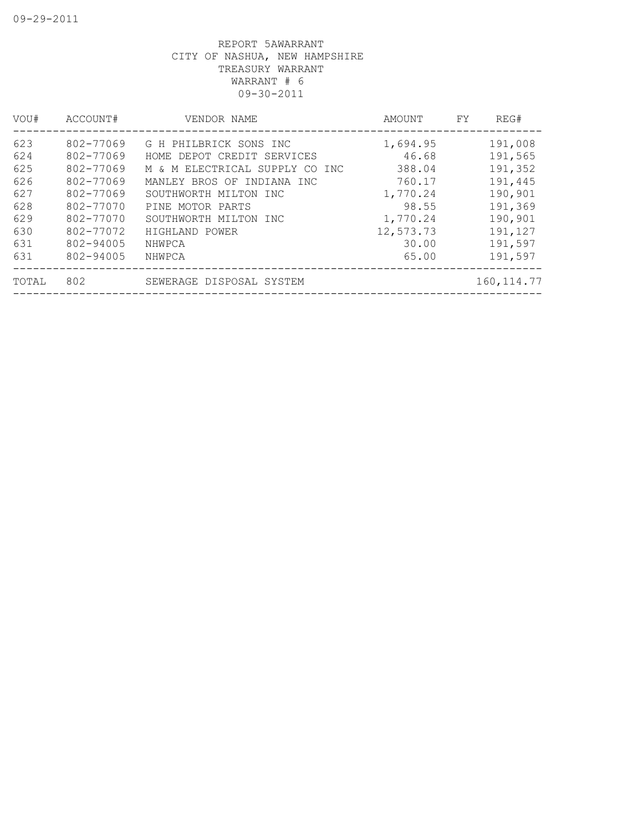| VOU#  | ACCOUNT#  | VENDOR NAME                    | AMOUNT    | FY | REG#        |
|-------|-----------|--------------------------------|-----------|----|-------------|
| 623   | 802-77069 | G H PHILBRICK SONS INC         | 1,694.95  |    | 191,008     |
| 624   | 802-77069 | HOME DEPOT CREDIT SERVICES     | 46.68     |    | 191,565     |
| 625   | 802-77069 | M & M ELECTRICAL SUPPLY CO INC | 388.04    |    | 191,352     |
| 626   | 802-77069 | MANLEY BROS OF INDIANA INC     | 760.17    |    | 191,445     |
| 627   | 802-77069 | SOUTHWORTH MILTON INC          | 1,770.24  |    | 190,901     |
| 628   | 802-77070 | PINE MOTOR PARTS               | 98.55     |    | 191,369     |
| 629   | 802-77070 | SOUTHWORTH MILTON INC          | 1,770.24  |    | 190,901     |
| 630   | 802-77072 | HIGHLAND POWER                 | 12,573.73 |    | 191,127     |
| 631   | 802-94005 | NHWPCA                         | 30.00     |    | 191,597     |
| 631   | 802-94005 | NHWPCA                         | 65.00     |    | 191,597     |
| TOTAL | 802       | SEWERAGE DISPOSAL SYSTEM       |           |    | 160, 114.77 |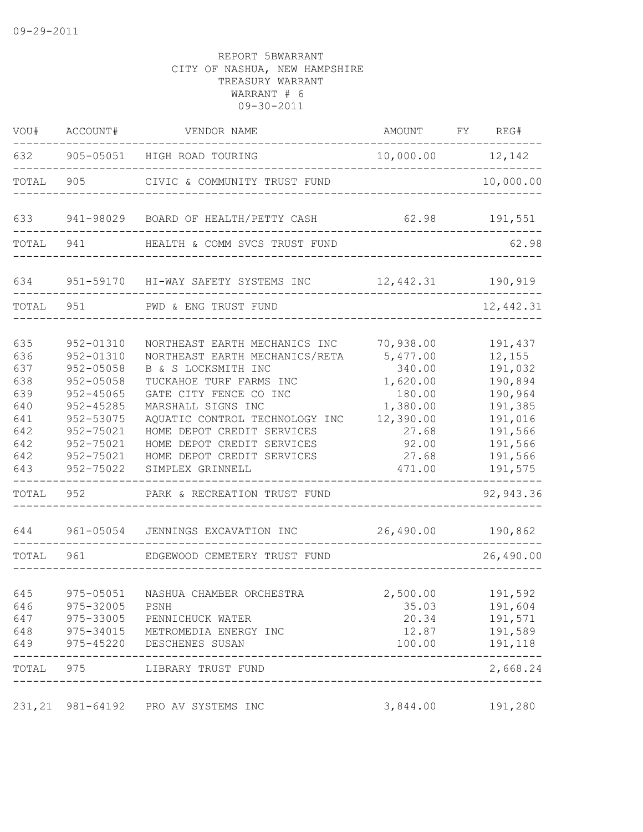| VOU#                                                                               | ACCOUNT#                                                                                                                                                       | VENDOR NAME                                                                                                                                                                                                                                                                                                                                       | AMOUNT                                                                                                              | FY | REG#                                                                                                                              |
|------------------------------------------------------------------------------------|----------------------------------------------------------------------------------------------------------------------------------------------------------------|---------------------------------------------------------------------------------------------------------------------------------------------------------------------------------------------------------------------------------------------------------------------------------------------------------------------------------------------------|---------------------------------------------------------------------------------------------------------------------|----|-----------------------------------------------------------------------------------------------------------------------------------|
| 632                                                                                | 905-05051                                                                                                                                                      | HIGH ROAD TOURING                                                                                                                                                                                                                                                                                                                                 | 10,000.00                                                                                                           |    | 12,142                                                                                                                            |
| TOTAL                                                                              | 905                                                                                                                                                            | CIVIC & COMMUNITY TRUST FUND                                                                                                                                                                                                                                                                                                                      |                                                                                                                     |    | 10,000.00                                                                                                                         |
| 633                                                                                | 941-98029                                                                                                                                                      | BOARD OF HEALTH/PETTY CASH                                                                                                                                                                                                                                                                                                                        | 62.98                                                                                                               |    | 191,551                                                                                                                           |
| TOTAL                                                                              | 941                                                                                                                                                            | HEALTH & COMM SVCS TRUST FUND                                                                                                                                                                                                                                                                                                                     |                                                                                                                     |    | 62.98                                                                                                                             |
| 634                                                                                | 951-59170                                                                                                                                                      | HI-WAY SAFETY SYSTEMS INC                                                                                                                                                                                                                                                                                                                         | 12,442.31                                                                                                           |    | 190,919                                                                                                                           |
| TOTAL                                                                              | 951                                                                                                                                                            | PWD & ENG TRUST FUND                                                                                                                                                                                                                                                                                                                              |                                                                                                                     |    | 12,442.31                                                                                                                         |
| 635<br>636<br>637<br>638<br>639<br>640<br>641<br>642<br>642<br>642<br>643<br>TOTAL | 952-01310<br>952-01310<br>$952 - 05058$<br>$952 - 05058$<br>952-45065<br>$952 - 45285$<br>952-53075<br>952-75021<br>952-75021<br>952-75021<br>952-75022<br>952 | NORTHEAST EARTH MECHANICS INC<br>NORTHEAST EARTH MECHANICS/RETA<br>B & S LOCKSMITH INC<br>TUCKAHOE TURF FARMS INC<br>GATE CITY FENCE CO INC<br>MARSHALL SIGNS INC<br>AQUATIC CONTROL TECHNOLOGY INC<br>HOME DEPOT CREDIT SERVICES<br>HOME DEPOT CREDIT SERVICES<br>HOME DEPOT CREDIT SERVICES<br>SIMPLEX GRINNELL<br>PARK & RECREATION TRUST FUND | 70,938.00<br>5,477.00<br>340.00<br>1,620.00<br>180.00<br>1,380.00<br>12,390.00<br>27.68<br>92.00<br>27.68<br>471.00 |    | 191,437<br>12,155<br>191,032<br>190,894<br>190,964<br>191,385<br>191,016<br>191,566<br>191,566<br>191,566<br>191,575<br>92,943.36 |
| 644                                                                                | 961-05054                                                                                                                                                      | JENNINGS EXCAVATION INC                                                                                                                                                                                                                                                                                                                           | 26,490.00                                                                                                           |    | 190,862                                                                                                                           |
| TOTAL                                                                              | 961                                                                                                                                                            | EDGEWOOD CEMETERY TRUST FUND                                                                                                                                                                                                                                                                                                                      |                                                                                                                     |    | 26,490.00                                                                                                                         |
| 645<br>646<br>648                                                                  | 975-05051<br>975-32005 PSNH                                                                                                                                    | NASHUA CHAMBER ORCHESTRA<br>647 975-33005 PENNICHUCK WATER<br>975-34015 METROMEDIA ENERGY INC<br>649 975-45220 DESCHENES SUSAN                                                                                                                                                                                                                    | 2,500.00<br>35.03<br>20.34                                                                                          |    | 191,592<br>191,604<br>191,571<br>12.87    191,589<br>100.00   191,118                                                             |
|                                                                                    | -------------                                                                                                                                                  | ------------------------------------<br>TOTAL 975 LIBRARY TRUST FUND                                                                                                                                                                                                                                                                              |                                                                                                                     |    | -----<br>2,668.24                                                                                                                 |
|                                                                                    |                                                                                                                                                                | 231, 21 981-64192 PRO AV SYSTEMS INC                                                                                                                                                                                                                                                                                                              | 3,844.00                                                                                                            |    | 191,280                                                                                                                           |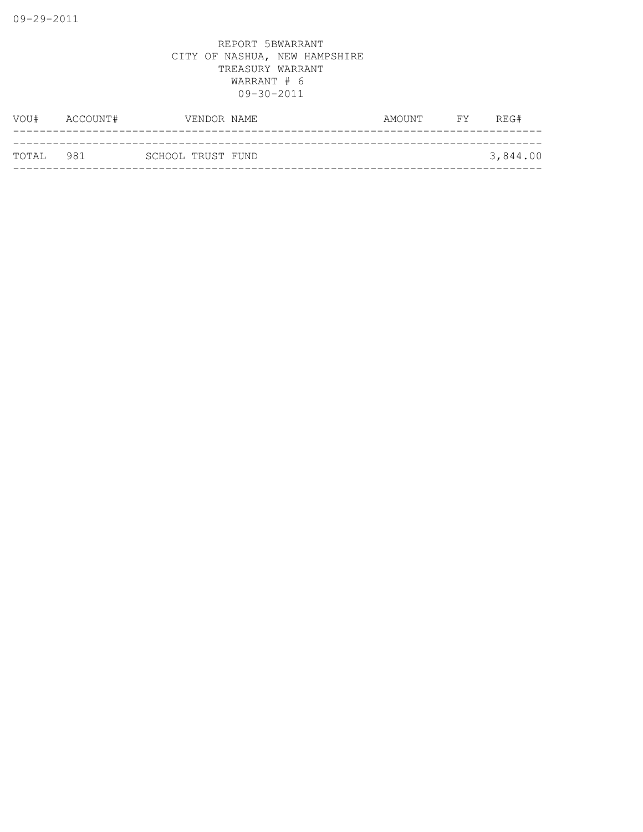| TOTAL 981 |          | SCHOOL TRUST FUND |             |        |                | 3,844.00 |
|-----------|----------|-------------------|-------------|--------|----------------|----------|
|           |          |                   |             |        |                |          |
| VOU#      | ACCOUNT# |                   | VENDOR NAME | AMOUNT | <b>EXECUTE</b> | REG#     |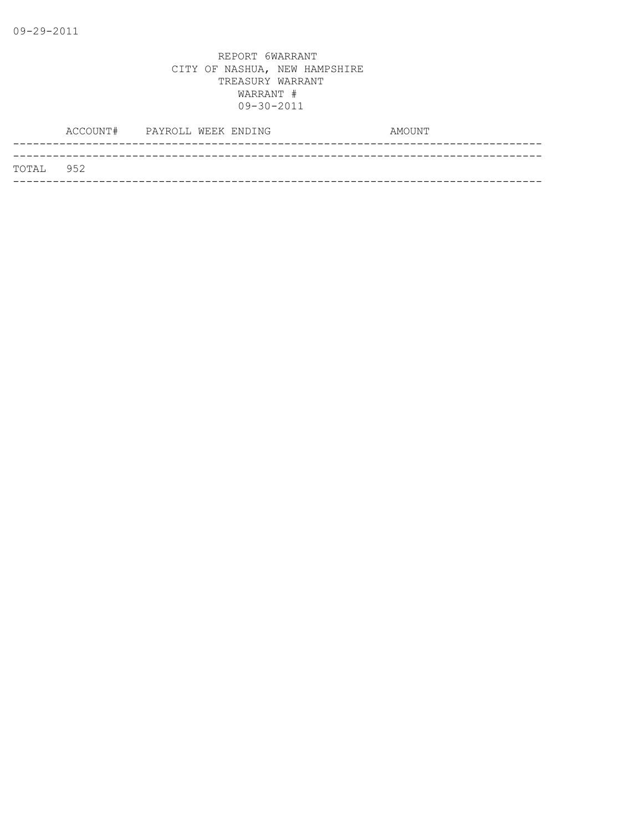|           | ACCOUNT# PAYROLL WEEK ENDING |  | AMOUNT |  |
|-----------|------------------------------|--|--------|--|
|           |                              |  |        |  |
| TOTAL 952 |                              |  |        |  |
|           |                              |  |        |  |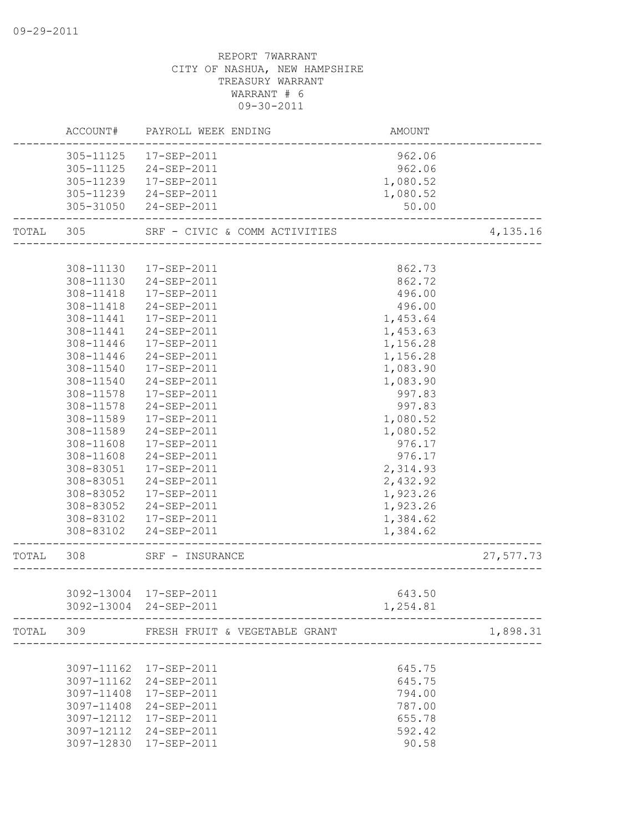|           |            | ACCOUNT# PAYROLL WEEK ENDING  | AMOUNT   |           |
|-----------|------------|-------------------------------|----------|-----------|
|           |            | 305-11125  17-SEP-2011        | 962.06   |           |
|           |            | 305-11125 24-SEP-2011         | 962.06   |           |
|           | 305-11239  | 17-SEP-2011                   | 1,080.52 |           |
|           | 305-11239  | 24-SEP-2011                   | 1,080.52 |           |
|           |            | 305-31050 24-SEP-2011         | 50.00    |           |
| TOTAL 305 |            | SRF - CIVIC & COMM ACTIVITIES |          | 4,135.16  |
|           |            |                               |          |           |
|           | 308-11130  | 17-SEP-2011                   | 862.73   |           |
|           | 308-11130  | 24-SEP-2011                   | 862.72   |           |
|           | 308-11418  | 17-SEP-2011                   | 496.00   |           |
|           | 308-11418  | 24-SEP-2011                   | 496.00   |           |
|           | 308-11441  | 17-SEP-2011                   | 1,453.64 |           |
|           | 308-11441  | 24-SEP-2011                   | 1,453.63 |           |
|           | 308-11446  | 17-SEP-2011                   | 1,156.28 |           |
|           | 308-11446  | 24-SEP-2011                   | 1,156.28 |           |
|           | 308-11540  | 17-SEP-2011                   | 1,083.90 |           |
|           | 308-11540  | 24-SEP-2011                   | 1,083.90 |           |
|           | 308-11578  | 17-SEP-2011                   | 997.83   |           |
|           | 308-11578  | 24-SEP-2011                   | 997.83   |           |
|           | 308-11589  | 17-SEP-2011                   | 1,080.52 |           |
|           | 308-11589  | 24-SEP-2011                   | 1,080.52 |           |
|           | 308-11608  | 17-SEP-2011                   | 976.17   |           |
|           | 308-11608  | 24-SEP-2011                   | 976.17   |           |
|           |            | 308-83051  17-SEP-2011        | 2,314.93 |           |
|           |            | 308-83051 24-SEP-2011         | 2,432.92 |           |
|           |            | 308-83052  17-SEP-2011        | 1,923.26 |           |
|           |            | 308-83052 24-SEP-2011         | 1,923.26 |           |
|           |            | 308-83102  17-SEP-2011        | 1,384.62 |           |
|           | 308-83102  | 24-SEP-2011                   | 1,384.62 |           |
| TOTAL     | 308        | SRF - INSURANCE               |          | 27,577.73 |
|           |            |                               |          |           |
|           |            | 3092-13004 17-SEP-2011        | 643.50   |           |
|           |            | 3092-13004 24-SEP-2011        | 1,254.81 |           |
| TOTAL     | 309        | FRESH FRUIT & VEGETABLE GRANT |          | 1,898.31  |
|           |            |                               |          |           |
|           | 3097-11162 | 17-SEP-2011                   | 645.75   |           |
|           | 3097-11162 | 24-SEP-2011                   | 645.75   |           |
|           | 3097-11408 | 17-SEP-2011                   | 794.00   |           |
|           | 3097-11408 | 24-SEP-2011                   | 787.00   |           |
|           | 3097-12112 | 17-SEP-2011                   | 655.78   |           |
|           | 3097-12112 | 24-SEP-2011                   | 592.42   |           |
|           |            | 3097-12830 17-SEP-2011        | 90.58    |           |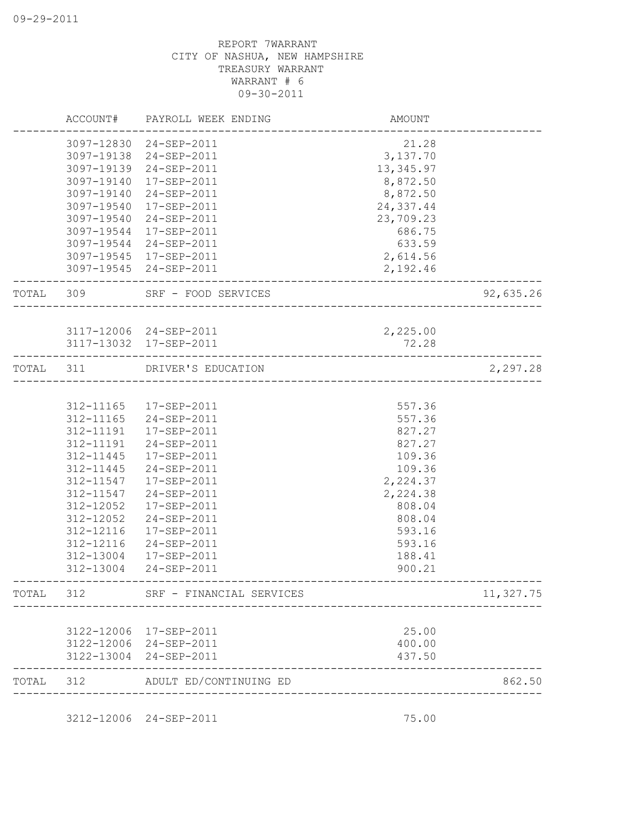|           | ACCOUNT#   | PAYROLL WEEK ENDING                              | AMOUNT                   |           |
|-----------|------------|--------------------------------------------------|--------------------------|-----------|
|           |            | 3097-12830 24-SEP-2011                           | 21.28                    |           |
|           |            | 3097-19138 24-SEP-2011                           | 3,137.70                 |           |
|           | 3097-19139 | 24-SEP-2011                                      | 13, 345.97               |           |
|           | 3097-19140 | $17 - SEP - 2011$                                | 8,872.50                 |           |
|           | 3097-19140 | 24-SEP-2011                                      | 8,872.50                 |           |
|           | 3097-19540 | 17-SEP-2011                                      | 24,337.44                |           |
|           | 3097-19540 | 24-SEP-2011                                      | 23,709.23                |           |
|           | 3097-19544 | 17-SEP-2011                                      | 686.75                   |           |
|           | 3097-19544 | 24-SEP-2011                                      | 633.59                   |           |
|           | 3097-19545 | 17-SEP-2011                                      | 2,614.56                 |           |
|           |            | 3097-19545 24-SEP-2011                           | 2,192.46                 |           |
| TOTAL 309 |            | SRF - FOOD SERVICES                              | ------------------------ | 92,635.26 |
|           |            |                                                  |                          |           |
|           |            | 3117-12006 24-SEP-2011<br>3117-13032 17-SEP-2011 | 2,225.00<br>72.28        |           |
| TOTAL     | 311        | DRIVER'S EDUCATION                               |                          | 2,297.28  |
|           |            |                                                  |                          |           |
|           |            | 312-11165  17-SEP-2011                           | 557.36                   |           |
|           | 312-11165  | 24-SEP-2011                                      | 557.36                   |           |
|           | 312-11191  | 17-SEP-2011                                      | 827.27                   |           |
|           | 312-11191  | 24-SEP-2011                                      | 827.27                   |           |
|           | 312-11445  | 17-SEP-2011                                      | 109.36                   |           |
|           | 312-11445  | 24-SEP-2011                                      | 109.36                   |           |
|           | 312-11547  | 17-SEP-2011                                      | 2,224.37                 |           |
|           | 312-11547  | 24-SEP-2011                                      | 2,224.38                 |           |
|           | 312-12052  | $17 - SEP - 2011$                                | 808.04                   |           |
|           | 312-12052  | 24-SEP-2011                                      | 808.04                   |           |
|           | 312-12116  | 17-SEP-2011                                      | 593.16                   |           |
|           | 312-12116  | $24 - SEP - 2011$                                | 593.16                   |           |
|           | 312-13004  | 17-SEP-2011                                      | 188.41                   |           |
|           | 312-13004  | 24-SEP-2011                                      | 900.21                   |           |
| TOTAL     | 312        | SRF - FINANCIAL SERVICES                         |                          | 11,327.75 |
|           |            |                                                  |                          |           |
|           | 3122-12006 | 17-SEP-2011                                      | 25.00                    |           |
|           | 3122-12006 | 24-SEP-2011                                      | 400.00                   |           |
|           | 3122-13004 | 24-SEP-2011                                      | 437.50                   |           |
| TOTAL     | 312        | ADULT ED/CONTINUING ED                           |                          | 862.50    |

3212-12006 24-SEP-2011 75.00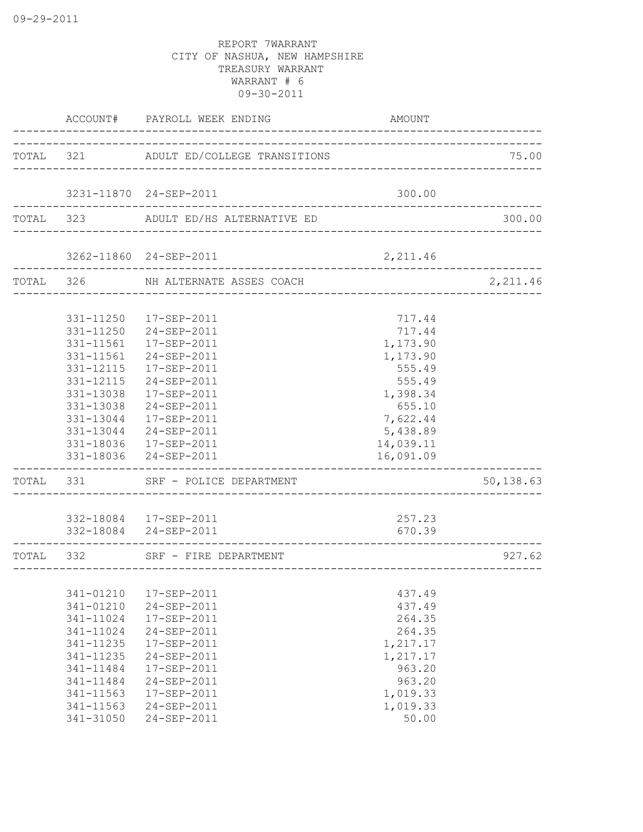|           | ACCOUNT#  | PAYROLL WEEK ENDING                    | AMOUNT    |           |
|-----------|-----------|----------------------------------------|-----------|-----------|
|           |           | TOTAL 321 ADULT ED/COLLEGE TRANSITIONS |           | 75.00     |
|           |           | 3231-11870 24-SEP-2011                 | 300.00    |           |
|           | TOTAL 323 | ADULT ED/HS ALTERNATIVE ED             |           | 300.00    |
|           |           |                                        |           |           |
|           |           | 3262-11860 24-SEP-2011                 | 2,211.46  |           |
| TOTAL 326 |           | NH ALTERNATE ASSES COACH               |           | 2,211.46  |
|           |           | 331-11250  17-SEP-2011                 | 717.44    |           |
|           |           | 331-11250 24-SEP-2011                  | 717.44    |           |
|           | 331-11561 | 17-SEP-2011                            | 1,173.90  |           |
|           | 331-11561 | 24-SEP-2011                            | 1,173.90  |           |
|           | 331-12115 | 17-SEP-2011                            | 555.49    |           |
|           | 331-12115 | 24-SEP-2011                            | 555.49    |           |
|           | 331-13038 | 17-SEP-2011                            | 1,398.34  |           |
|           | 331-13038 | 24-SEP-2011                            | 655.10    |           |
|           |           | 331-13044 17-SEP-2011                  | 7,622.44  |           |
|           |           | 331-13044 24-SEP-2011                  | 5,438.89  |           |
|           |           | 331-18036 17-SEP-2011                  | 14,039.11 |           |
|           |           | 331-18036 24-SEP-2011                  | 16,091.09 |           |
| TOTAL     | 331       | SRF - POLICE DEPARTMENT                |           | 50,138.63 |
|           |           | 332-18084  17-SEP-2011                 | 257.23    |           |
|           |           | 332-18084 24-SEP-2011                  | 670.39    |           |
| TOTAL     | 332       | SRF - FIRE DEPARTMENT                  |           | 927.62    |
|           | 341-01210 | 17-SEP-2011                            | 437.49    |           |
|           | 341-01210 | 24-SEP-2011                            | 437.49    |           |
|           | 341-11024 | 17-SEP-2011                            | 264.35    |           |
|           | 341-11024 | 24-SEP-2011                            | 264.35    |           |
|           | 341-11235 | 17-SEP-2011                            | 1,217.17  |           |
|           | 341-11235 | 24-SEP-2011                            | 1,217.17  |           |
|           | 341-11484 | 17-SEP-2011                            | 963.20    |           |
|           | 341-11484 | 24-SEP-2011                            | 963.20    |           |
|           | 341-11563 | 17-SEP-2011                            | 1,019.33  |           |
|           | 341-11563 | 24-SEP-2011                            | 1,019.33  |           |
|           | 341-31050 | 24-SEP-2011                            | 50.00     |           |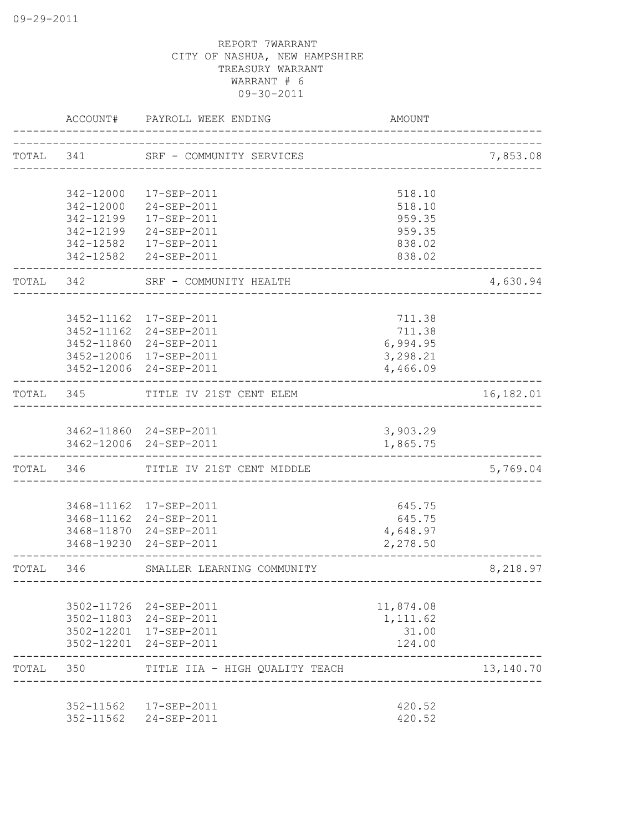|           | ACCOUNT#   | PAYROLL WEEK ENDING                               | <b>AMOUNT</b>                        |           |
|-----------|------------|---------------------------------------------------|--------------------------------------|-----------|
|           |            | TOTAL 341 SRF - COMMUNITY SERVICES                |                                      | 7,853.08  |
|           |            |                                                   |                                      |           |
|           | 342-12000  | 17-SEP-2011                                       | 518.10                               |           |
|           | 342-12000  | 24-SEP-2011                                       | 518.10                               |           |
|           | 342-12199  | 17-SEP-2011                                       | 959.35                               |           |
|           | 342-12199  | 24-SEP-2011                                       | 959.35                               |           |
|           | 342-12582  | 17-SEP-2011<br>342-12582 24-SEP-2011              | 838.02<br>838.02                     |           |
| TOTAL 342 |            | SRF - COMMUNITY HEALTH<br>_____________________   |                                      | 4,630.94  |
|           |            |                                                   |                                      |           |
|           |            | 3452-11162 17-SEP-2011                            | 711.38                               |           |
|           |            | 3452-11162 24-SEP-2011                            | 711.38                               |           |
|           |            | 3452-11860 24-SEP-2011                            | 6,994.95                             |           |
|           |            | 3452-12006 17-SEP-2011                            | 3,298.21                             |           |
|           |            | 3452-12006 24-SEP-2011                            | 4,466.09                             |           |
| TOTAL 345 |            | TITLE IV 21ST CENT ELEM                           |                                      | 16,182.01 |
|           |            |                                                   |                                      |           |
|           |            | 3462-11860 24-SEP-2011                            | 3,903.29                             |           |
|           |            | 3462-12006 24-SEP-2011                            | 1,865.75                             |           |
| TOTAL 346 |            | TITLE IV 21ST CENT MIDDLE                         |                                      | 5,769.04  |
|           |            |                                                   |                                      |           |
|           |            | 3468-11162  17-SEP-2011<br>3468-11162 24-SEP-2011 | 645.75<br>645.75                     |           |
|           |            | 3468-11870 24-SEP-2011                            | 4,648.97                             |           |
|           | 3468-19230 | 24-SEP-2011                                       | 2,278.50                             |           |
| TOTAL     | 346        | SMALLER LEARNING COMMUNITY                        | ------------------------------------ | 8,218.97  |
|           |            |                                                   |                                      |           |
|           |            | 3502-11726 24-SEP-2011                            | 11,874.08                            |           |
|           |            | 3502-11803 24-SEP-2011                            | 1,111.62                             |           |
|           |            | 3502-12201 17-SEP-2011<br>3502-12201 24-SEP-2011  | 31.00<br>124.00                      |           |
|           |            |                                                   |                                      |           |
| TOTAL     | 350        | TITLE IIA - HIGH QUALITY TEACH                    |                                      | 13,140.70 |
|           | 352-11562  | 17-SEP-2011                                       | 420.52                               |           |
|           | 352-11562  | 24-SEP-2011                                       | 420.52                               |           |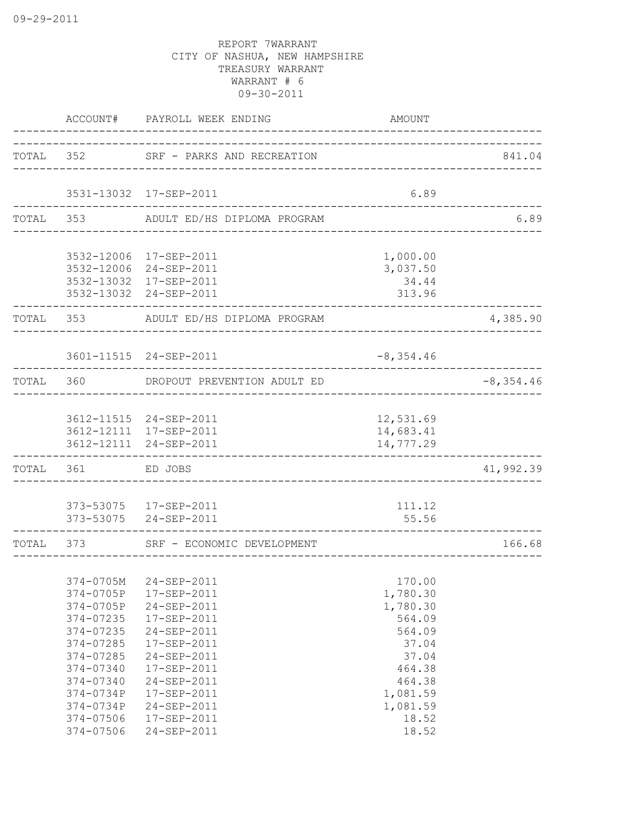|           | ACCOUNT#                                                                                                                                                              | PAYROLL WEEK ENDING                                                                                                                                                                             | <b>AMOUNT</b>                                                                                                                      |                                           |
|-----------|-----------------------------------------------------------------------------------------------------------------------------------------------------------------------|-------------------------------------------------------------------------------------------------------------------------------------------------------------------------------------------------|------------------------------------------------------------------------------------------------------------------------------------|-------------------------------------------|
|           |                                                                                                                                                                       | TOTAL 352 SRF - PARKS AND RECREATION                                                                                                                                                            |                                                                                                                                    | 841.04                                    |
|           |                                                                                                                                                                       | 3531-13032 17-SEP-2011                                                                                                                                                                          | 6.89                                                                                                                               |                                           |
| TOTAL 353 |                                                                                                                                                                       | ------------------------<br>ADULT ED/HS DIPLOMA PROGRAM                                                                                                                                         |                                                                                                                                    | <u> - - - - - - - - - - - -</u> .<br>6.89 |
|           |                                                                                                                                                                       | 3532-12006 17-SEP-2011<br>3532-12006 24-SEP-2011<br>3532-13032 17-SEP-2011<br>3532-13032 24-SEP-2011                                                                                            | 1,000.00<br>3,037.50<br>34.44<br>313.96                                                                                            |                                           |
| TOTAL 353 |                                                                                                                                                                       | ADULT ED/HS DIPLOMA PROGRAM                                                                                                                                                                     |                                                                                                                                    | 4,385.90                                  |
|           |                                                                                                                                                                       | 3601-11515 24-SEP-2011                                                                                                                                                                          | $-8,354.46$                                                                                                                        |                                           |
| TOTAL 360 |                                                                                                                                                                       | DROPOUT PREVENTION ADULT ED                                                                                                                                                                     |                                                                                                                                    | $-8, 354.46$                              |
|           |                                                                                                                                                                       | 3612-11515 24-SEP-2011<br>3612-12111 17-SEP-2011<br>3612-12111 24-SEP-2011                                                                                                                      | 12,531.69<br>14,683.41<br>14,777.29                                                                                                |                                           |
| TOTAL 361 |                                                                                                                                                                       | ED JOBS                                                                                                                                                                                         |                                                                                                                                    | 41,992.39                                 |
|           |                                                                                                                                                                       | 373-53075  17-SEP-2011<br>373-53075 24-SEP-2011                                                                                                                                                 | 111.12<br>55.56                                                                                                                    |                                           |
| TOTAL 373 |                                                                                                                                                                       | SRF - ECONOMIC DEVELOPMENT                                                                                                                                                                      |                                                                                                                                    | 166.68                                    |
|           | 374-0705M<br>374-0705P<br>374-0705P<br>374-07235<br>374-07235<br>374-07285<br>374-07285<br>374-07340<br>374-07340<br>374-0734P<br>374-0734P<br>374-07506<br>374-07506 | 24-SEP-2011<br>17-SEP-2011<br>24-SEP-2011<br>17-SEP-2011<br>24-SEP-2011<br>17-SEP-2011<br>24-SEP-2011<br>17-SEP-2011<br>24-SEP-2011<br>17-SEP-2011<br>24-SEP-2011<br>17-SEP-2011<br>24-SEP-2011 | 170.00<br>1,780.30<br>1,780.30<br>564.09<br>564.09<br>37.04<br>37.04<br>464.38<br>464.38<br>1,081.59<br>1,081.59<br>18.52<br>18.52 |                                           |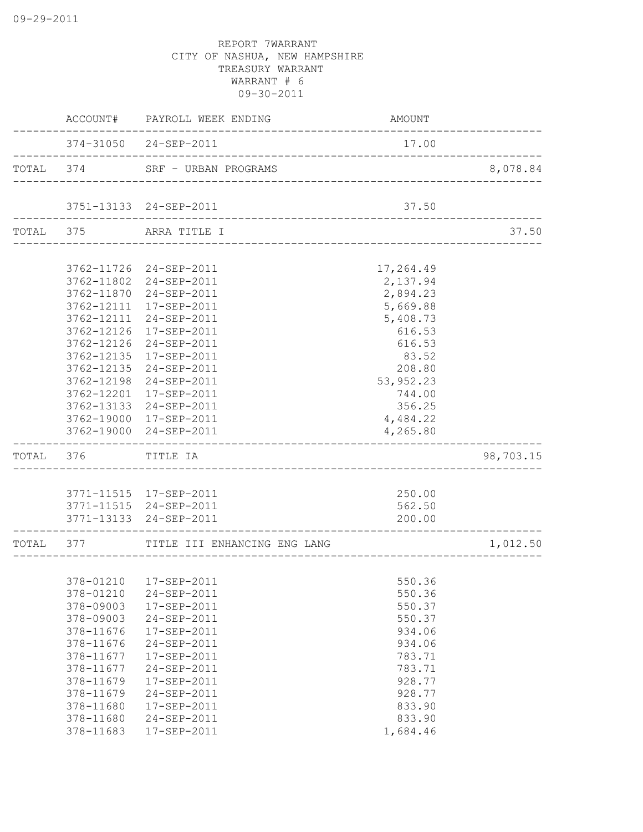| 374-31050 24-SEP-2011<br>17.00<br>_________________________________<br>TOTAL 374<br>8,078.84<br>SRF - URBAN PROGRAMS<br>__________________________<br>3751-13133 24-SEP-2011<br>37.50<br>TOTAL 375<br>37.50<br>ARRA TITLE I<br>3762-11726 24-SEP-2011<br>17,264.49<br>3762-11802<br>2,137.94<br>24-SEP-2011<br>2,894.23<br>3762-11870<br>24-SEP-2011<br>5,669.88<br>3762-12111<br>17-SEP-2011<br>5,408.73<br>3762-12111<br>24-SEP-2011<br>3762-12126<br>616.53<br>17-SEP-2011<br>3762-12126<br>24-SEP-2011<br>616.53<br>3762-12135<br>17-SEP-2011<br>83.52<br>3762-12135<br>24-SEP-2011<br>208.80<br>3762-12198<br>24-SEP-2011<br>53,952.23<br>3762-12201 17-SEP-2011<br>744.00<br>3762-13133 24-SEP-2011<br>356.25<br>3762-19000 17-SEP-2011<br>4,484.22<br>3762-19000 24-SEP-2011<br>4,265.80<br>--------------------------------<br>98,703.15<br>TOTAL<br>376<br>TITLE IA<br>250.00<br>3771-11515  17-SEP-2011<br>3771-11515 24-SEP-2011<br>562.50<br>3771-13133 24-SEP-2011<br>200.00<br>TOTAL 377<br>TITLE III ENHANCING ENG LANG<br>1,012.50<br>378-01210  17-SEP-2011<br>550.36<br>378-01210<br>24-SEP-2011<br>550.36<br>378-09003<br>550.37<br>17-SEP-2011<br>378-09003<br>24-SEP-2011<br>550.37<br>378-11676<br>17-SEP-2011<br>934.06 | ACCOUNT#  | PAYROLL WEEK ENDING | AMOUNT |  |
|------------------------------------------------------------------------------------------------------------------------------------------------------------------------------------------------------------------------------------------------------------------------------------------------------------------------------------------------------------------------------------------------------------------------------------------------------------------------------------------------------------------------------------------------------------------------------------------------------------------------------------------------------------------------------------------------------------------------------------------------------------------------------------------------------------------------------------------------------------------------------------------------------------------------------------------------------------------------------------------------------------------------------------------------------------------------------------------------------------------------------------------------------------------------------------------------------------------------------------------------|-----------|---------------------|--------|--|
|                                                                                                                                                                                                                                                                                                                                                                                                                                                                                                                                                                                                                                                                                                                                                                                                                                                                                                                                                                                                                                                                                                                                                                                                                                                |           |                     |        |  |
|                                                                                                                                                                                                                                                                                                                                                                                                                                                                                                                                                                                                                                                                                                                                                                                                                                                                                                                                                                                                                                                                                                                                                                                                                                                |           |                     |        |  |
|                                                                                                                                                                                                                                                                                                                                                                                                                                                                                                                                                                                                                                                                                                                                                                                                                                                                                                                                                                                                                                                                                                                                                                                                                                                |           |                     |        |  |
|                                                                                                                                                                                                                                                                                                                                                                                                                                                                                                                                                                                                                                                                                                                                                                                                                                                                                                                                                                                                                                                                                                                                                                                                                                                |           |                     |        |  |
|                                                                                                                                                                                                                                                                                                                                                                                                                                                                                                                                                                                                                                                                                                                                                                                                                                                                                                                                                                                                                                                                                                                                                                                                                                                |           |                     |        |  |
|                                                                                                                                                                                                                                                                                                                                                                                                                                                                                                                                                                                                                                                                                                                                                                                                                                                                                                                                                                                                                                                                                                                                                                                                                                                |           |                     |        |  |
|                                                                                                                                                                                                                                                                                                                                                                                                                                                                                                                                                                                                                                                                                                                                                                                                                                                                                                                                                                                                                                                                                                                                                                                                                                                |           |                     |        |  |
|                                                                                                                                                                                                                                                                                                                                                                                                                                                                                                                                                                                                                                                                                                                                                                                                                                                                                                                                                                                                                                                                                                                                                                                                                                                |           |                     |        |  |
|                                                                                                                                                                                                                                                                                                                                                                                                                                                                                                                                                                                                                                                                                                                                                                                                                                                                                                                                                                                                                                                                                                                                                                                                                                                |           |                     |        |  |
|                                                                                                                                                                                                                                                                                                                                                                                                                                                                                                                                                                                                                                                                                                                                                                                                                                                                                                                                                                                                                                                                                                                                                                                                                                                |           |                     |        |  |
|                                                                                                                                                                                                                                                                                                                                                                                                                                                                                                                                                                                                                                                                                                                                                                                                                                                                                                                                                                                                                                                                                                                                                                                                                                                |           |                     |        |  |
|                                                                                                                                                                                                                                                                                                                                                                                                                                                                                                                                                                                                                                                                                                                                                                                                                                                                                                                                                                                                                                                                                                                                                                                                                                                |           |                     |        |  |
|                                                                                                                                                                                                                                                                                                                                                                                                                                                                                                                                                                                                                                                                                                                                                                                                                                                                                                                                                                                                                                                                                                                                                                                                                                                |           |                     |        |  |
|                                                                                                                                                                                                                                                                                                                                                                                                                                                                                                                                                                                                                                                                                                                                                                                                                                                                                                                                                                                                                                                                                                                                                                                                                                                |           |                     |        |  |
|                                                                                                                                                                                                                                                                                                                                                                                                                                                                                                                                                                                                                                                                                                                                                                                                                                                                                                                                                                                                                                                                                                                                                                                                                                                |           |                     |        |  |
|                                                                                                                                                                                                                                                                                                                                                                                                                                                                                                                                                                                                                                                                                                                                                                                                                                                                                                                                                                                                                                                                                                                                                                                                                                                |           |                     |        |  |
|                                                                                                                                                                                                                                                                                                                                                                                                                                                                                                                                                                                                                                                                                                                                                                                                                                                                                                                                                                                                                                                                                                                                                                                                                                                |           |                     |        |  |
|                                                                                                                                                                                                                                                                                                                                                                                                                                                                                                                                                                                                                                                                                                                                                                                                                                                                                                                                                                                                                                                                                                                                                                                                                                                |           |                     |        |  |
|                                                                                                                                                                                                                                                                                                                                                                                                                                                                                                                                                                                                                                                                                                                                                                                                                                                                                                                                                                                                                                                                                                                                                                                                                                                |           |                     |        |  |
|                                                                                                                                                                                                                                                                                                                                                                                                                                                                                                                                                                                                                                                                                                                                                                                                                                                                                                                                                                                                                                                                                                                                                                                                                                                |           |                     |        |  |
|                                                                                                                                                                                                                                                                                                                                                                                                                                                                                                                                                                                                                                                                                                                                                                                                                                                                                                                                                                                                                                                                                                                                                                                                                                                |           |                     |        |  |
|                                                                                                                                                                                                                                                                                                                                                                                                                                                                                                                                                                                                                                                                                                                                                                                                                                                                                                                                                                                                                                                                                                                                                                                                                                                |           |                     |        |  |
|                                                                                                                                                                                                                                                                                                                                                                                                                                                                                                                                                                                                                                                                                                                                                                                                                                                                                                                                                                                                                                                                                                                                                                                                                                                |           |                     |        |  |
|                                                                                                                                                                                                                                                                                                                                                                                                                                                                                                                                                                                                                                                                                                                                                                                                                                                                                                                                                                                                                                                                                                                                                                                                                                                |           |                     |        |  |
|                                                                                                                                                                                                                                                                                                                                                                                                                                                                                                                                                                                                                                                                                                                                                                                                                                                                                                                                                                                                                                                                                                                                                                                                                                                |           |                     |        |  |
|                                                                                                                                                                                                                                                                                                                                                                                                                                                                                                                                                                                                                                                                                                                                                                                                                                                                                                                                                                                                                                                                                                                                                                                                                                                |           |                     |        |  |
|                                                                                                                                                                                                                                                                                                                                                                                                                                                                                                                                                                                                                                                                                                                                                                                                                                                                                                                                                                                                                                                                                                                                                                                                                                                |           |                     |        |  |
|                                                                                                                                                                                                                                                                                                                                                                                                                                                                                                                                                                                                                                                                                                                                                                                                                                                                                                                                                                                                                                                                                                                                                                                                                                                |           |                     |        |  |
|                                                                                                                                                                                                                                                                                                                                                                                                                                                                                                                                                                                                                                                                                                                                                                                                                                                                                                                                                                                                                                                                                                                                                                                                                                                |           |                     |        |  |
|                                                                                                                                                                                                                                                                                                                                                                                                                                                                                                                                                                                                                                                                                                                                                                                                                                                                                                                                                                                                                                                                                                                                                                                                                                                |           |                     |        |  |
|                                                                                                                                                                                                                                                                                                                                                                                                                                                                                                                                                                                                                                                                                                                                                                                                                                                                                                                                                                                                                                                                                                                                                                                                                                                |           |                     |        |  |
|                                                                                                                                                                                                                                                                                                                                                                                                                                                                                                                                                                                                                                                                                                                                                                                                                                                                                                                                                                                                                                                                                                                                                                                                                                                | 378-11676 | 24-SEP-2011         | 934.06 |  |
| 378-11677<br>17-SEP-2011<br>783.71                                                                                                                                                                                                                                                                                                                                                                                                                                                                                                                                                                                                                                                                                                                                                                                                                                                                                                                                                                                                                                                                                                                                                                                                             |           |                     |        |  |
| 378-11677<br>24-SEP-2011<br>783.71                                                                                                                                                                                                                                                                                                                                                                                                                                                                                                                                                                                                                                                                                                                                                                                                                                                                                                                                                                                                                                                                                                                                                                                                             |           |                     |        |  |
| 378-11679<br>17-SEP-2011<br>928.77                                                                                                                                                                                                                                                                                                                                                                                                                                                                                                                                                                                                                                                                                                                                                                                                                                                                                                                                                                                                                                                                                                                                                                                                             |           |                     |        |  |
| 378-11679<br>928.77<br>24-SEP-2011                                                                                                                                                                                                                                                                                                                                                                                                                                                                                                                                                                                                                                                                                                                                                                                                                                                                                                                                                                                                                                                                                                                                                                                                             |           |                     |        |  |
| 378-11680<br>833.90<br>17-SEP-2011                                                                                                                                                                                                                                                                                                                                                                                                                                                                                                                                                                                                                                                                                                                                                                                                                                                                                                                                                                                                                                                                                                                                                                                                             |           |                     |        |  |
| 378-11680<br>24-SEP-2011<br>833.90                                                                                                                                                                                                                                                                                                                                                                                                                                                                                                                                                                                                                                                                                                                                                                                                                                                                                                                                                                                                                                                                                                                                                                                                             |           |                     |        |  |
| 378-11683<br>17-SEP-2011<br>1,684.46                                                                                                                                                                                                                                                                                                                                                                                                                                                                                                                                                                                                                                                                                                                                                                                                                                                                                                                                                                                                                                                                                                                                                                                                           |           |                     |        |  |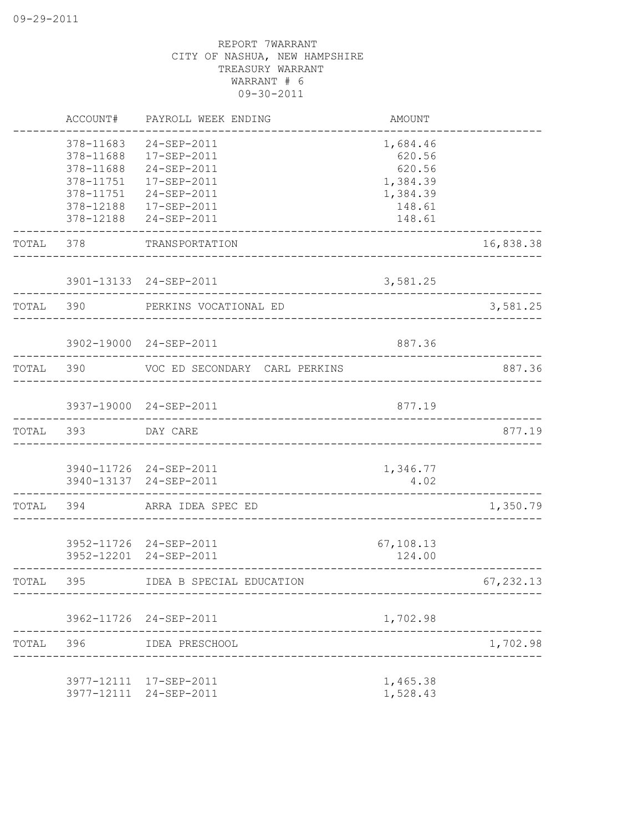|           | ACCOUNT#                                                                                | PAYROLL WEEK ENDING                                                                                   | AMOUNT                                                                   |            |
|-----------|-----------------------------------------------------------------------------------------|-------------------------------------------------------------------------------------------------------|--------------------------------------------------------------------------|------------|
|           | 378-11683<br>378-11688<br>378-11688<br>378-11751<br>378-11751<br>378-12188<br>378-12188 | 24-SEP-2011<br>17-SEP-2011<br>24-SEP-2011<br>17-SEP-2011<br>24-SEP-2011<br>17-SEP-2011<br>24-SEP-2011 | 1,684.46<br>620.56<br>620.56<br>1,384.39<br>1,384.39<br>148.61<br>148.61 |            |
| TOTAL     | 378                                                                                     | TRANSPORTATION<br>______________________                                                              |                                                                          | 16,838.38  |
|           |                                                                                         | 3901-13133 24-SEP-2011                                                                                | 3,581.25                                                                 |            |
| TOTAL 390 |                                                                                         | PERKINS VOCATIONAL ED                                                                                 |                                                                          | 3,581.25   |
|           |                                                                                         | 3902-19000 24-SEP-2011                                                                                | 887.36                                                                   |            |
| TOTAL 390 |                                                                                         | VOC ED SECONDARY CARL PERKINS                                                                         |                                                                          | 887.36     |
|           |                                                                                         | 3937-19000 24-SEP-2011                                                                                | 877.19                                                                   |            |
| TOTAL 393 |                                                                                         | DAY CARE<br>__________________________________                                                        |                                                                          | 877.19     |
|           |                                                                                         | 3940-11726 24-SEP-2011<br>3940-13137 24-SEP-2011                                                      | 1,346.77<br>4.02                                                         |            |
| TOTAL     | 394                                                                                     | ARRA IDEA SPEC ED                                                                                     | ___________________________________                                      | 1,350.79   |
|           |                                                                                         | 3952-11726 24-SEP-2011<br>3952-12201 24-SEP-2011                                                      | 67,108.13<br>124.00                                                      |            |
| TOTAI,    | 395                                                                                     | IDEA B SPECIAL EDUCATION                                                                              |                                                                          | 67, 232.13 |
|           |                                                                                         | 3962-11726 24-SEP-2011                                                                                | 1,702.98                                                                 |            |
|           | TOTAL 396                                                                               | IDEA PRESCHOOL                                                                                        |                                                                          | 1,702.98   |
|           |                                                                                         | 3977-12111 17-SEP-2011<br>3977-12111 24-SEP-2011                                                      | 1,465.38<br>1,528.43                                                     |            |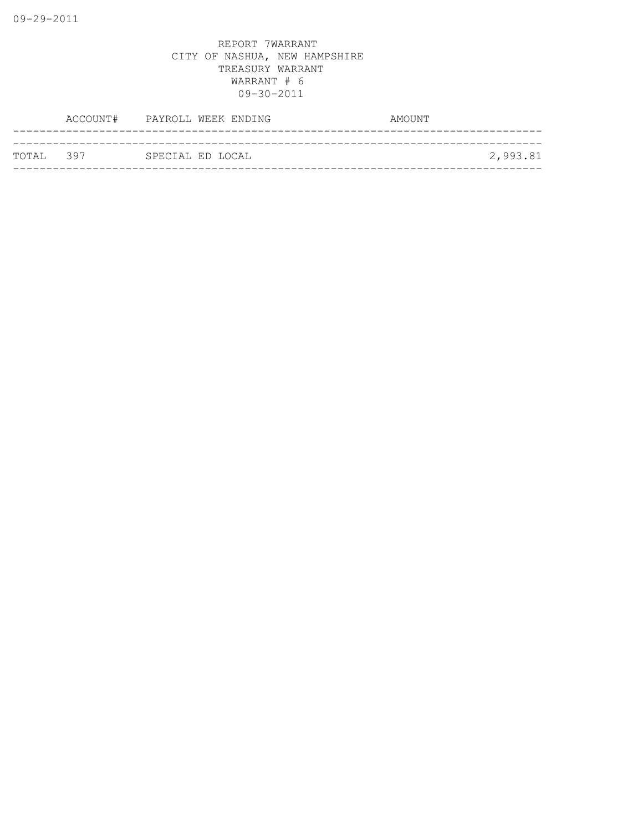| ТОТАІ, 397 | SPECIAL ED LOCAL |          |
|------------|------------------|----------|
|            |                  | 2,993.81 |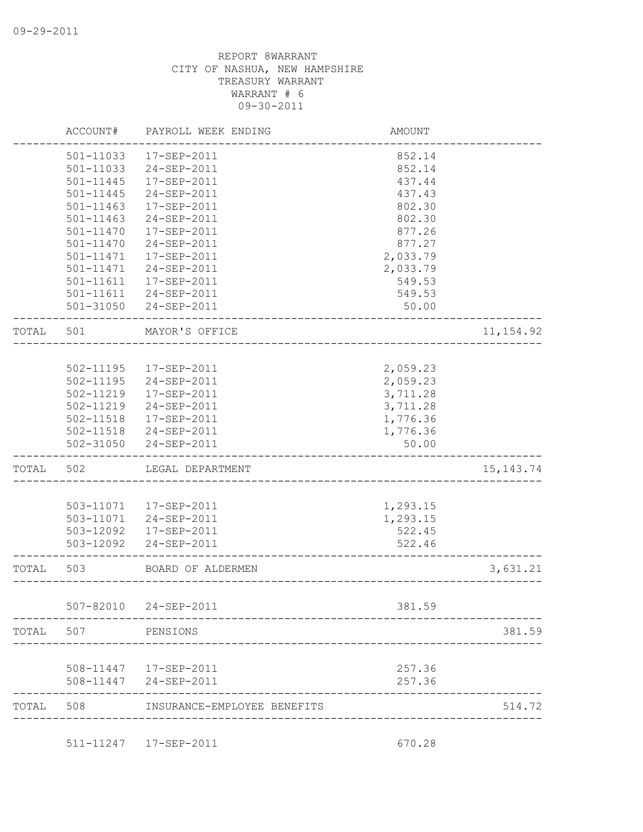|       | ACCOUNT#      | PAYROLL WEEK ENDING                               | <b>AMOUNT</b> |             |
|-------|---------------|---------------------------------------------------|---------------|-------------|
|       | 501-11033     | 17-SEP-2011                                       | 852.14        |             |
|       | 501-11033     | 24-SEP-2011                                       | 852.14        |             |
|       | 501-11445     | 17-SEP-2011                                       | 437.44        |             |
|       | 501-11445     | 24-SEP-2011                                       | 437.43        |             |
|       | $501 - 11463$ | 17-SEP-2011                                       | 802.30        |             |
|       | $501 - 11463$ | 24-SEP-2011                                       | 802.30        |             |
|       | $501 - 11470$ | 17-SEP-2011                                       | 877.26        |             |
|       | $501 - 11470$ | 24-SEP-2011                                       | 877.27        |             |
|       | 501-11471     | 17-SEP-2011                                       | 2,033.79      |             |
|       | 501-11471     | 24-SEP-2011                                       | 2,033.79      |             |
|       | 501-11611     | 17-SEP-2011                                       | 549.53        |             |
|       |               | 501-11611 24-SEP-2011                             | 549.53        |             |
|       | 501-31050     | 24-SEP-2011                                       | 50.00         |             |
| TOTAL | 501           | MAYOR'S OFFICE                                    |               | 11, 154.92  |
|       |               |                                                   |               |             |
|       |               | 502-11195  17-SEP-2011                            | 2,059.23      |             |
|       | 502-11195     | 24-SEP-2011                                       | 2,059.23      |             |
|       | 502-11219     | 17-SEP-2011                                       | 3,711.28      |             |
|       | 502-11219     | 24-SEP-2011                                       | 3,711.28      |             |
|       |               | 502-11518  17-SEP-2011                            | 1,776.36      |             |
|       |               | 502-11518 24-SEP-2011                             | 1,776.36      |             |
|       |               | 502-31050 24-SEP-2011                             | 50.00         |             |
| TOTAL | 502           | LEGAL DEPARTMENT                                  |               | 15, 143. 74 |
|       |               |                                                   |               |             |
|       |               | 503-11071  17-SEP-2011                            | 1,293.15      |             |
|       |               | 503-11071  24-SEP-2011                            | 1,293.15      |             |
|       | 503-12092     | 17-SEP-2011                                       | 522.45        |             |
|       | 503-12092     | 24-SEP-2011                                       | 522.46        |             |
| TOTAL | 503           | BOARD OF ALDERMEN<br>____________________________ |               | 3,631.21    |
|       | $507 - 82010$ | 24-SEP-2011                                       | 381.59        |             |
|       |               |                                                   |               |             |
| TOTAL | 507           | PENSIONS                                          |               | 381.59      |
|       |               | 508-11447  17-SEP-2011                            | 257.36        |             |
|       |               |                                                   |               |             |
|       | 508-11447     | 24-SEP-2011                                       | 257.36        |             |
| TOTAL | 508           | INSURANCE-EMPLOYEE BENEFITS                       |               | 514.72      |
|       |               |                                                   |               |             |

511-11247 17-SEP-2011 670.28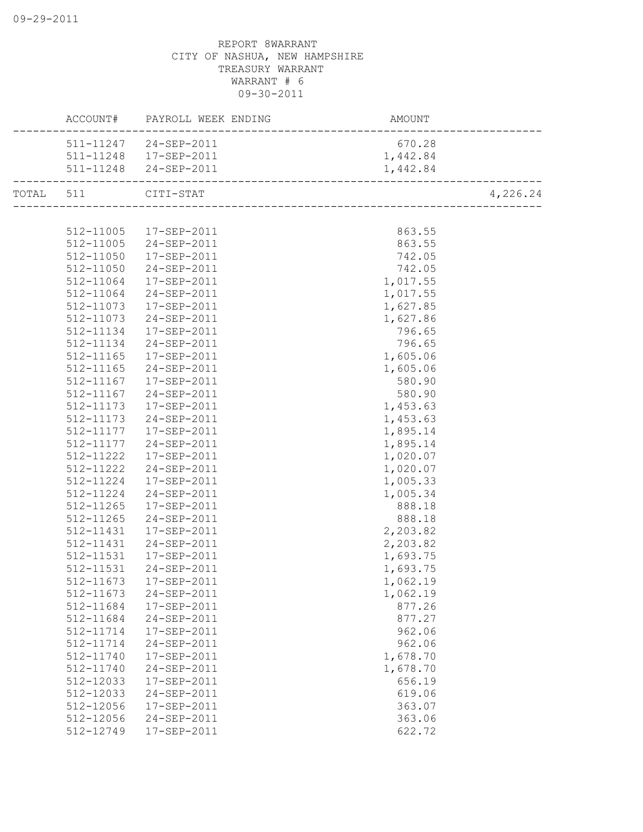|           |               | ACCOUNT# PAYROLL WEEK ENDING | AMOUNT   |          |
|-----------|---------------|------------------------------|----------|----------|
|           |               | 511-11247 24-SEP-2011        | 670.28   |          |
|           |               | 511-11248  17-SEP-2011       | 1,442.84 |          |
|           |               | 511-11248 24-SEP-2011        | 1,442.84 |          |
| TOTAL 511 |               | CITI-STAT                    |          | 4,226.24 |
|           |               |                              |          |          |
|           | 512-11005     | 17-SEP-2011                  | 863.55   |          |
|           | 512-11005     | 24-SEP-2011                  | 863.55   |          |
|           | 512-11050     | 17-SEP-2011                  | 742.05   |          |
|           | 512-11050     | 24-SEP-2011                  | 742.05   |          |
|           | 512-11064     | 17-SEP-2011                  | 1,017.55 |          |
|           | 512-11064     | 24-SEP-2011                  | 1,017.55 |          |
|           | 512-11073     | 17-SEP-2011                  | 1,627.85 |          |
|           | 512-11073     | 24-SEP-2011                  | 1,627.86 |          |
|           | 512-11134     | 17-SEP-2011                  | 796.65   |          |
|           | 512-11134     | 24-SEP-2011                  | 796.65   |          |
|           | 512-11165     | 17-SEP-2011                  | 1,605.06 |          |
|           | $512 - 11165$ | 24-SEP-2011                  | 1,605.06 |          |
|           | 512-11167     | 17-SEP-2011                  | 580.90   |          |
|           | 512-11167     | 24-SEP-2011                  | 580.90   |          |
|           | 512-11173     | 17-SEP-2011                  | 1,453.63 |          |
|           | 512-11173     | 24-SEP-2011                  | 1,453.63 |          |
|           | 512-11177     | 17-SEP-2011                  | 1,895.14 |          |
|           | 512-11177     | 24-SEP-2011                  | 1,895.14 |          |
|           | 512-11222     | 17-SEP-2011                  | 1,020.07 |          |
|           | 512-11222     | 24-SEP-2011                  | 1,020.07 |          |
|           | 512-11224     | 17-SEP-2011                  | 1,005.33 |          |
|           | 512-11224     | 24-SEP-2011                  | 1,005.34 |          |
|           | 512-11265     | 17-SEP-2011                  | 888.18   |          |
|           | 512-11265     | 24-SEP-2011                  | 888.18   |          |
|           | 512-11431     | 17-SEP-2011                  | 2,203.82 |          |
|           | 512-11431     | 24-SEP-2011                  | 2,203.82 |          |
|           | 512-11531     | 17-SEP-2011                  | 1,693.75 |          |
|           | 512-11531     | 24-SEP-2011                  | 1,693.75 |          |
|           | 512-11673     | 17-SEP-2011                  | 1,062.19 |          |
|           | 512-11673     | 24-SEP-2011                  | 1,062.19 |          |
|           | 512-11684     | 17-SEP-2011                  | 877.26   |          |
|           | 512-11684     | 24-SEP-2011                  | 877.27   |          |
|           | 512-11714     | 17-SEP-2011                  | 962.06   |          |
|           | 512-11714     | 24-SEP-2011                  | 962.06   |          |
|           | 512-11740     | 17-SEP-2011                  | 1,678.70 |          |
|           | 512-11740     | 24-SEP-2011                  | 1,678.70 |          |
|           | 512-12033     | 17-SEP-2011                  | 656.19   |          |
|           | 512-12033     | 24-SEP-2011                  | 619.06   |          |
|           | 512-12056     | 17-SEP-2011                  | 363.07   |          |
|           | 512-12056     | 24-SEP-2011                  | 363.06   |          |
|           | 512-12749     | 17-SEP-2011                  | 622.72   |          |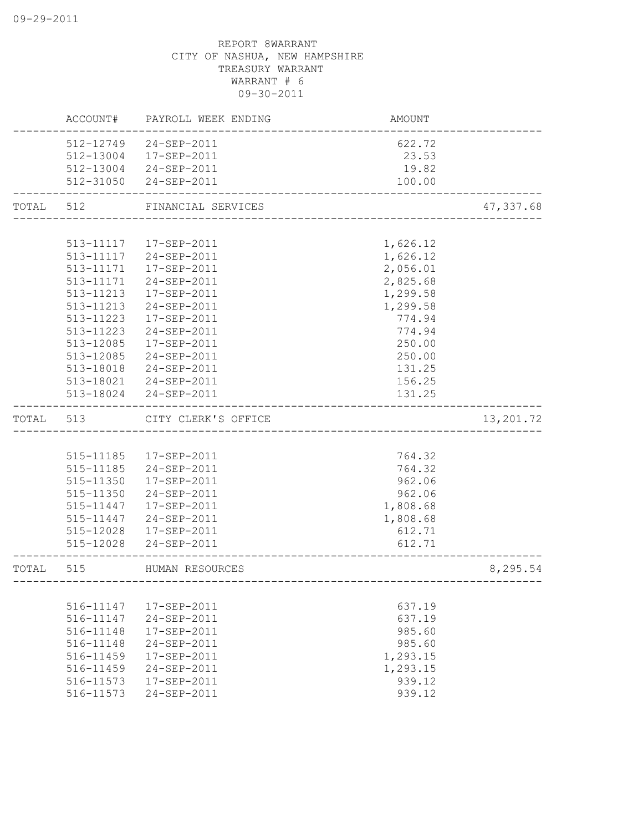|           | ACCOUNT#  | PAYROLL WEEK ENDING          | AMOUNT                |           |
|-----------|-----------|------------------------------|-----------------------|-----------|
|           | 512-12749 | 24-SEP-2011                  | 622.72                |           |
|           | 512-13004 | 17-SEP-2011                  | 23.53                 |           |
|           |           | 512-13004 24-SEP-2011        | 19.82                 |           |
|           |           | 512-31050 24-SEP-2011        | 100.00                |           |
|           |           | TOTAL 512 FINANCIAL SERVICES | _____________________ | 47,337.68 |
|           |           |                              |                       |           |
|           | 513-11117 | 17-SEP-2011                  | 1,626.12              |           |
|           | 513-11117 | 24-SEP-2011                  | 1,626.12              |           |
|           | 513-11171 | 17-SEP-2011                  | 2,056.01              |           |
|           | 513-11171 | 24-SEP-2011                  | 2,825.68              |           |
|           | 513-11213 | 17-SEP-2011                  | 1,299.58              |           |
|           | 513-11213 | 24-SEP-2011                  | 1,299.58              |           |
|           | 513-11223 | 17-SEP-2011                  | 774.94                |           |
|           | 513-11223 | 24-SEP-2011                  | 774.94                |           |
|           | 513-12085 | 17-SEP-2011                  | 250.00                |           |
|           | 513-12085 | 24-SEP-2011                  | 250.00                |           |
|           | 513-18018 | 24-SEP-2011                  | 131.25                |           |
|           |           | 513-18021  24-SEP-2011       | 156.25                |           |
|           |           | 513-18024 24-SEP-2011        | 131.25                |           |
| TOTAL 513 |           | CITY CLERK'S OFFICE          |                       | 13,201.72 |
|           |           |                              |                       |           |
|           |           | 515-11185  17-SEP-2011       | 764.32                |           |
|           |           | 515-11185 24-SEP-2011        | 764.32                |           |
|           | 515-11350 | 17-SEP-2011                  | 962.06                |           |
|           | 515-11350 | 24-SEP-2011                  | 962.06                |           |
|           | 515-11447 | 17-SEP-2011                  | 1,808.68              |           |
|           | 515-11447 | 24-SEP-2011                  | 1,808.68              |           |
|           |           | 515-12028  17-SEP-2011       | 612.71                |           |
|           | 515-12028 | 24-SEP-2011                  | 612.71                |           |
| TOTAL     | 515       | HUMAN RESOURCES              |                       | 8,295.54  |
|           |           | --------------------         |                       |           |
|           | 516-11147 | $17 - SEP - 2011$            | 637.19                |           |
|           | 516-11147 | $24 - SEP - 2011$            | 637.19                |           |
|           | 516-11148 | $17 - SEP - 2011$            | 985.60                |           |
|           | 516-11148 | 24-SEP-2011                  | 985.60                |           |
|           | 516-11459 | 17-SEP-2011                  | 1,293.15              |           |
|           | 516-11459 | 24-SEP-2011                  | 1,293.15              |           |
|           | 516-11573 | 17-SEP-2011                  | 939.12                |           |
|           | 516-11573 | 24-SEP-2011                  | 939.12                |           |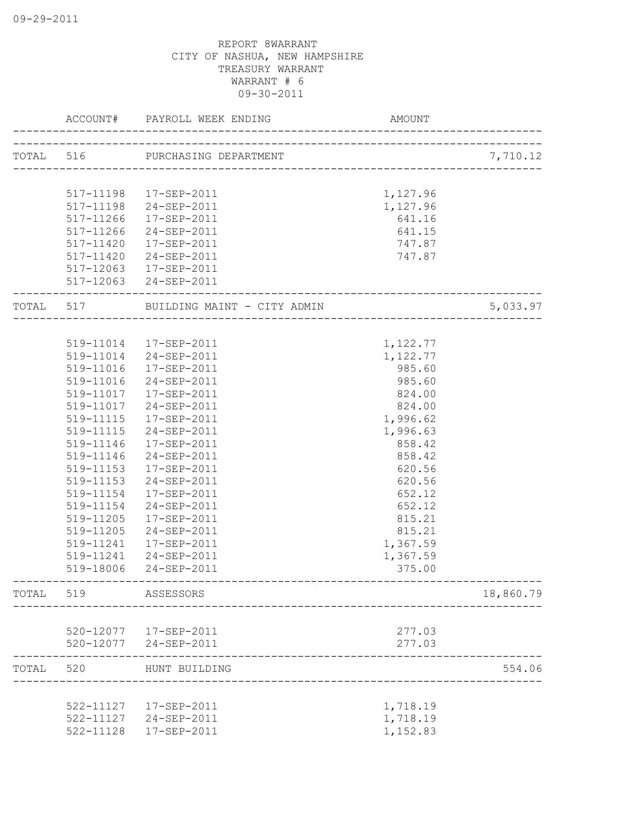|       | ACCOUNT#  | PAYROLL WEEK ENDING             | <b>AMOUNT</b>    |           |
|-------|-----------|---------------------------------|------------------|-----------|
|       |           | TOTAL 516 PURCHASING DEPARTMENT |                  | 7,710.12  |
|       |           |                                 |                  |           |
|       | 517-11198 | 17-SEP-2011                     | 1,127.96         |           |
|       | 517-11198 | 24-SEP-2011                     | 1,127.96         |           |
|       | 517-11266 | $17 - SEP - 2011$               | 641.16           |           |
|       | 517-11266 | 24-SEP-2011                     | 641.15           |           |
|       | 517-11420 | 17-SEP-2011                     | 747.87           |           |
|       | 517-11420 | 24-SEP-2011                     | 747.87           |           |
|       | 517-12063 | 17-SEP-2011                     |                  |           |
|       | 517-12063 | 24-SEP-2011                     |                  |           |
| TOTAL | 517       | BUILDING MAINT - CITY ADMIN     | ________________ | 5,033.97  |
|       |           |                                 |                  |           |
|       |           | 519-11014  17-SEP-2011          | 1,122.77         |           |
|       |           | 519-11014 24-SEP-2011           | 1,122.77         |           |
|       | 519-11016 | 17-SEP-2011                     | 985.60           |           |
|       | 519-11016 | 24-SEP-2011                     | 985.60           |           |
|       | 519-11017 | 17-SEP-2011                     | 824.00           |           |
|       | 519-11017 | 24-SEP-2011                     | 824.00           |           |
|       | 519-11115 | 17-SEP-2011                     | 1,996.62         |           |
|       | 519-11115 | 24-SEP-2011                     | 1,996.63         |           |
|       | 519-11146 | 17-SEP-2011                     | 858.42           |           |
|       | 519-11146 | 24-SEP-2011                     | 858.42           |           |
|       | 519-11153 | 17-SEP-2011                     | 620.56           |           |
|       | 519-11153 | 24-SEP-2011                     | 620.56           |           |
|       | 519-11154 | 17-SEP-2011                     | 652.12           |           |
|       | 519-11154 | 24-SEP-2011                     | 652.12           |           |
|       | 519-11205 | 17-SEP-2011                     | 815.21           |           |
|       | 519-11205 | 24-SEP-2011                     | 815.21           |           |
|       | 519-11241 | 17-SEP-2011                     | 1,367.59         |           |
|       | 519-11241 | 24-SEP-2011                     | 1,367.59         |           |
|       | 519-18006 | 24-SEP-2011                     | 375.00           |           |
| TOTAL | 519       | ASSESSORS                       |                  | 18,860.79 |
|       |           |                                 |                  |           |
|       | 520-12077 | 17-SEP-2011                     | 277.03           |           |
|       |           | 520-12077 24-SEP-2011           | 277.03           |           |
| TOTAL | 520       | HUNT BUILDING                   |                  | 554.06    |
|       | 522-11127 | 17-SEP-2011                     | 1,718.19         |           |
|       | 522-11127 | 24-SEP-2011                     | 1,718.19         |           |
|       | 522-11128 | 17-SEP-2011                     | 1,152.83         |           |
|       |           |                                 |                  |           |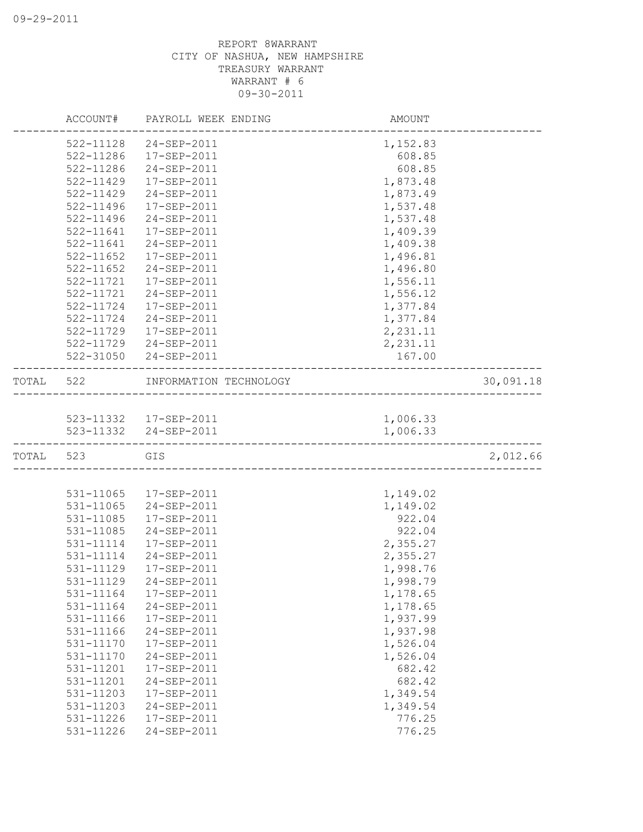|           |           | ACCOUNT# PAYROLL WEEK ENDING | AMOUNT                                 |           |
|-----------|-----------|------------------------------|----------------------------------------|-----------|
|           | 522-11128 | 24-SEP-2011                  | 1,152.83                               |           |
|           | 522-11286 | 17-SEP-2011                  | 608.85                                 |           |
|           | 522-11286 | 24-SEP-2011                  | 608.85                                 |           |
|           | 522-11429 | 17-SEP-2011                  | 1,873.48                               |           |
|           | 522-11429 | 24-SEP-2011                  | 1,873.49                               |           |
|           | 522-11496 | 17-SEP-2011                  | 1,537.48                               |           |
|           | 522-11496 | 24-SEP-2011                  | 1,537.48                               |           |
|           | 522-11641 | 17-SEP-2011                  | 1,409.39                               |           |
|           | 522-11641 | 24-SEP-2011                  | 1,409.38                               |           |
|           | 522-11652 | 17-SEP-2011                  | 1,496.81                               |           |
|           | 522-11652 | 24-SEP-2011                  | 1,496.80                               |           |
|           | 522-11721 | 17-SEP-2011                  | 1,556.11                               |           |
|           | 522-11721 | 24-SEP-2011                  | 1,556.12                               |           |
|           | 522-11724 | 17-SEP-2011                  | 1,377.84                               |           |
|           |           | 522-11724 24-SEP-2011        | 1,377.84                               |           |
|           | 522-11729 | 17-SEP-2011                  | 2,231.11                               |           |
|           |           | 522-11729 24-SEP-2011        | 2,231.11                               |           |
|           |           | 522-31050 24-SEP-2011        | 167.00                                 |           |
| TOTAL 522 |           | INFORMATION TECHNOLOGY       | -------------------------------------- | 30,091.18 |
|           |           |                              |                                        |           |
|           |           | 523-11332  17-SEP-2011       | 1,006.33                               |           |
|           |           | 523-11332 24-SEP-2011        | 1,006.33                               |           |
| TOTAL 523 |           | GIS                          |                                        | 2,012.66  |
|           |           |                              |                                        |           |
|           | 531-11065 | 17-SEP-2011                  | 1,149.02                               |           |
|           | 531-11065 | 24-SEP-2011                  | 1,149.02                               |           |
|           | 531-11085 | 17-SEP-2011                  | 922.04                                 |           |
|           | 531-11085 | 24-SEP-2011                  | 922.04                                 |           |
|           | 531-11114 | 17-SEP-2011                  | 2,355.27                               |           |
|           | 531-11114 | 24-SEP-2011                  | 2,355.27                               |           |
|           | 531-11129 | 17-SEP-2011                  | 1,998.76                               |           |
|           | 531-11129 | 24-SEP-2011                  | 1,998.79                               |           |
|           | 531-11164 | 17-SEP-2011                  | 1,178.65                               |           |
|           | 531-11164 | 24-SEP-2011                  | 1,178.65                               |           |
|           | 531-11166 | 17-SEP-2011                  | 1,937.99                               |           |
|           | 531-11166 | 24-SEP-2011                  | 1,937.98                               |           |
|           | 531-11170 | 17-SEP-2011                  | 1,526.04                               |           |
|           | 531-11170 | 24-SEP-2011                  | 1,526.04                               |           |
|           | 531-11201 | 17-SEP-2011                  | 682.42                                 |           |
|           | 531-11201 | 24-SEP-2011                  | 682.42                                 |           |
|           | 531-11203 | 17-SEP-2011                  | 1,349.54                               |           |
|           | 531-11203 | 24-SEP-2011                  | 1,349.54                               |           |
|           | 531-11226 | 17-SEP-2011                  | 776.25                                 |           |
|           | 531-11226 | 24-SEP-2011                  | 776.25                                 |           |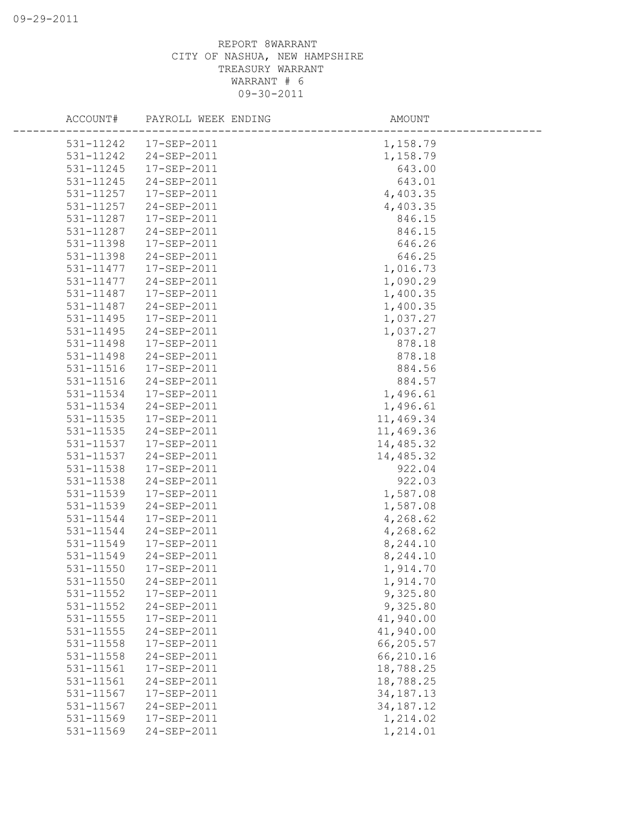|               | ACCOUNT# PAYROLL WEEK ENDING | AMOUNT      |  |
|---------------|------------------------------|-------------|--|
|               | 531-11242  17-SEP-2011       | 1,158.79    |  |
| 531-11242     | 24-SEP-2011                  | 1,158.79    |  |
| 531-11245     | 17-SEP-2011                  | 643.00      |  |
| 531-11245     | 24-SEP-2011                  | 643.01      |  |
| 531-11257     | 17-SEP-2011                  | 4,403.35    |  |
| 531-11257     | 24-SEP-2011                  | 4,403.35    |  |
| 531-11287     | 17-SEP-2011                  | 846.15      |  |
| 531-11287     | 24-SEP-2011                  | 846.15      |  |
| 531-11398     | 17-SEP-2011                  | 646.26      |  |
| 531-11398     | 24-SEP-2011                  | 646.25      |  |
| 531-11477     | 17-SEP-2011                  | 1,016.73    |  |
| 531-11477     | 24-SEP-2011                  | 1,090.29    |  |
| 531-11487     | 17-SEP-2011                  | 1,400.35    |  |
| 531-11487     | 24-SEP-2011                  | 1,400.35    |  |
| 531-11495     | 17-SEP-2011                  | 1,037.27    |  |
| 531-11495     | 24-SEP-2011                  | 1,037.27    |  |
| 531-11498     | 17-SEP-2011                  | 878.18      |  |
| 531-11498     | 24-SEP-2011                  | 878.18      |  |
| 531-11516     | 17-SEP-2011                  | 884.56      |  |
| 531-11516     | 24-SEP-2011                  | 884.57      |  |
| 531-11534     | 17-SEP-2011                  | 1,496.61    |  |
| 531-11534     | 24-SEP-2011                  | 1,496.61    |  |
| 531-11535     | 17-SEP-2011                  | 11,469.34   |  |
| 531-11535     | 24-SEP-2011                  | 11,469.36   |  |
| 531-11537     | 17-SEP-2011                  | 14,485.32   |  |
| 531-11537     | 24-SEP-2011                  | 14,485.32   |  |
| 531-11538     | 17-SEP-2011                  | 922.04      |  |
| 531-11538     | 24-SEP-2011                  | 922.03      |  |
| 531-11539     | 17-SEP-2011                  | 1,587.08    |  |
| 531-11539     | 24-SEP-2011                  | 1,587.08    |  |
| 531-11544     | 17-SEP-2011                  | 4,268.62    |  |
| 531-11544     | 24-SEP-2011                  | 4,268.62    |  |
| 531-11549     | 17-SEP-2011                  | 8,244.10    |  |
| 531-11549     | 24-SEP-2011                  | 8,244.10    |  |
| 531-11550     | 17-SEP-2011                  | 1,914.70    |  |
| 531-11550     | 24-SEP-2011                  | 1,914.70    |  |
| 531-11552     | 17-SEP-2011                  | 9,325.80    |  |
| $531 - 11552$ | 24-SEP-2011                  | 9,325.80    |  |
| 531-11555     | 17-SEP-2011                  | 41,940.00   |  |
| 531-11555     | 24-SEP-2011                  | 41,940.00   |  |
| 531-11558     | 17-SEP-2011                  | 66,205.57   |  |
| 531-11558     | 24-SEP-2011                  | 66,210.16   |  |
| 531-11561     | 17-SEP-2011                  | 18,788.25   |  |
| 531-11561     | 24-SEP-2011                  | 18,788.25   |  |
| 531-11567     | 17-SEP-2011                  | 34, 187. 13 |  |
| 531-11567     | 24-SEP-2011                  | 34, 187. 12 |  |
| 531-11569     | 17-SEP-2011                  | 1,214.02    |  |
| 531-11569     | 24-SEP-2011                  | 1,214.01    |  |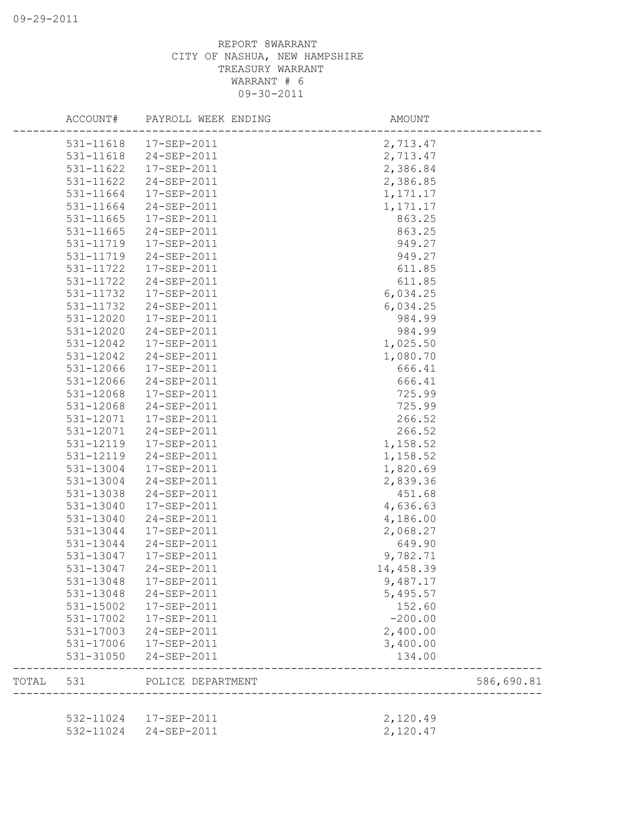|       | ACCOUNT#      | PAYROLL WEEK ENDING    | AMOUNT            |                           |
|-------|---------------|------------------------|-------------------|---------------------------|
|       |               | 531-11618  17-SEP-2011 | 2,713.47          |                           |
|       | 531-11618     | 24-SEP-2011            | 2,713.47          |                           |
|       | 531-11622     | 17-SEP-2011            | 2,386.84          |                           |
|       | 531-11622     | 24-SEP-2011            | 2,386.85          |                           |
|       | 531-11664     | 17-SEP-2011            | 1,171.17          |                           |
|       | 531-11664     | 24-SEP-2011            | 1, 171. 17        |                           |
|       | 531-11665     | 17-SEP-2011            | 863.25            |                           |
|       | 531-11665     | 24-SEP-2011            | 863.25            |                           |
|       | 531-11719     | 17-SEP-2011            | 949.27            |                           |
|       | 531-11719     | 24-SEP-2011            | 949.27            |                           |
|       | 531-11722     | 17-SEP-2011            | 611.85            |                           |
|       | 531-11722     | 24-SEP-2011            | 611.85            |                           |
|       | 531-11732     | 17-SEP-2011            | 6,034.25          |                           |
|       | 531-11732     | 24-SEP-2011            | 6,034.25          |                           |
|       | 531-12020     | 17-SEP-2011            | 984.99            |                           |
|       | 531-12020     | 24-SEP-2011            | 984.99            |                           |
|       | 531-12042     | 17-SEP-2011            | 1,025.50          |                           |
|       | 531-12042     | 24-SEP-2011            | 1,080.70          |                           |
|       | 531-12066     | 17-SEP-2011            | 666.41            |                           |
|       | 531-12066     | 24-SEP-2011            | 666.41            |                           |
|       | 531-12068     | 17-SEP-2011            | 725.99            |                           |
|       | 531-12068     | 24-SEP-2011            | 725.99            |                           |
|       | 531-12071     | 17-SEP-2011            | 266.52            |                           |
|       | 531-12071     | 24-SEP-2011            | 266.52            |                           |
|       | 531-12119     | 17-SEP-2011            | 1,158.52          |                           |
|       | 531-12119     | 24-SEP-2011            | 1,158.52          |                           |
|       | 531-13004     | 17-SEP-2011            | 1,820.69          |                           |
|       | 531-13004     | 24-SEP-2011            | 2,839.36          |                           |
|       | 531-13038     | 24-SEP-2011            | 451.68            |                           |
|       | 531-13040     | 17-SEP-2011            | 4,636.63          |                           |
|       | 531-13040     | 24-SEP-2011            | 4,186.00          |                           |
|       | 531-13044     | 17-SEP-2011            | 2,068.27          |                           |
|       | 531-13044     | 24-SEP-2011            | 649.90            |                           |
|       | 531-13047     | $17 - SEP - 2011$      | 9,782.71          |                           |
|       | 531-13047     | 24-SEP-2011            | 14,458.39         |                           |
|       | $531 - 13048$ | 17-SEP-2011            | 9,487.17          |                           |
|       | 531-13048     | 24-SEP-2011            | 5,495.57          |                           |
|       | 531-15002     | 17-SEP-2011            | 152.60            |                           |
|       | 531-17002     | 17-SEP-2011            | $-200.00$         |                           |
|       | 531-17003     | 24-SEP-2011            | 2,400.00          |                           |
|       | 531-17006     | 17-SEP-2011            | 3,400.00          |                           |
|       | 531-31050     | 24-SEP-2011            | 134.00            |                           |
| TOTAL | 531           | POLICE DEPARTMENT      | _________________ | 586,690.81<br>___________ |
|       |               |                        |                   |                           |
|       | 532-11024     | 17-SEP-2011            | 2,120.49          |                           |
|       | 532-11024     | 24-SEP-2011            | 2,120.47          |                           |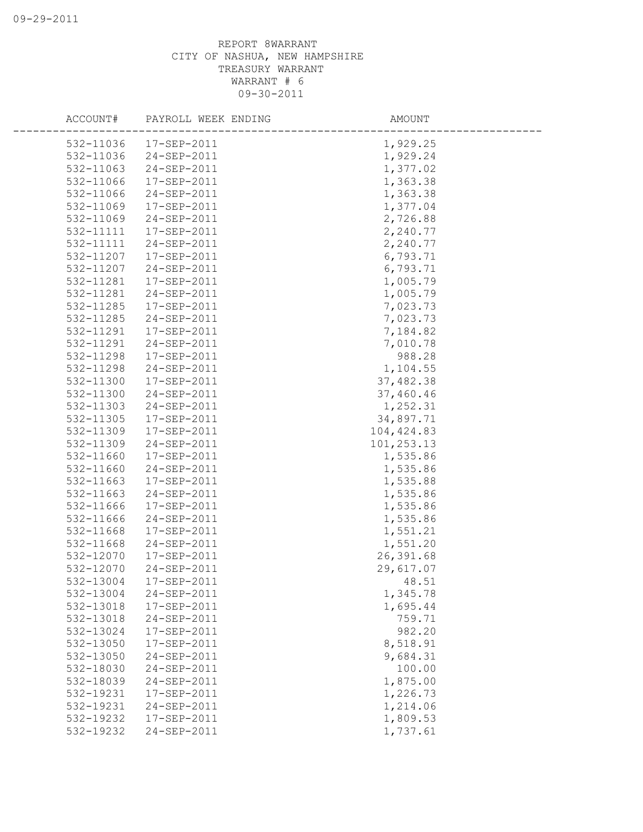| ACCOUNT#  | PAYROLL WEEK ENDING | AMOUNT      |  |
|-----------|---------------------|-------------|--|
| 532-11036 | 17-SEP-2011         | 1,929.25    |  |
| 532-11036 | 24-SEP-2011         | 1,929.24    |  |
| 532-11063 | 24-SEP-2011         | 1,377.02    |  |
| 532-11066 | 17-SEP-2011         | 1,363.38    |  |
| 532-11066 | 24-SEP-2011         | 1,363.38    |  |
| 532-11069 | 17-SEP-2011         | 1,377.04    |  |
| 532-11069 | 24-SEP-2011         | 2,726.88    |  |
| 532-11111 | 17-SEP-2011         | 2,240.77    |  |
| 532-11111 | 24-SEP-2011         | 2,240.77    |  |
| 532-11207 | 17-SEP-2011         | 6,793.71    |  |
| 532-11207 | 24-SEP-2011         | 6,793.71    |  |
| 532-11281 | 17-SEP-2011         | 1,005.79    |  |
| 532-11281 | 24-SEP-2011         | 1,005.79    |  |
| 532-11285 | 17-SEP-2011         | 7,023.73    |  |
| 532-11285 | 24-SEP-2011         | 7,023.73    |  |
| 532-11291 | 17-SEP-2011         | 7,184.82    |  |
| 532-11291 | 24-SEP-2011         | 7,010.78    |  |
| 532-11298 | 17-SEP-2011         | 988.28      |  |
| 532-11298 | 24-SEP-2011         | 1,104.55    |  |
| 532-11300 | 17-SEP-2011         | 37,482.38   |  |
| 532-11300 | 24-SEP-2011         | 37,460.46   |  |
| 532-11303 | 24-SEP-2011         | 1,252.31    |  |
| 532-11305 | 17-SEP-2011         | 34,897.71   |  |
| 532-11309 | 17-SEP-2011         | 104, 424.83 |  |
| 532-11309 | 24-SEP-2011         | 101,253.13  |  |
| 532-11660 | 17-SEP-2011         | 1,535.86    |  |
| 532-11660 | 24-SEP-2011         | 1,535.86    |  |
| 532-11663 | 17-SEP-2011         | 1,535.88    |  |
| 532-11663 | 24-SEP-2011         | 1,535.86    |  |
| 532-11666 | 17-SEP-2011         | 1,535.86    |  |
| 532-11666 | 24-SEP-2011         | 1,535.86    |  |
| 532-11668 | 17-SEP-2011         | 1,551.21    |  |
| 532-11668 | 24-SEP-2011         | 1,551.20    |  |
| 532-12070 | $17 - SEP - 2011$   | 26,391.68   |  |
| 532-12070 | 24-SEP-2011         | 29,617.07   |  |
| 532-13004 | 17-SEP-2011         | 48.51       |  |
| 532-13004 | 24-SEP-2011         | 1,345.78    |  |
| 532-13018 | 17-SEP-2011         | 1,695.44    |  |
| 532-13018 | 24-SEP-2011         | 759.71      |  |
| 532-13024 | 17-SEP-2011         | 982.20      |  |
| 532-13050 | 17-SEP-2011         | 8,518.91    |  |
| 532-13050 | 24-SEP-2011         | 9,684.31    |  |
| 532-18030 | 24-SEP-2011         | 100.00      |  |
| 532-18039 | 24-SEP-2011         | 1,875.00    |  |
| 532-19231 | 17-SEP-2011         | 1,226.73    |  |
| 532-19231 | 24-SEP-2011         | 1,214.06    |  |
| 532-19232 | 17-SEP-2011         | 1,809.53    |  |
| 532-19232 | 24-SEP-2011         | 1,737.61    |  |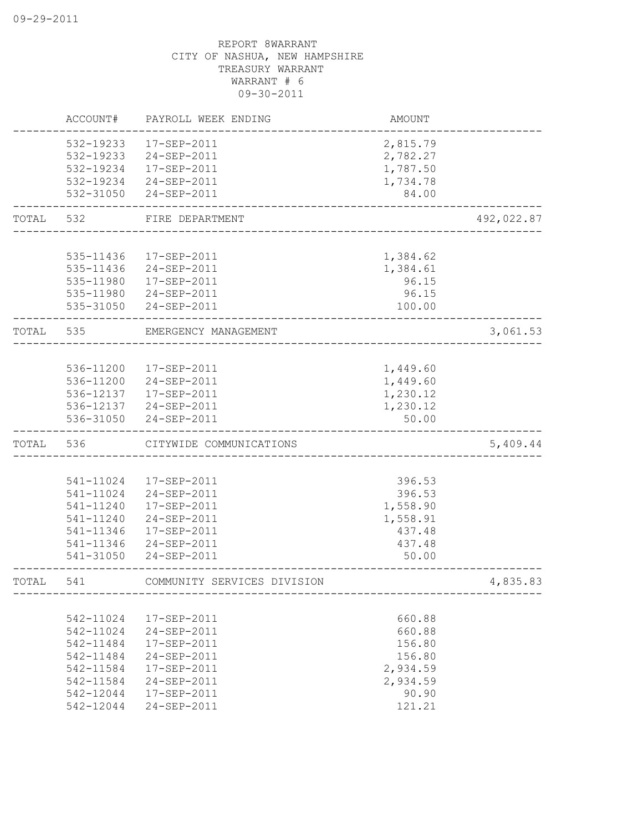|       | ACCOUNT#  | PAYROLL WEEK ENDING         | <b>AMOUNT</b> |            |
|-------|-----------|-----------------------------|---------------|------------|
|       | 532-19233 | $17 - SEP - 2011$           | 2,815.79      |            |
|       | 532-19233 | 24-SEP-2011                 | 2,782.27      |            |
|       | 532-19234 | 17-SEP-2011                 | 1,787.50      |            |
|       | 532-19234 | 24-SEP-2011                 | 1,734.78      |            |
|       | 532-31050 | 24-SEP-2011                 | 84.00         |            |
| TOTAL | 532       | FIRE DEPARTMENT             |               | 492,022.87 |
|       |           |                             |               |            |
|       | 535-11436 | 17-SEP-2011                 | 1,384.62      |            |
|       | 535-11436 | 24-SEP-2011                 | 1,384.61      |            |
|       | 535-11980 | 17-SEP-2011                 | 96.15         |            |
|       |           | 535-11980 24-SEP-2011       | 96.15         |            |
|       | 535-31050 | 24-SEP-2011                 | 100.00        |            |
| TOTAL | 535       | EMERGENCY MANAGEMENT        |               | 3,061.53   |
|       |           |                             |               |            |
|       |           | 536-11200  17-SEP-2011      | 1,449.60      |            |
|       |           | 536-11200 24-SEP-2011       | 1,449.60      |            |
|       |           | 536-12137  17-SEP-2011      | 1,230.12      |            |
|       |           | 536-12137 24-SEP-2011       | 1,230.12      |            |
|       | 536-31050 | 24-SEP-2011                 | 50.00         |            |
| TOTAL | 536       | CITYWIDE COMMUNICATIONS     |               | 5,409.44   |
|       |           |                             |               |            |
|       | 541-11024 | 17-SEP-2011                 | 396.53        |            |
|       | 541-11024 | 24-SEP-2011                 | 396.53        |            |
|       | 541-11240 | 17-SEP-2011                 | 1,558.90      |            |
|       | 541-11240 | 24-SEP-2011                 | 1,558.91      |            |
|       | 541-11346 | 17-SEP-2011                 | 437.48        |            |
|       | 541-11346 | 24-SEP-2011                 | 437.48        |            |
|       | 541-31050 | 24-SEP-2011                 | 50.00         |            |
| TOTAL | 541       | COMMUNITY SERVICES DIVISION |               | 4,835.83   |
|       |           |                             |               |            |
|       | 542-11024 | 17-SEP-2011                 | 660.88        |            |
|       | 542-11024 | 24-SEP-2011                 | 660.88        |            |
|       | 542-11484 | 17-SEP-2011                 | 156.80        |            |
|       | 542-11484 | 24-SEP-2011                 | 156.80        |            |
|       | 542-11584 | 17-SEP-2011                 | 2,934.59      |            |
|       | 542-11584 | 24-SEP-2011                 | 2,934.59      |            |
|       | 542-12044 | 17-SEP-2011                 | 90.90         |            |
|       | 542-12044 | 24-SEP-2011                 | 121.21        |            |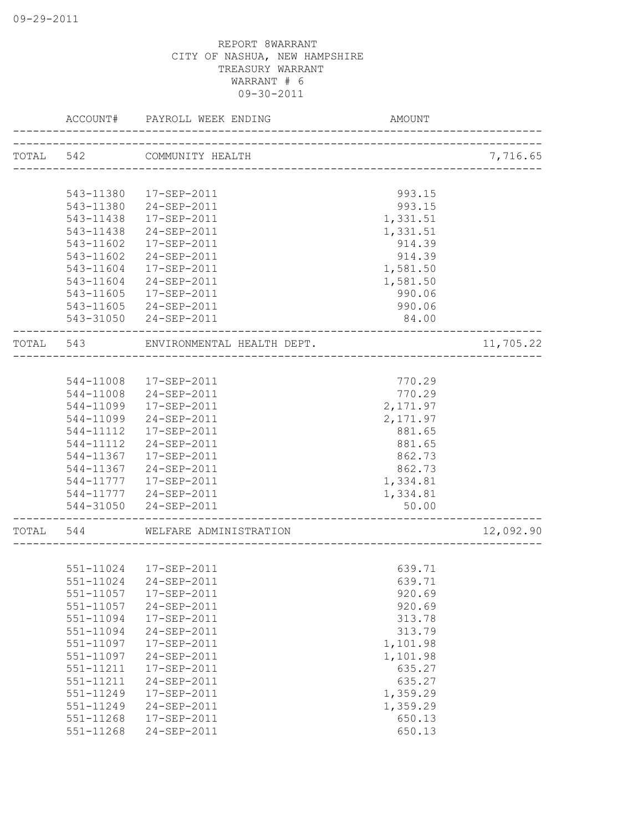|       | ACCOUNT#  | PAYROLL WEEK ENDING                                   | <b>AMOUNT</b> |           |
|-------|-----------|-------------------------------------------------------|---------------|-----------|
|       |           | TOTAL 542 COMMUNITY HEALTH<br>____________________    |               | 7,716.65  |
|       |           |                                                       |               |           |
|       | 543-11380 | 17-SEP-2011                                           | 993.15        |           |
|       | 543-11380 | 24-SEP-2011                                           | 993.15        |           |
|       | 543-11438 | 17-SEP-2011                                           | 1,331.51      |           |
|       | 543-11438 | 24-SEP-2011                                           | 1,331.51      |           |
|       | 543-11602 | 17-SEP-2011                                           | 914.39        |           |
|       | 543-11602 | 24-SEP-2011                                           | 914.39        |           |
|       | 543-11604 | 17-SEP-2011                                           | 1,581.50      |           |
|       | 543-11604 | 24-SEP-2011                                           | 1,581.50      |           |
|       | 543-11605 | 17-SEP-2011                                           | 990.06        |           |
|       |           | 543-11605 24-SEP-2011                                 | 990.06        |           |
|       |           | 543-31050 24-SEP-2011                                 | 84.00         |           |
| TOTAL | 543       | ENVIRONMENTAL HEALTH DEPT.<br>_______________________ |               | 11,705.22 |
|       |           |                                                       |               |           |
|       |           | 544-11008  17-SEP-2011                                | 770.29        |           |
|       |           | 544-11008 24-SEP-2011                                 | 770.29        |           |
|       | 544-11099 | 17-SEP-2011                                           | 2,171.97      |           |
|       | 544-11099 | 24-SEP-2011                                           | 2,171.97      |           |
|       | 544-11112 | 17-SEP-2011                                           | 881.65        |           |
|       | 544-11112 | 24-SEP-2011                                           | 881.65        |           |
|       | 544-11367 | 17-SEP-2011                                           | 862.73        |           |
|       | 544-11367 | 24-SEP-2011                                           | 862.73        |           |
|       | 544-11777 | 17-SEP-2011                                           | 1,334.81      |           |
|       |           | 544-11777 24-SEP-2011                                 | 1,334.81      |           |
|       | 544-31050 | 24-SEP-2011                                           | 50.00         |           |
| TOTAL | 544       | WELFARE ADMINISTRATION                                |               | 12,092.90 |
|       |           |                                                       |               |           |
|       |           | 551-11024 17-SEP-2011                                 | 639.71        |           |
|       | 551-11024 | 24-SEP-2011                                           | 639.71        |           |
|       | 551-11057 | 17-SEP-2011                                           | 920.69        |           |
|       | 551-11057 | 24-SEP-2011                                           | 920.69        |           |
|       | 551-11094 | 17-SEP-2011                                           | 313.78        |           |
|       | 551-11094 | 24-SEP-2011                                           | 313.79        |           |
|       | 551-11097 | 17-SEP-2011                                           | 1,101.98      |           |
|       | 551-11097 | 24-SEP-2011                                           | 1,101.98      |           |
|       | 551-11211 | 17-SEP-2011                                           | 635.27        |           |
|       | 551-11211 | 24-SEP-2011                                           | 635.27        |           |
|       | 551-11249 | 17-SEP-2011                                           | 1,359.29      |           |
|       | 551-11249 | 24-SEP-2011                                           | 1,359.29      |           |
|       | 551-11268 | 17-SEP-2011                                           | 650.13        |           |
|       | 551-11268 | 24-SEP-2011                                           | 650.13        |           |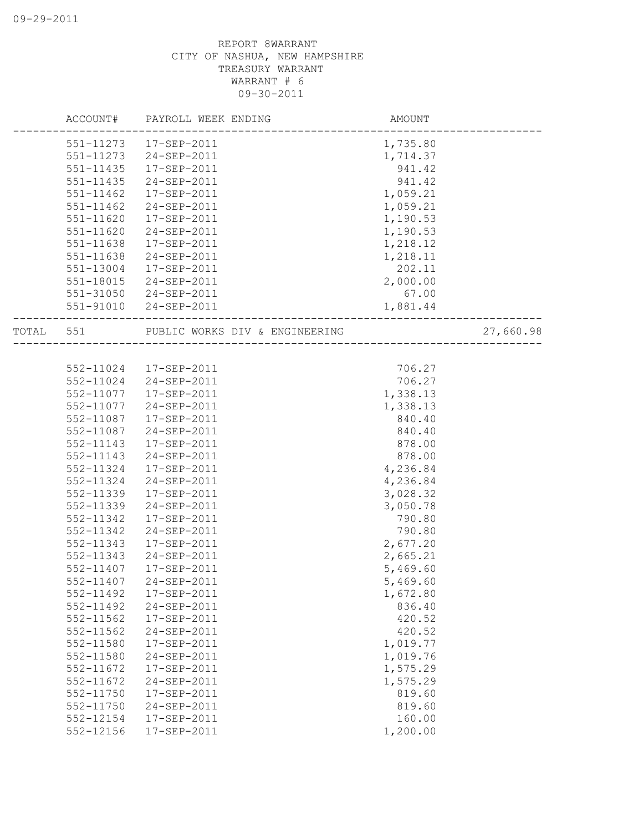|           | ACCOUNT# PAYROLL WEEK ENDING                          | AMOUNT   |           |
|-----------|-------------------------------------------------------|----------|-----------|
|           | 551-11273  17-SEP-2011                                | 1,735.80 |           |
| 551-11273 | 24-SEP-2011                                           | 1,714.37 |           |
| 551-11435 | 17-SEP-2011                                           | 941.42   |           |
| 551-11435 | 24-SEP-2011                                           | 941.42   |           |
| 551-11462 | 17-SEP-2011                                           | 1,059.21 |           |
| 551-11462 | 24-SEP-2011                                           | 1,059.21 |           |
| 551-11620 | 17-SEP-2011                                           | 1,190.53 |           |
| 551-11620 | 24-SEP-2011                                           | 1,190.53 |           |
| 551-11638 | 17-SEP-2011                                           | 1,218.12 |           |
| 551-11638 | 24-SEP-2011                                           | 1,218.11 |           |
| 551-13004 | 17-SEP-2011                                           | 202.11   |           |
| 551-18015 | 24-SEP-2011                                           | 2,000.00 |           |
|           | 551-31050 24-SEP-2011                                 | 67.00    |           |
|           | 551-91010 24-SEP-2011<br>---------------------------- | 1,881.44 |           |
| TOTAL 551 | PUBLIC WORKS DIV & ENGINEERING                        |          | 27,660.98 |
|           |                                                       |          |           |
|           | 552-11024  17-SEP-2011                                | 706.27   |           |
|           | 552-11024 24-SEP-2011                                 | 706.27   |           |
| 552-11077 | 17-SEP-2011                                           | 1,338.13 |           |
| 552-11077 | 24-SEP-2011                                           | 1,338.13 |           |
| 552-11087 | 17-SEP-2011                                           | 840.40   |           |
| 552-11087 | 24-SEP-2011                                           | 840.40   |           |
| 552-11143 | 17-SEP-2011                                           | 878.00   |           |
| 552-11143 | 24-SEP-2011                                           | 878.00   |           |
| 552-11324 | 17-SEP-2011                                           | 4,236.84 |           |
| 552-11324 | 24-SEP-2011                                           | 4,236.84 |           |
| 552-11339 | 17-SEP-2011                                           | 3,028.32 |           |
| 552-11339 | 24-SEP-2011                                           | 3,050.78 |           |
| 552-11342 | 17-SEP-2011                                           | 790.80   |           |
| 552-11342 | 24-SEP-2011                                           | 790.80   |           |
| 552-11343 | 17-SEP-2011                                           | 2,677.20 |           |
| 552-11343 | 24-SEP-2011                                           | 2,665.21 |           |
| 552-11407 | 17-SEP-2011                                           | 5,469.60 |           |
| 552-11407 | $24 - SEP - 2011$                                     | 5,469.60 |           |
| 552-11492 | 17-SEP-2011                                           | 1,672.80 |           |
| 552-11492 | 24-SEP-2011                                           | 836.40   |           |
| 552-11562 | 17-SEP-2011                                           | 420.52   |           |
| 552-11562 | 24-SEP-2011                                           | 420.52   |           |
| 552-11580 | 17-SEP-2011                                           | 1,019.77 |           |
| 552-11580 | 24-SEP-2011                                           | 1,019.76 |           |
| 552-11672 | 17-SEP-2011                                           | 1,575.29 |           |
| 552-11672 | 24-SEP-2011                                           | 1,575.29 |           |
| 552-11750 | 17-SEP-2011                                           | 819.60   |           |
| 552-11750 | 24-SEP-2011                                           | 819.60   |           |
| 552-12154 | 17-SEP-2011                                           | 160.00   |           |
| 552-12156 | 17-SEP-2011                                           | 1,200.00 |           |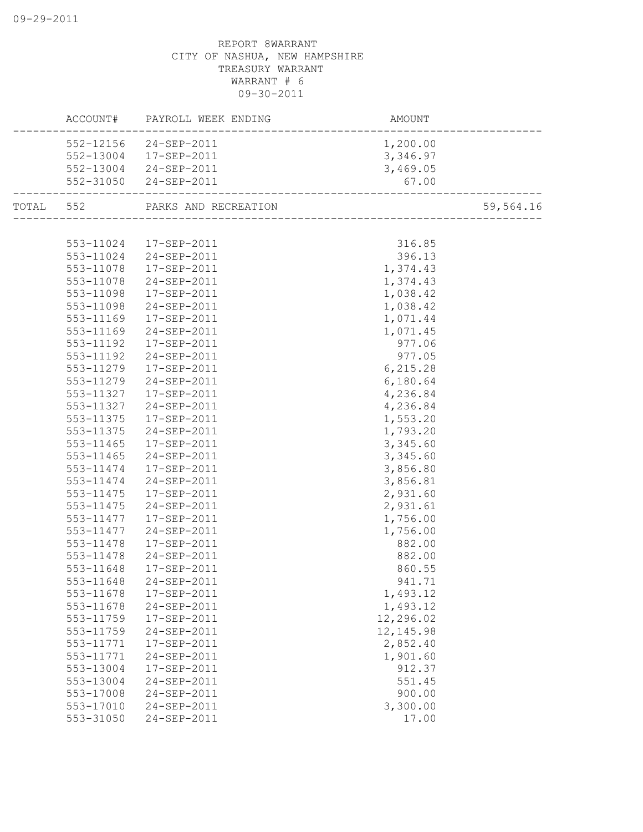|           | ACCOUNT# PAYROLL WEEK ENDING | AMOUNT     |           |
|-----------|------------------------------|------------|-----------|
| 552-12156 | 24-SEP-2011                  | 1,200.00   |           |
|           | 552-13004 17-SEP-2011        | 3,346.97   |           |
| 552-13004 | 24-SEP-2011                  | 3,469.05   |           |
| 552-31050 | 24-SEP-2011                  | 67.00      |           |
| TOTAL 552 | PARKS AND RECREATION         |            | 59,564.16 |
|           |                              |            |           |
| 553-11024 | 17-SEP-2011                  | 316.85     |           |
| 553-11024 | 24-SEP-2011                  | 396.13     |           |
| 553-11078 | 17-SEP-2011                  | 1,374.43   |           |
| 553-11078 | 24-SEP-2011                  | 1,374.43   |           |
| 553-11098 | 17-SEP-2011                  | 1,038.42   |           |
| 553-11098 | 24-SEP-2011                  | 1,038.42   |           |
| 553-11169 | 17-SEP-2011                  | 1,071.44   |           |
| 553-11169 | 24-SEP-2011                  | 1,071.45   |           |
| 553-11192 | 17-SEP-2011                  | 977.06     |           |
| 553-11192 | 24-SEP-2011                  | 977.05     |           |
| 553-11279 | 17-SEP-2011                  | 6, 215.28  |           |
| 553-11279 | 24-SEP-2011                  | 6,180.64   |           |
| 553-11327 | 17-SEP-2011                  | 4,236.84   |           |
| 553-11327 | 24-SEP-2011                  | 4,236.84   |           |
| 553-11375 | 17-SEP-2011                  | 1,553.20   |           |
| 553-11375 | 24-SEP-2011                  | 1,793.20   |           |
| 553-11465 | 17-SEP-2011                  | 3,345.60   |           |
| 553-11465 | 24-SEP-2011                  | 3,345.60   |           |
| 553-11474 | 17-SEP-2011                  | 3,856.80   |           |
| 553-11474 | 24-SEP-2011                  | 3,856.81   |           |
| 553-11475 | 17-SEP-2011                  | 2,931.60   |           |
| 553-11475 | 24-SEP-2011                  | 2,931.61   |           |
| 553-11477 | 17-SEP-2011                  | 1,756.00   |           |
| 553-11477 | 24-SEP-2011                  | 1,756.00   |           |
| 553-11478 | 17-SEP-2011                  | 882.00     |           |
| 553-11478 | 24-SEP-2011                  | 882.00     |           |
| 553-11648 | 17-SEP-2011                  | 860.55     |           |
| 553-11648 | 24-SEP-2011                  | 941.71     |           |
| 553-11678 | 17-SEP-2011                  | 1,493.12   |           |
| 553-11678 | 24-SEP-2011                  | 1,493.12   |           |
| 553-11759 | 17-SEP-2011                  | 12,296.02  |           |
| 553-11759 | 24-SEP-2011                  | 12, 145.98 |           |
| 553-11771 | 17-SEP-2011                  | 2,852.40   |           |
| 553-11771 | 24-SEP-2011                  | 1,901.60   |           |
| 553-13004 | 17-SEP-2011                  | 912.37     |           |
| 553-13004 | 24-SEP-2011                  | 551.45     |           |
| 553-17008 | 24-SEP-2011                  | 900.00     |           |
| 553-17010 | 24-SEP-2011                  | 3,300.00   |           |
| 553-31050 | 24-SEP-2011                  | 17.00      |           |
|           |                              |            |           |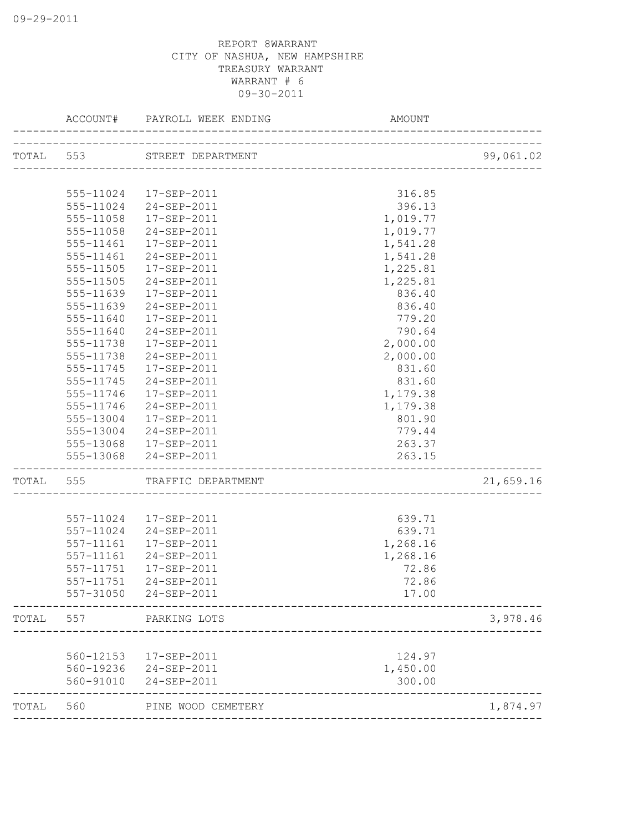|       | ACCOUNT#               | PAYROLL WEEK ENDING<br>___________________ | AMOUNT                        |           |
|-------|------------------------|--------------------------------------------|-------------------------------|-----------|
|       |                        | TOTAL 553 STREET DEPARTMENT                |                               | 99,061.02 |
|       |                        |                                            |                               |           |
|       | 555-11024              | 17-SEP-2011                                | 316.85                        |           |
|       | 555-11024              | 24-SEP-2011                                | 396.13                        |           |
|       | 555-11058              | 17-SEP-2011                                | 1,019.77                      |           |
|       | 555-11058              | 24-SEP-2011                                | 1,019.77                      |           |
|       | $555 - 11461$          | $17 - SEP - 2011$                          | 1,541.28                      |           |
|       | 555-11461              | 24-SEP-2011                                | 1,541.28                      |           |
|       | 555-11505              | 17-SEP-2011                                | 1,225.81                      |           |
|       | 555-11505              | 24-SEP-2011                                | 1,225.81                      |           |
|       | 555-11639              | 17-SEP-2011                                | 836.40                        |           |
|       | 555-11639              | 24-SEP-2011                                | 836.40                        |           |
|       | 555-11640              | 17-SEP-2011                                | 779.20                        |           |
|       | 555-11640              | $24 - SEP - 2011$                          | 790.64                        |           |
|       | 555-11738              | 17-SEP-2011                                | 2,000.00                      |           |
|       | 555-11738              | 24-SEP-2011                                | 2,000.00                      |           |
|       | 555-11745              | 17-SEP-2011                                | 831.60                        |           |
|       | 555-11745              | 24-SEP-2011                                | 831.60                        |           |
|       | 555-11746              | 17-SEP-2011                                | 1,179.38                      |           |
|       | 555-11746              | 24-SEP-2011                                | 1,179.38                      |           |
|       |                        | 555-13004 17-SEP-2011                      | 801.90                        |           |
|       |                        | 555-13004 24-SEP-2011                      | 779.44                        |           |
|       |                        | 555-13068 17-SEP-2011                      | 263.37                        |           |
|       |                        | 555-13068 24-SEP-2011                      | 263.15                        |           |
| TOTAL | 555                    | TRAFFIC DEPARTMENT                         | _____________________________ | 21,659.16 |
|       |                        |                                            |                               |           |
|       | 557-11024              | 17-SEP-2011                                | 639.71                        |           |
|       | 557-11024              | 24-SEP-2011                                | 639.71                        |           |
|       | 557-11161              | 17-SEP-2011                                | 1,268.16                      |           |
|       | 557-11161              | 24-SEP-2011                                | 1,268.16                      |           |
|       | 557-11751              | 17-SEP-2011                                | 72.86                         |           |
|       | 557-11751              | 24-SEP-2011                                | 72.86                         |           |
|       | 557-31050              | 24-SEP-2011                                | 17.00                         |           |
| TOTAL | 557                    | PARKING LOTS                               |                               | 3,978.46  |
|       |                        |                                            |                               |           |
|       | 560-12153              | 17-SEP-2011                                | 124.97                        |           |
|       | 560-19236<br>560-91010 | 24-SEP-2011<br>24-SEP-2011                 | 1,450.00<br>300.00            |           |
| TOTAL | 560                    | PINE WOOD CEMETERY                         |                               | 1,874.97  |
|       |                        |                                            |                               |           |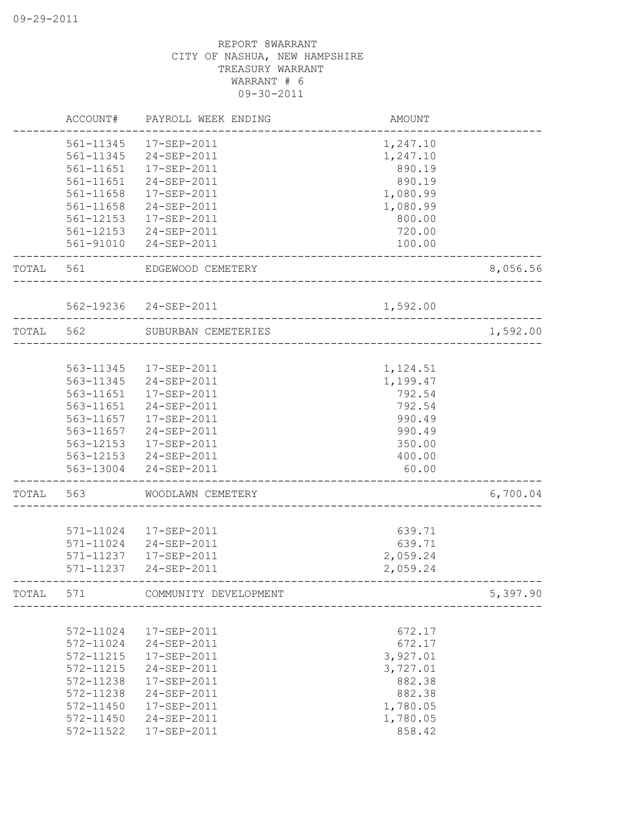|       | ACCOUNT#      | PAYROLL WEEK ENDING    | <b>AMOUNT</b>             |          |
|-------|---------------|------------------------|---------------------------|----------|
|       | 561-11345     | 17-SEP-2011            | 1,247.10                  |          |
|       | 561-11345     | 24-SEP-2011            | 1,247.10                  |          |
|       | 561-11651     | 17-SEP-2011            | 890.19                    |          |
|       | 561-11651     | 24-SEP-2011            | 890.19                    |          |
|       | 561-11658     | 17-SEP-2011            | 1,080.99                  |          |
|       | 561-11658     | 24-SEP-2011            | 1,080.99                  |          |
|       | 561-12153     | 17-SEP-2011            | 800.00                    |          |
|       | 561-12153     | 24-SEP-2011            | 720.00                    |          |
|       | 561-91010     | 24-SEP-2011            | 100.00                    |          |
| TOTAL | 561           | EDGEWOOD CEMETERY      |                           | 8,056.56 |
|       |               | 562-19236 24-SEP-2011  | 1,592.00                  |          |
| TOTAL | 562           | SUBURBAN CEMETERIES    |                           | 1,592.00 |
|       |               |                        |                           |          |
|       |               | 563-11345  17-SEP-2011 | 1,124.51                  |          |
|       | 563-11345     | 24-SEP-2011            | 1,199.47                  |          |
|       | 563-11651     | 17-SEP-2011            | 792.54                    |          |
|       | 563-11651     | 24-SEP-2011            | 792.54                    |          |
|       | 563-11657     | 17-SEP-2011            | 990.49                    |          |
|       | 563-11657     | 24-SEP-2011            | 990.49                    |          |
|       | 563-12153     | 17-SEP-2011            | 350.00                    |          |
|       |               | 563-12153 24-SEP-2011  | 400.00                    |          |
|       | 563-13004     | 24-SEP-2011            | 60.00                     |          |
| TOTAL | 563           | WOODLAWN CEMETERY      | _________________________ | 6,700.04 |
|       | 571-11024     | 17-SEP-2011            | 639.71                    |          |
|       | 571-11024     | 24-SEP-2011            | 639.71                    |          |
|       | 571-11237     | 17-SEP-2011            | 2,059.24                  |          |
|       | 571-11237     | $24 - SEP - 2011$      | 2,059.24                  |          |
| TOTAL | 571           | COMMUNITY DEVELOPMENT  |                           | 5,397.90 |
|       |               |                        |                           |          |
|       | 572-11024     | 17-SEP-2011            | 672.17                    |          |
|       | 572-11024     | 24-SEP-2011            | 672.17                    |          |
|       | 572-11215     | 17-SEP-2011            | 3,927.01                  |          |
|       | 572-11215     | 24-SEP-2011            | 3,727.01                  |          |
|       | 572-11238     | 17-SEP-2011            | 882.38                    |          |
|       | 572-11238     | 24-SEP-2011            | 882.38                    |          |
|       | 572-11450     | 17-SEP-2011            | 1,780.05                  |          |
|       | $572 - 11450$ | 24-SEP-2011            | 1,780.05                  |          |
|       | 572-11522     | 17-SEP-2011            | 858.42                    |          |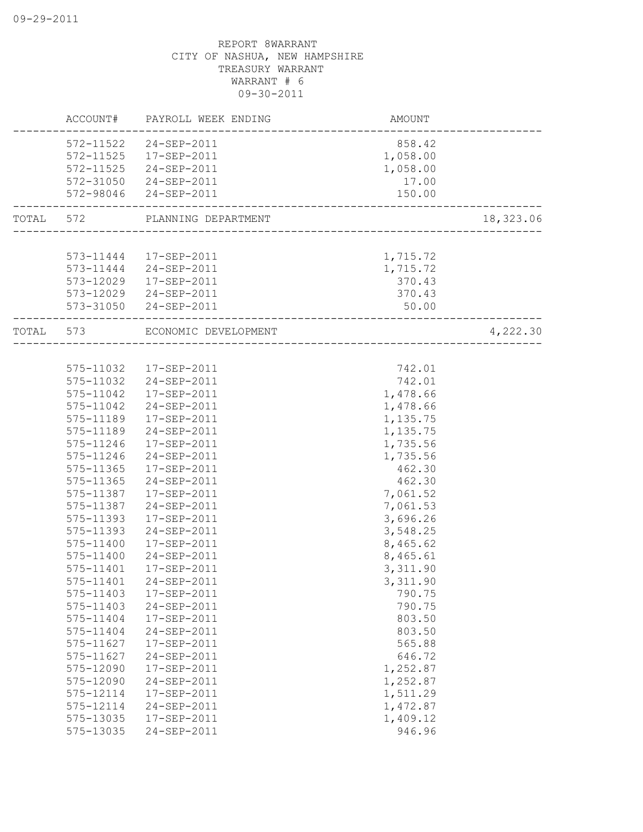|           | ACCOUNT#  | PAYROLL WEEK ENDING  | AMOUNT   |           |
|-----------|-----------|----------------------|----------|-----------|
|           | 572-11522 | $24 - SEP - 2011$    | 858.42   |           |
|           | 572-11525 | 17-SEP-2011          | 1,058.00 |           |
|           | 572-11525 | 24-SEP-2011          | 1,058.00 |           |
|           | 572-31050 | 24-SEP-2011          | 17.00    |           |
|           | 572-98046 | 24-SEP-2011          | 150.00   |           |
| TOTAL 572 |           | PLANNING DEPARTMENT  |          | 18,323.06 |
|           |           |                      |          |           |
|           | 573-11444 | 17-SEP-2011          | 1,715.72 |           |
|           | 573-11444 | 24-SEP-2011          | 1,715.72 |           |
|           | 573-12029 | 17-SEP-2011          | 370.43   |           |
|           | 573-12029 | 24-SEP-2011          | 370.43   |           |
|           | 573-31050 | 24-SEP-2011          | 50.00    |           |
| TOTAL     | 573       | ECONOMIC DEVELOPMENT |          | 4,222.30  |
|           |           |                      |          |           |
|           | 575-11032 | 17-SEP-2011          | 742.01   |           |
|           | 575-11032 | 24-SEP-2011          | 742.01   |           |
|           | 575-11042 | 17-SEP-2011          | 1,478.66 |           |
|           | 575-11042 | 24-SEP-2011          | 1,478.66 |           |
|           | 575-11189 | $17 - SEP - 2011$    | 1,135.75 |           |
|           | 575-11189 | 24-SEP-2011          | 1,135.75 |           |
|           | 575-11246 | 17-SEP-2011          | 1,735.56 |           |
|           | 575-11246 | 24-SEP-2011          | 1,735.56 |           |
|           | 575-11365 | 17-SEP-2011          | 462.30   |           |
|           | 575-11365 | 24-SEP-2011          | 462.30   |           |
|           | 575-11387 | 17-SEP-2011          | 7,061.52 |           |
|           | 575-11387 | 24-SEP-2011          | 7,061.53 |           |
|           | 575-11393 | 17-SEP-2011          | 3,696.26 |           |
|           | 575-11393 | 24-SEP-2011          | 3,548.25 |           |
|           | 575-11400 | 17-SEP-2011          | 8,465.62 |           |
|           | 575-11400 | 24-SEP-2011          | 8,465.61 |           |
|           | 575-11401 | 17-SEP-2011          | 3,311.90 |           |
|           | 575-11401 | 24-SEP-2011          | 3,311.90 |           |
|           | 575-11403 | 17-SEP-2011          | 790.75   |           |
|           | 575-11403 | 24-SEP-2011          | 790.75   |           |
|           | 575-11404 | 17-SEP-2011          | 803.50   |           |
|           | 575-11404 | 24-SEP-2011          | 803.50   |           |
|           | 575-11627 | 17-SEP-2011          | 565.88   |           |
|           | 575-11627 | 24-SEP-2011          | 646.72   |           |
|           | 575-12090 | 17-SEP-2011          | 1,252.87 |           |
|           | 575-12090 | 24-SEP-2011          | 1,252.87 |           |
|           | 575-12114 | 17-SEP-2011          | 1,511.29 |           |
|           | 575-12114 | 24-SEP-2011          | 1,472.87 |           |
|           | 575-13035 | 17-SEP-2011          | 1,409.12 |           |
|           | 575-13035 | 24-SEP-2011          | 946.96   |           |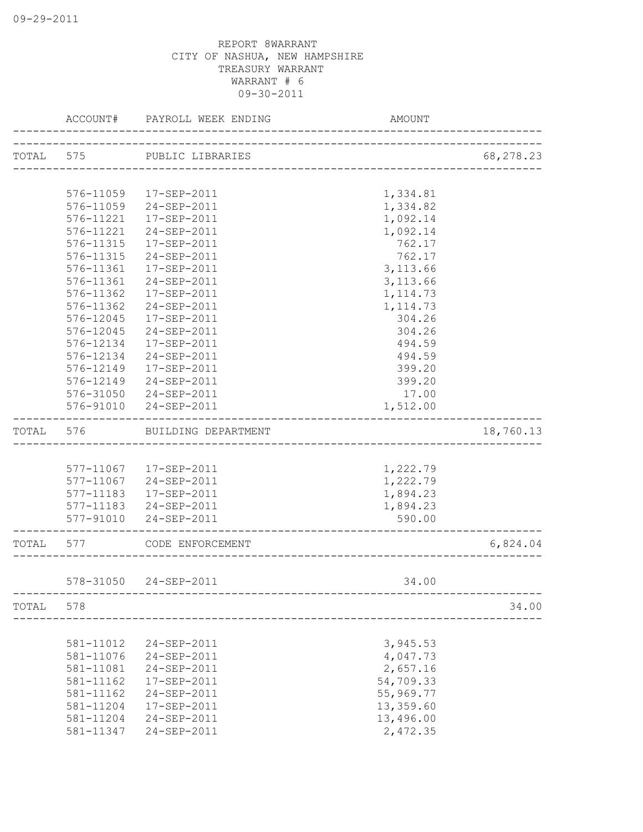|       | ACCOUNT#  | PAYROLL WEEK ENDING    | <b>AMOUNT</b> |           |
|-------|-----------|------------------------|---------------|-----------|
|       | TOTAL 575 | PUBLIC LIBRARIES       |               | 68,278.23 |
|       |           |                        |               |           |
|       | 576-11059 | 17-SEP-2011            | 1,334.81      |           |
|       | 576-11059 | 24-SEP-2011            | 1,334.82      |           |
|       | 576-11221 | 17-SEP-2011            | 1,092.14      |           |
|       | 576-11221 | 24-SEP-2011            | 1,092.14      |           |
|       | 576-11315 | $17 - SEP - 2011$      | 762.17        |           |
|       | 576-11315 | 24-SEP-2011            | 762.17        |           |
|       | 576-11361 | 17-SEP-2011            | 3, 113.66     |           |
|       | 576-11361 | 24-SEP-2011            | 3, 113.66     |           |
|       | 576-11362 | 17-SEP-2011            | 1, 114.73     |           |
|       | 576-11362 | 24-SEP-2011            | 1, 114.73     |           |
|       | 576-12045 | 17-SEP-2011            | 304.26        |           |
|       | 576-12045 | 24-SEP-2011            | 304.26        |           |
|       | 576-12134 | 17-SEP-2011            | 494.59        |           |
|       | 576-12134 | 24-SEP-2011            | 494.59        |           |
|       | 576-12149 | 17-SEP-2011            | 399.20        |           |
|       | 576-12149 | 24-SEP-2011            | 399.20        |           |
|       |           | 576-31050 24-SEP-2011  | 17.00         |           |
|       |           | 576-91010 24-SEP-2011  | 1,512.00      |           |
| TOTAL | 576       | BUILDING DEPARTMENT    |               | 18,760.13 |
|       |           |                        |               |           |
|       |           | 577-11067  17-SEP-2011 | 1,222.79      |           |
|       | 577-11067 | 24-SEP-2011            | 1,222.79      |           |
|       | 577-11183 | 17-SEP-2011            | 1,894.23      |           |
|       | 577-11183 | 24-SEP-2011            | 1,894.23      |           |
|       | 577-91010 | 24-SEP-2011            | 590.00        |           |
| TOTAL | 577       | CODE ENFORCEMENT       |               | 6,824.04  |
|       |           |                        |               |           |
|       | 578-31050 | 24-SEP-2011            | 34.00         |           |
| TOTAL | 578       |                        |               | 34.00     |
|       |           |                        |               |           |
|       | 581-11012 | 24-SEP-2011            | 3,945.53      |           |
|       | 581-11076 | 24-SEP-2011            | 4,047.73      |           |
|       | 581-11081 | 24-SEP-2011            | 2,657.16      |           |
|       | 581-11162 | 17-SEP-2011            | 54,709.33     |           |
|       | 581-11162 | 24-SEP-2011            | 55,969.77     |           |
|       | 581-11204 | 17-SEP-2011            | 13,359.60     |           |
|       | 581-11204 | 24-SEP-2011            | 13,496.00     |           |
|       | 581-11347 | 24-SEP-2011            | 2,472.35      |           |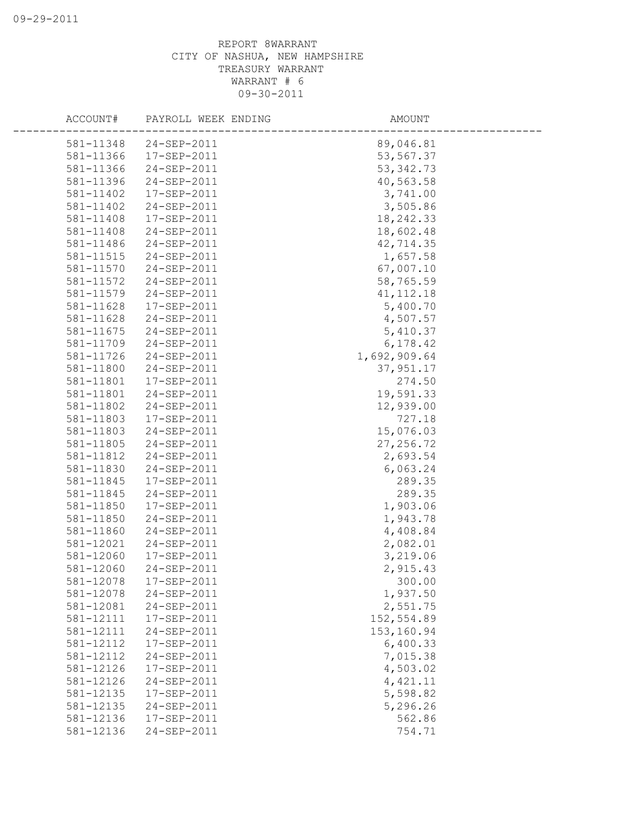| ACCOUNT#  | PAYROLL WEEK ENDING | AMOUNT       |
|-----------|---------------------|--------------|
| 581-11348 | 24-SEP-2011         | 89,046.81    |
| 581-11366 | 17-SEP-2011         | 53,567.37    |
| 581-11366 | 24-SEP-2011         | 53, 342.73   |
| 581-11396 | 24-SEP-2011         | 40,563.58    |
| 581-11402 | 17-SEP-2011         | 3,741.00     |
| 581-11402 | 24-SEP-2011         | 3,505.86     |
| 581-11408 | 17-SEP-2011         | 18,242.33    |
| 581-11408 | 24-SEP-2011         | 18,602.48    |
| 581-11486 | 24-SEP-2011         | 42,714.35    |
| 581-11515 | 24-SEP-2011         | 1,657.58     |
| 581-11570 | 24-SEP-2011         | 67,007.10    |
| 581-11572 | 24-SEP-2011         | 58,765.59    |
| 581-11579 | 24-SEP-2011         | 41, 112.18   |
| 581-11628 | 17-SEP-2011         | 5,400.70     |
| 581-11628 | 24-SEP-2011         | 4,507.57     |
| 581-11675 | 24-SEP-2011         | 5,410.37     |
| 581-11709 | 24-SEP-2011         | 6,178.42     |
| 581-11726 | 24-SEP-2011         | 1,692,909.64 |
| 581-11800 | 24-SEP-2011         | 37,951.17    |
| 581-11801 | 17-SEP-2011         | 274.50       |
| 581-11801 | 24-SEP-2011         | 19,591.33    |
| 581-11802 | 24-SEP-2011         | 12,939.00    |
| 581-11803 | 17-SEP-2011         | 727.18       |
| 581-11803 | 24-SEP-2011         | 15,076.03    |
| 581-11805 | 24-SEP-2011         | 27, 256.72   |
| 581-11812 | 24-SEP-2011         | 2,693.54     |
| 581-11830 | 24-SEP-2011         | 6,063.24     |
| 581-11845 | 17-SEP-2011         | 289.35       |
| 581-11845 | 24-SEP-2011         | 289.35       |
| 581-11850 | 17-SEP-2011         | 1,903.06     |
| 581-11850 | 24-SEP-2011         | 1,943.78     |
| 581-11860 | 24-SEP-2011         | 4,408.84     |
| 581-12021 | 24-SEP-2011         | 2,082.01     |
| 581-12060 | 17-SEP-2011         | 3,219.06     |
| 581-12060 | 24-SEP-2011         | 2,915.43     |
| 581-12078 | 17-SEP-2011         | 300.00       |
| 581-12078 | 24-SEP-2011         | 1,937.50     |
| 581-12081 | 24-SEP-2011         | 2,551.75     |
| 581-12111 | 17-SEP-2011         | 152,554.89   |
| 581-12111 | 24-SEP-2011         | 153,160.94   |
| 581-12112 | 17-SEP-2011         | 6,400.33     |
| 581-12112 | 24-SEP-2011         | 7,015.38     |
| 581-12126 | 17-SEP-2011         | 4,503.02     |
| 581-12126 | 24-SEP-2011         | 4,421.11     |
| 581-12135 | 17-SEP-2011         | 5,598.82     |
| 581-12135 | 24-SEP-2011         | 5,296.26     |
| 581-12136 | 17-SEP-2011         | 562.86       |
| 581-12136 | 24-SEP-2011         | 754.71       |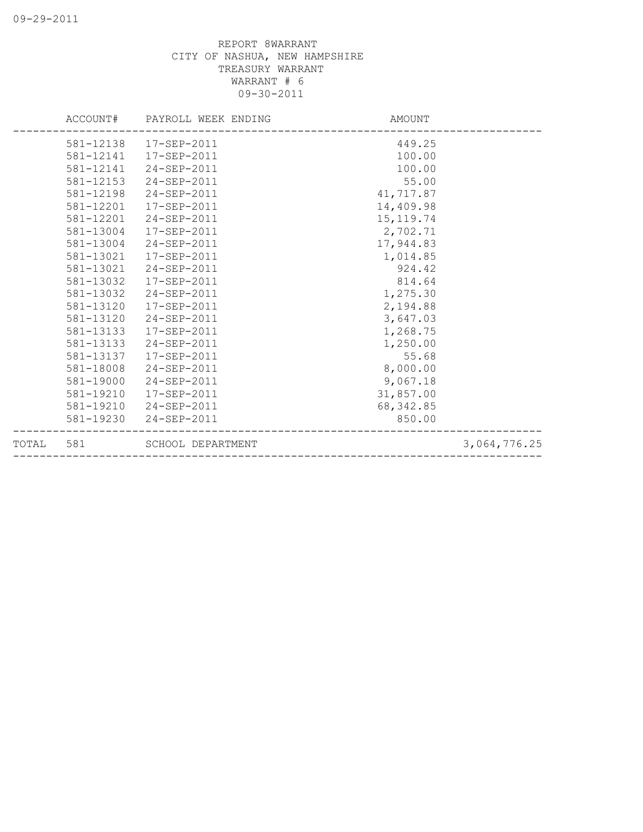|           | ACCOUNT# PAYROLL WEEK ENDING | AMOUNT     |              |
|-----------|------------------------------|------------|--------------|
|           | 581-12138  17-SEP-2011       | 449.25     |              |
|           | 581-12141  17-SEP-2011       | 100.00     |              |
|           | 581-12141 24-SEP-2011        | 100.00     |              |
| 581-12153 | 24-SEP-2011                  | 55.00      |              |
| 581-12198 | 24-SEP-2011                  | 41,717.87  |              |
| 581-12201 | 17-SEP-2011                  | 14,409.98  |              |
| 581-12201 | 24-SEP-2011                  | 15, 119.74 |              |
| 581-13004 | 17-SEP-2011                  | 2,702.71   |              |
| 581-13004 | 24-SEP-2011                  | 17,944.83  |              |
| 581-13021 | 17-SEP-2011                  | 1,014.85   |              |
|           | 581-13021 24-SEP-2011        | 924.42     |              |
| 581-13032 | 17-SEP-2011                  | 814.64     |              |
| 581-13032 | 24-SEP-2011                  | 1,275.30   |              |
| 581-13120 | 17-SEP-2011                  | 2,194.88   |              |
| 581-13120 | 24-SEP-2011                  | 3,647.03   |              |
| 581-13133 | 17-SEP-2011                  | 1,268.75   |              |
|           | 581-13133 24-SEP-2011        | 1,250.00   |              |
| 581-13137 | 17-SEP-2011                  | 55.68      |              |
| 581-18008 | 24-SEP-2011                  | 8,000.00   |              |
|           | 581-19000 24-SEP-2011        | 9,067.18   |              |
| 581-19210 | 17-SEP-2011                  | 31,857.00  |              |
|           | 581-19210 24-SEP-2011        | 68, 342.85 |              |
|           | 581-19230 24-SEP-2011        | 850.00     |              |
|           | TOTAL 581 SCHOOL DEPARTMENT  |            | 3,064,776.25 |
|           |                              |            |              |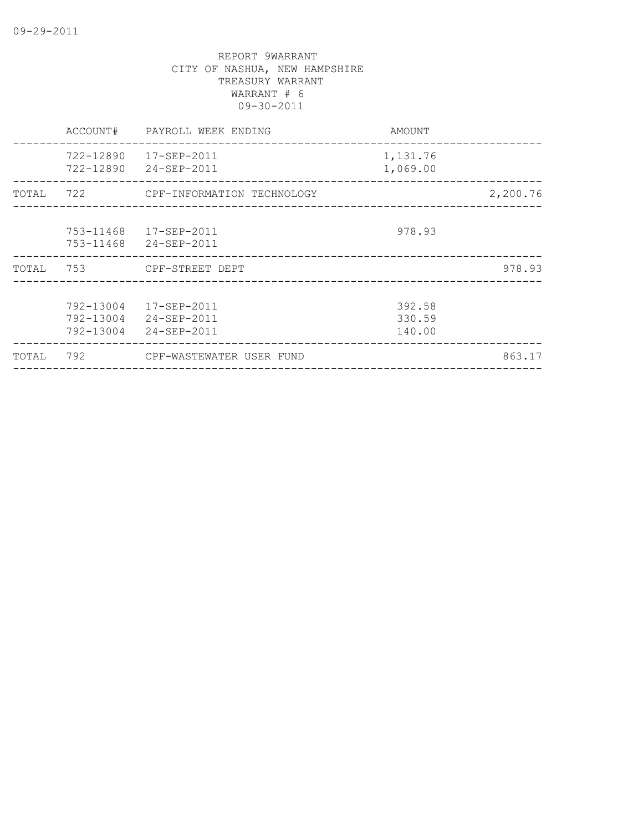|       | ACCOUNT#                            | PAYROLL WEEK ENDING                                       | AMOUNT                     |          |
|-------|-------------------------------------|-----------------------------------------------------------|----------------------------|----------|
|       | 722-12890                           | 17-SEP-2011<br>722-12890 24-SEP-2011                      | 1,131.76<br>1,069.00       |          |
| TOTAL |                                     | 722 CPF-INFORMATION TECHNOLOGY                            |                            | 2,200.76 |
|       | 753-11468<br>753-11468              | 17-SEP-2011<br>24-SEP-2011                                | 978.93                     |          |
| TOTAL | 753                                 | CPF-STREET DEPT<br>______________________________________ |                            | 978.93   |
|       | 792-13004<br>792-13004<br>792-13004 | 17-SEP-2011<br>24-SEP-2011<br>24-SEP-2011                 | 392.58<br>330.59<br>140.00 |          |
| TOTAL | 792                                 | CPF-WASTEWATER USER FUND                                  |                            | 863.17   |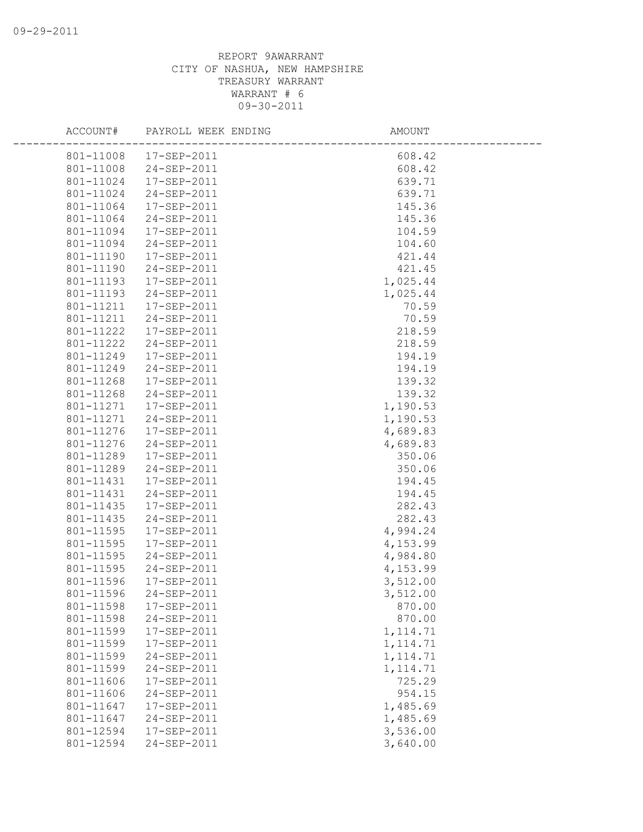| ACCOUNT#               | PAYROLL WEEK ENDING    | AMOUNT    |  |
|------------------------|------------------------|-----------|--|
|                        | 801-11008  17-SEP-2011 | 608.42    |  |
| 801-11008              | 24-SEP-2011            | 608.42    |  |
| 801-11024              | 17-SEP-2011            | 639.71    |  |
| 801-11024              | 24-SEP-2011            | 639.71    |  |
| 801-11064              | 17-SEP-2011            | 145.36    |  |
| 801-11064              | 24-SEP-2011            | 145.36    |  |
| 801-11094              | 17-SEP-2011            | 104.59    |  |
| 801-11094              | 24-SEP-2011            | 104.60    |  |
| 801-11190              | 17-SEP-2011            | 421.44    |  |
| 801-11190              | 24-SEP-2011            | 421.45    |  |
| 801-11193              | 17-SEP-2011            | 1,025.44  |  |
| 801-11193              | 24-SEP-2011            | 1,025.44  |  |
| 801-11211              | 17-SEP-2011            | 70.59     |  |
| 801-11211              | 24-SEP-2011            | 70.59     |  |
| 801-11222              | 17-SEP-2011            | 218.59    |  |
| 801-11222              | 24-SEP-2011            | 218.59    |  |
| 801-11249              | 17-SEP-2011            | 194.19    |  |
| 801-11249              | 24-SEP-2011            | 194.19    |  |
| 801-11268              | 17-SEP-2011            | 139.32    |  |
| 801-11268              | 24-SEP-2011            | 139.32    |  |
| 801-11271              | 17-SEP-2011            | 1,190.53  |  |
| 801-11271              | 24-SEP-2011            | 1,190.53  |  |
| 801-11276              | 17-SEP-2011            | 4,689.83  |  |
| 801-11276              | 24-SEP-2011            | 4,689.83  |  |
| 801-11289              | 17-SEP-2011            | 350.06    |  |
| 801-11289              | 24-SEP-2011            | 350.06    |  |
| 801-11431              | 17-SEP-2011            | 194.45    |  |
| 801-11431              | 24-SEP-2011            | 194.45    |  |
| 801-11435              | 17-SEP-2011            | 282.43    |  |
| 801-11435              | 24-SEP-2011            | 282.43    |  |
| 801-11595              | 17-SEP-2011            | 4,994.24  |  |
| 801-11595              | 17-SEP-2011            | 4,153.99  |  |
| 801-11595              | 24-SEP-2011            | 4,984.80  |  |
| 801-11595              | 24-SEP-2011            | 4,153.99  |  |
| 801-11596              | 17-SEP-2011            | 3,512.00  |  |
| 801-11596              | 24-SEP-2011            | 3,512.00  |  |
| 801-11598              | 17-SEP-2011            | 870.00    |  |
| 801-11598              | 24-SEP-2011            | 870.00    |  |
| 801-11599              | 17-SEP-2011            | 1, 114.71 |  |
| 801-11599              | 17-SEP-2011            | 1, 114.71 |  |
| 801-11599              | 24-SEP-2011            | 1, 114.71 |  |
| 801-11599              | 24-SEP-2011            | 1, 114.71 |  |
| 801-11606              | 17-SEP-2011            | 725.29    |  |
| 801-11606<br>801-11647 | 24-SEP-2011            | 954.15    |  |
|                        | 17-SEP-2011            | 1,485.69  |  |
| 801-11647              | 24-SEP-2011            | 1,485.69  |  |
| 801-12594              | 17-SEP-2011            | 3,536.00  |  |
| 801-12594              | 24-SEP-2011            | 3,640.00  |  |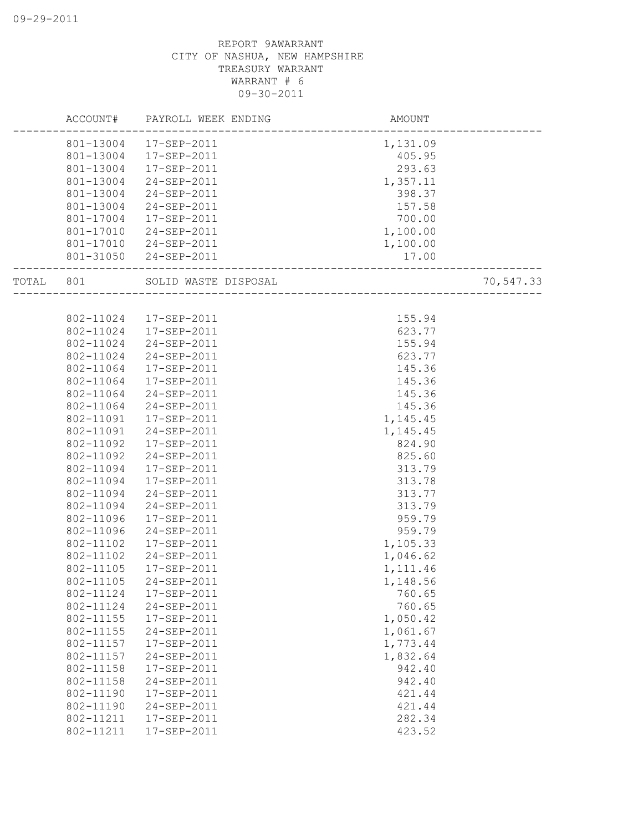|       | ACCOUNT#  | PAYROLL WEEK ENDING  | AMOUNT   |           |
|-------|-----------|----------------------|----------|-----------|
|       | 801-13004 | 17-SEP-2011          | 1,131.09 |           |
|       | 801-13004 | 17-SEP-2011          | 405.95   |           |
|       | 801-13004 | 17-SEP-2011          | 293.63   |           |
|       | 801-13004 | 24-SEP-2011          | 1,357.11 |           |
|       | 801-13004 | 24-SEP-2011          | 398.37   |           |
|       | 801-13004 | 24-SEP-2011          | 157.58   |           |
|       | 801-17004 | 17-SEP-2011          | 700.00   |           |
|       | 801-17010 | 24-SEP-2011          | 1,100.00 |           |
|       | 801-17010 | 24-SEP-2011          | 1,100.00 |           |
|       | 801-31050 | 24-SEP-2011          | 17.00    |           |
| TOTAL | 801       | SOLID WASTE DISPOSAL |          | 70,547.33 |
|       |           |                      |          |           |
|       | 802-11024 | 17-SEP-2011          | 155.94   |           |
|       | 802-11024 | 17-SEP-2011          | 623.77   |           |
|       | 802-11024 | 24-SEP-2011          | 155.94   |           |
|       | 802-11024 | 24-SEP-2011          | 623.77   |           |
|       | 802-11064 | 17-SEP-2011          | 145.36   |           |
|       | 802-11064 | 17-SEP-2011          | 145.36   |           |
|       | 802-11064 | 24-SEP-2011          | 145.36   |           |
|       | 802-11064 | 24-SEP-2011          | 145.36   |           |
|       | 802-11091 | 17-SEP-2011          | 1,145.45 |           |
|       | 802-11091 | 24-SEP-2011          | 1,145.45 |           |
|       | 802-11092 | 17-SEP-2011          | 824.90   |           |
|       | 802-11092 | 24-SEP-2011          | 825.60   |           |
|       | 802-11094 | 17-SEP-2011          | 313.79   |           |
|       | 802-11094 | 17-SEP-2011          | 313.78   |           |
|       | 802-11094 | 24-SEP-2011          | 313.77   |           |
|       | 802-11094 | 24-SEP-2011          | 313.79   |           |
|       | 802-11096 | 17-SEP-2011          | 959.79   |           |
|       | 802-11096 | 24-SEP-2011          | 959.79   |           |
|       | 802-11102 | 17-SEP-2011          | 1,105.33 |           |
|       | 802-11102 | 24-SEP-2011          | 1,046.62 |           |
|       | 802-11105 | 17-SEP-2011          | 1,111.46 |           |
|       | 802-11105 | $24 - SEP - 2011$    | 1,148.56 |           |
|       | 802-11124 | 17-SEP-2011          | 760.65   |           |
|       | 802-11124 | 24-SEP-2011          | 760.65   |           |
|       | 802-11155 | 17-SEP-2011          | 1,050.42 |           |
|       | 802-11155 | 24-SEP-2011          | 1,061.67 |           |
|       | 802-11157 | 17-SEP-2011          | 1,773.44 |           |
|       | 802-11157 | 24-SEP-2011          | 1,832.64 |           |
|       | 802-11158 | 17-SEP-2011          | 942.40   |           |
|       | 802-11158 | 24-SEP-2011          | 942.40   |           |
|       | 802-11190 | 17-SEP-2011          | 421.44   |           |
|       | 802-11190 | 24-SEP-2011          | 421.44   |           |
|       | 802-11211 | 17-SEP-2011          | 282.34   |           |
|       | 802-11211 | 17-SEP-2011          | 423.52   |           |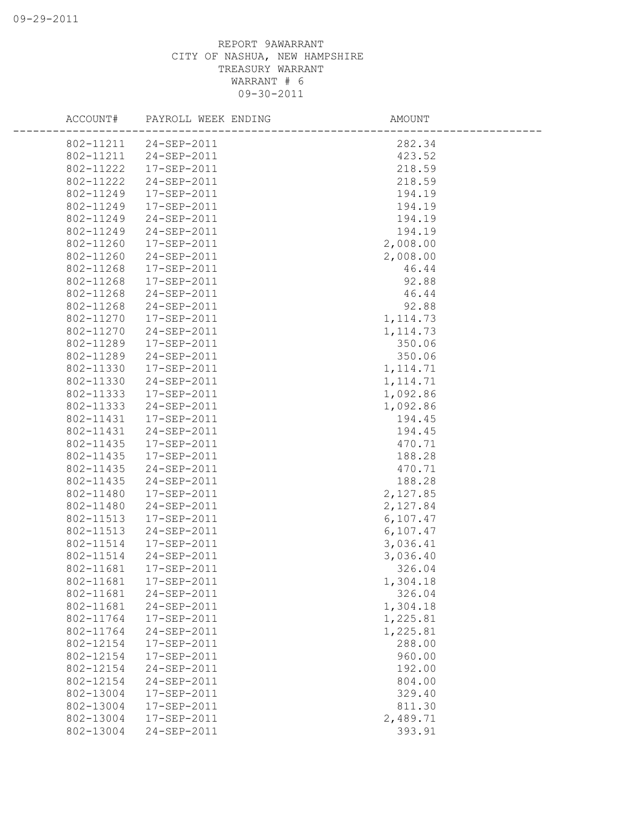| ACCOUNT#  | PAYROLL WEEK ENDING   | AMOUNT    |  |
|-----------|-----------------------|-----------|--|
|           | 802-11211 24-SEP-2011 | 282.34    |  |
| 802-11211 | 24-SEP-2011           | 423.52    |  |
| 802-11222 | 17-SEP-2011           | 218.59    |  |
| 802-11222 | 24-SEP-2011           | 218.59    |  |
| 802-11249 | 17-SEP-2011           | 194.19    |  |
| 802-11249 | 17-SEP-2011           | 194.19    |  |
| 802-11249 | 24-SEP-2011           | 194.19    |  |
| 802-11249 | 24-SEP-2011           | 194.19    |  |
| 802-11260 | 17-SEP-2011           | 2,008.00  |  |
| 802-11260 | 24-SEP-2011           | 2,008.00  |  |
| 802-11268 | 17-SEP-2011           | 46.44     |  |
| 802-11268 | 17-SEP-2011           | 92.88     |  |
| 802-11268 | 24-SEP-2011           | 46.44     |  |
| 802-11268 | 24-SEP-2011           | 92.88     |  |
| 802-11270 | 17-SEP-2011           | 1, 114.73 |  |
| 802-11270 | 24-SEP-2011           | 1, 114.73 |  |
| 802-11289 | 17-SEP-2011           | 350.06    |  |
| 802-11289 | 24-SEP-2011           | 350.06    |  |
| 802-11330 | 17-SEP-2011           | 1, 114.71 |  |
| 802-11330 | 24-SEP-2011           | 1, 114.71 |  |
| 802-11333 | 17-SEP-2011           | 1,092.86  |  |
| 802-11333 | 24-SEP-2011           | 1,092.86  |  |
| 802-11431 | 17-SEP-2011           | 194.45    |  |
| 802-11431 | 24-SEP-2011           | 194.45    |  |
| 802-11435 | 17-SEP-2011           | 470.71    |  |
| 802-11435 | 17-SEP-2011           | 188.28    |  |
| 802-11435 | 24-SEP-2011           | 470.71    |  |
| 802-11435 | 24-SEP-2011           | 188.28    |  |
| 802-11480 | 17-SEP-2011           | 2,127.85  |  |
| 802-11480 | 24-SEP-2011           | 2,127.84  |  |
| 802-11513 | 17-SEP-2011           | 6, 107.47 |  |
| 802-11513 | 24-SEP-2011           | 6,107.47  |  |
| 802-11514 | 17-SEP-2011           | 3,036.41  |  |
| 802-11514 | 24-SEP-2011           | 3,036.40  |  |
| 802-11681 | 17-SEP-2011           | 326.04    |  |
| 802-11681 | 17-SEP-2011           | 1,304.18  |  |
| 802-11681 | 24-SEP-2011           | 326.04    |  |
| 802-11681 | 24-SEP-2011           | 1,304.18  |  |
| 802-11764 | 17-SEP-2011           | 1,225.81  |  |
| 802-11764 | 24-SEP-2011           | 1,225.81  |  |
| 802-12154 | 17-SEP-2011           | 288.00    |  |
| 802-12154 | 17-SEP-2011           | 960.00    |  |
| 802-12154 | 24-SEP-2011           | 192.00    |  |
| 802-12154 | 24-SEP-2011           | 804.00    |  |
| 802-13004 | 17-SEP-2011           | 329.40    |  |
| 802-13004 | 17-SEP-2011           | 811.30    |  |
| 802-13004 | 17-SEP-2011           | 2,489.71  |  |
| 802-13004 | 24-SEP-2011           | 393.91    |  |